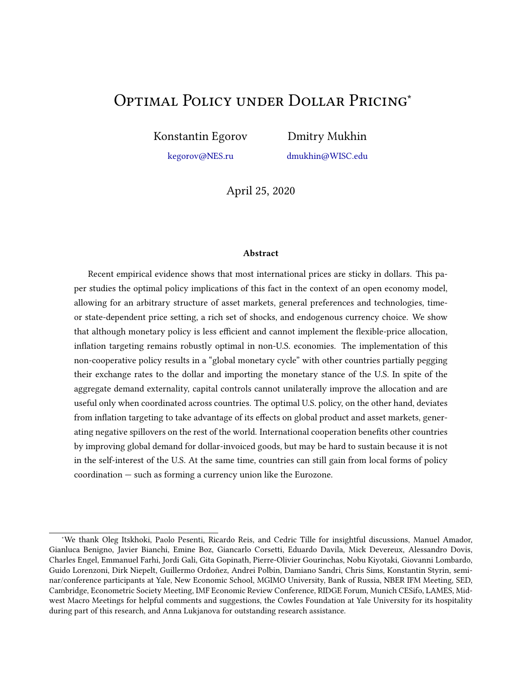# Optimal Policy under Dollar Pricing<sup>∗</sup>

Konstantin Egorov

Dmitry Mukhin

[kegorov@NES.ru](mailto:kegorov@nes.ru)

[dmukhin@WISC.edu](mailto:dmitry.mukhin@yale.edu)

April 25, 2020

#### Abstract

Recent empirical evidence shows that most international prices are sticky in dollars. This paper studies the optimal policy implications of this fact in the context of an open economy model, allowing for an arbitrary structure of asset markets, general preferences and technologies, timeor state-dependent price setting, a rich set of shocks, and endogenous currency choice. We show that although monetary policy is less efficient and cannot implement the flexible-price allocation, inflation targeting remains robustly optimal in non-U.S. economies. The implementation of this non-cooperative policy results in a "global monetary cycle" with other countries partially pegging their exchange rates to the dollar and importing the monetary stance of the U.S. In spite of the aggregate demand externality, capital controls cannot unilaterally improve the allocation and are useful only when coordinated across countries. The optimal U.S. policy, on the other hand, deviates from inflation targeting to take advantage of its effects on global product and asset markets, generating negative spillovers on the rest of the world. International cooperation benefits other countries by improving global demand for dollar-invoiced goods, but may be hard to sustain because it is not in the self-interest of the U.S. At the same time, countries can still gain from local forms of policy coordination — such as forming a currency union like the Eurozone.

<sup>∗</sup>We thank Oleg Itskhoki, Paolo Pesenti, Ricardo Reis, and Cedric Tille for insightful discussions, Manuel Amador, Gianluca Benigno, Javier Bianchi, Emine Boz, Giancarlo Corsetti, Eduardo Davila, Mick Devereux, Alessandro Dovis, Charles Engel, Emmanuel Farhi, Jordi Gali, Gita Gopinath, Pierre-Olivier Gourinchas, Nobu Kiyotaki, Giovanni Lombardo, Guido Lorenzoni, Dirk Niepelt, Guillermo Ordoñez, Andrei Polbin, Damiano Sandri, Chris Sims, Konstantin Styrin, seminar/conference participants at Yale, New Economic School, MGIMO University, Bank of Russia, NBER IFM Meeting, SED, Cambridge, Econometric Society Meeting, IMF Economic Review Conference, RIDGE Forum, Munich CESifo, LAMES, Midwest Macro Meetings for helpful comments and suggestions, the Cowles Foundation at Yale University for its hospitality during part of this research, and Anna Lukjanova for outstanding research assistance.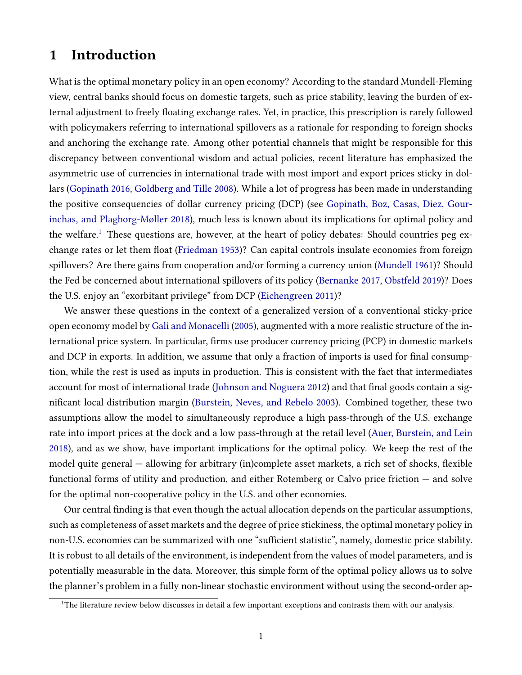## 1 Introduction

What is the optimal monetary policy in an open economy? According to the standard Mundell-Fleming view, central banks should focus on domestic targets, such as price stability, leaving the burden of external adjustment to freely floating exchange rates. Yet, in practice, this prescription is rarely followed with policymakers referring to international spillovers as a rationale for responding to foreign shocks and anchoring the exchange rate. Among other potential channels that might be responsible for this discrepancy between conventional wisdom and actual policies, recent literature has emphasized the asymmetric use of currencies in international trade with most import and export prices sticky in dollars [\(Gopinath](#page-44-0) [2016,](#page-44-0) [Goldberg and Tille](#page-44-1) [2008\)](#page-44-1). While a lot of progress has been made in understanding the positive consequencies of dollar currency pricing (DCP) (see [Gopinath, Boz, Casas, Diez, Gour](#page-44-2)[inchas, and Plagborg-Møller](#page-44-2) [2018\)](#page-44-2), much less is known about its implications for optimal policy and the welfare.<sup>[1](#page-1-0)</sup> These questions are, however, at the heart of policy debates: Should countries peg ex-change rates or let them float [\(Friedman](#page-43-0) [1953\)](#page-43-0)? Can capital controls insulate economies from foreign spillovers? Are there gains from cooperation and/or forming a currency union [\(Mundell](#page-45-0) [1961\)](#page-45-0)? Should the Fed be concerned about international spillovers of its policy [\(Bernanke](#page-41-0) [2017,](#page-41-0) [Obstfeld](#page-45-1) [2019\)](#page-45-1)? Does the U.S. enjoy an "exorbitant privilege" from DCP [\(Eichengreen](#page-43-1) [2011\)](#page-43-1)?

We answer these questions in the context of a generalized version of a conventional sticky-price open economy model by [Gali and Monacelli](#page-43-2) [\(2005\)](#page-43-2), augmented with a more realistic structure of the international price system. In particular, firms use producer currency pricing (PCP) in domestic markets and DCP in exports. In addition, we assume that only a fraction of imports is used for final consumption, while the rest is used as inputs in production. This is consistent with the fact that intermediates account for most of international trade [\(Johnson and Noguera](#page-44-3) [2012\)](#page-44-3) and that final goods contain a sig-nificant local distribution margin [\(Burstein, Neves, and Rebelo](#page-41-1) [2003\)](#page-41-1). Combined together, these two assumptions allow the model to simultaneously reproduce a high pass-through of the U.S. exchange rate into import prices at the dock and a low pass-through at the retail level [\(Auer, Burstein, and Lein](#page-41-2) [2018\)](#page-41-2), and as we show, have important implications for the optimal policy. We keep the rest of the model quite general  $-$  allowing for arbitrary (in)complete asset markets, a rich set of shocks, flexible functional forms of utility and production, and either Rotemberg or Calvo price friction — and solve for the optimal non-cooperative policy in the U.S. and other economies.

Our central finding is that even though the actual allocation depends on the particular assumptions, such as completeness of asset markets and the degree of price stickiness, the optimal monetary policy in non-U.S. economies can be summarized with one "sufficient statistic", namely, domestic price stability. It is robust to all details of the environment, is independent from the values of model parameters, and is potentially measurable in the data. Moreover, this simple form of the optimal policy allows us to solve the planner's problem in a fully non-linear stochastic environment without using the second-order ap-

<span id="page-1-0"></span> $1$ The literature review below discusses in detail a few important exceptions and contrasts them with our analysis.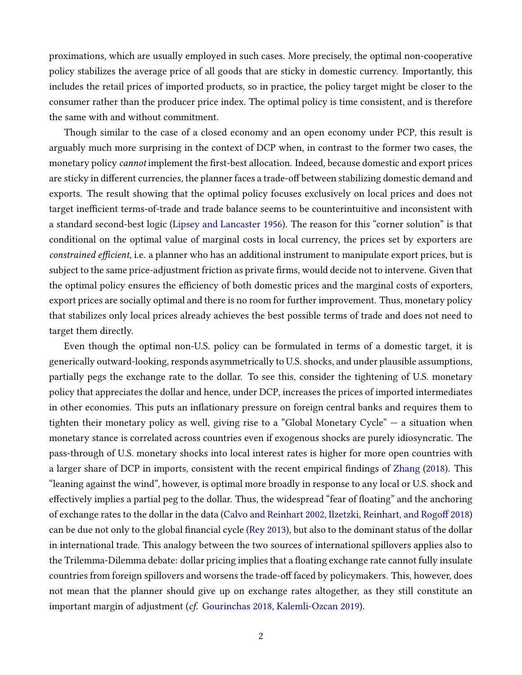proximations, which are usually employed in such cases. More precisely, the optimal non-cooperative policy stabilizes the average price of all goods that are sticky in domestic currency. Importantly, this includes the retail prices of imported products, so in practice, the policy target might be closer to the consumer rather than the producer price index. The optimal policy is time consistent, and is therefore the same with and without commitment.

Though similar to the case of a closed economy and an open economy under PCP, this result is arguably much more surprising in the context of DCP when, in contrast to the former two cases, the monetary policy *cannot* implement the first-best allocation. Indeed, because domestic and export prices are sticky in different currencies, the planner faces a trade-off between stabilizing domestic demand and exports. The result showing that the optimal policy focuses exclusively on local prices and does not target inefficient terms-of-trade and trade balance seems to be counterintuitive and inconsistent with a standard second-best logic [\(Lipsey and Lancaster](#page-45-2) [1956\)](#page-45-2). The reason for this "corner solution" is that conditional on the optimal value of marginal costs in local currency, the prices set by exporters are constrained efficient, i.e. a planner who has an additional instrument to manipulate export prices, but is subject to the same price-adjustment friction as private firms, would decide not to intervene. Given that the optimal policy ensures the efficiency of both domestic prices and the marginal costs of exporters, export prices are socially optimal and there is no room for further improvement. Thus, monetary policy that stabilizes only local prices already achieves the best possible terms of trade and does not need to target them directly.

Even though the optimal non-U.S. policy can be formulated in terms of a domestic target, it is generically outward-looking, responds asymmetrically to U.S. shocks, and under plausible assumptions, partially pegs the exchange rate to the dollar. To see this, consider the tightening of U.S. monetary policy that appreciates the dollar and hence, under DCP, increases the prices of imported intermediates in other economies. This puts an inflationary pressure on foreign central banks and requires them to tighten their monetary policy as well, giving rise to a "Global Monetary Cycle" — a situation when monetary stance is correlated across countries even if exogenous shocks are purely idiosyncratic. The pass-through of U.S. monetary shocks into local interest rates is higher for more open countries with a larger share of DCP in imports, consistent with the recent empirical findings of [Zhang](#page-45-3) [\(2018\)](#page-45-3). This "leaning against the wind", however, is optimal more broadly in response to any local or U.S. shock and effectively implies a partial peg to the dollar. Thus, the widespread "fear of floating" and the anchoring of exchange rates to the dollar in the data [\(Calvo and Reinhart](#page-41-3) [2002,](#page-41-3) [Ilzetzki, Reinhart, and Rogo](#page-44-4)ff [2018\)](#page-44-4) can be due not only to the global financial cycle [\(Rey](#page-45-4) [2013\)](#page-45-4), but also to the dominant status of the dollar in international trade. This analogy between the two sources of international spillovers applies also to the Trilemma-Dilemma debate: dollar pricing implies that a floating exchange rate cannot fully insulate countries from foreign spillovers and worsens the trade-off faced by policymakers. This, however, does not mean that the planner should give up on exchange rates altogether, as they still constitute an important margin of adjustment (cf. [Gourinchas](#page-44-5) [2018,](#page-44-5) [Kalemli-Ozcan](#page-44-6) [2019\)](#page-44-6).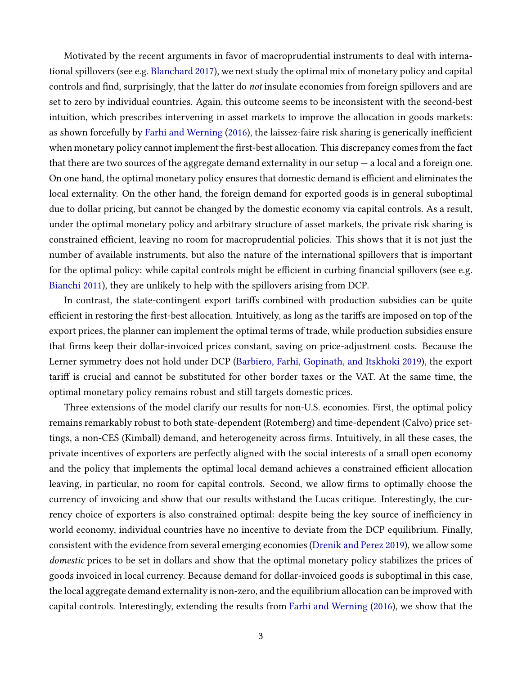Motivated by the recent arguments in favor of macroprudential instruments to deal with international spillovers (see e.g. [Blanchard](#page-41-4) [2017\)](#page-41-4), we next study the optimal mix of monetary policy and capital controls and find, surprisingly, that the latter do not insulate economies from foreign spillovers and are set to zero by individual countries. Again, this outcome seems to be inconsistent with the second-best intuition, which prescribes intervening in asset markets to improve the allocation in goods markets: as shown forcefully by [Farhi and Werning](#page-43-3) [\(2016\)](#page-43-3), the laissez-faire risk sharing is generically inefficient when monetary policy cannot implement the first-best allocation. This discrepancy comes from the fact that there are two sources of the aggregate demand externality in our setup  $-$  a local and a foreign one. On one hand, the optimal monetary policy ensures that domestic demand is efficient and eliminates the local externality. On the other hand, the foreign demand for exported goods is in general suboptimal due to dollar pricing, but cannot be changed by the domestic economy via capital controls. As a result, under the optimal monetary policy and arbitrary structure of asset markets, the private risk sharing is constrained efficient, leaving no room for macroprudential policies. This shows that it is not just the number of available instruments, but also the nature of the international spillovers that is important for the optimal policy: while capital controls might be efficient in curbing financial spillovers (see e.g. [Bianchi](#page-41-5) [2011\)](#page-41-5), they are unlikely to help with the spillovers arising from DCP.

In contrast, the state-contingent export tariffs combined with production subsidies can be quite efficient in restoring the first-best allocation. Intuitively, as long as the tariffs are imposed on top of the export prices, the planner can implement the optimal terms of trade, while production subsidies ensure that firms keep their dollar-invoiced prices constant, saving on price-adjustment costs. Because the Lerner symmetry does not hold under DCP [\(Barbiero, Farhi, Gopinath, and Itskhoki](#page-41-6) [2019\)](#page-41-6), the export tariff is crucial and cannot be substituted for other border taxes or the VAT. At the same time, the optimal monetary policy remains robust and still targets domestic prices.

Three extensions of the model clarify our results for non-U.S. economies. First, the optimal policy remains remarkably robust to both state-dependent (Rotemberg) and time-dependent (Calvo) price settings, a non-CES (Kimball) demand, and heterogeneity across firms. Intuitively, in all these cases, the private incentives of exporters are perfectly aligned with the social interests of a small open economy and the policy that implements the optimal local demand achieves a constrained efficient allocation leaving, in particular, no room for capital controls. Second, we allow firms to optimally choose the currency of invoicing and show that our results withstand the Lucas critique. Interestingly, the currency choice of exporters is also constrained optimal: despite being the key source of inefficiency in world economy, individual countries have no incentive to deviate from the DCP equilibrium. Finally, consistent with the evidence from several emerging economies [\(Drenik and Perez](#page-43-4) [2019\)](#page-43-4), we allow some domestic prices to be set in dollars and show that the optimal monetary policy stabilizes the prices of goods invoiced in local currency. Because demand for dollar-invoiced goods is suboptimal in this case, the local aggregate demand externality is non-zero, and the equilibrium allocation can be improved with capital controls. Interestingly, extending the results from [Farhi and Werning](#page-43-3) [\(2016\)](#page-43-3), we show that the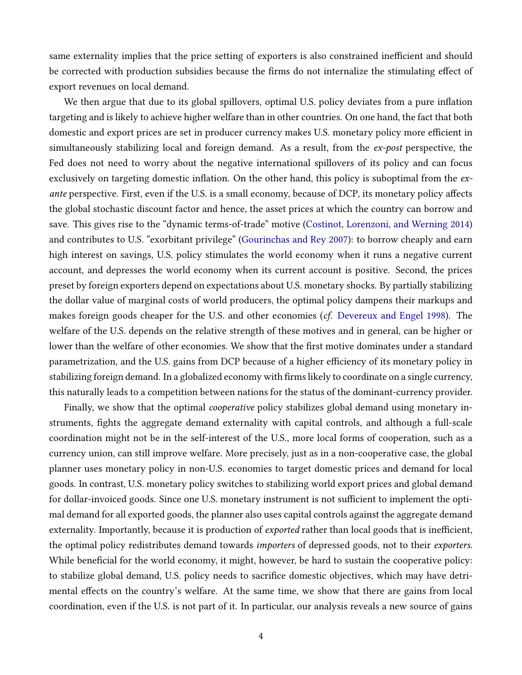same externality implies that the price setting of exporters is also constrained inefficient and should be corrected with production subsidies because the firms do not internalize the stimulating effect of export revenues on local demand.

We then argue that due to its global spillovers, optimal U.S. policy deviates from a pure inflation targeting and is likely to achieve higher welfare than in other countries. On one hand, the fact that both domestic and export prices are set in producer currency makes U.S. monetary policy more efficient in simultaneously stabilizing local and foreign demand. As a result, from the ex-post perspective, the Fed does not need to worry about the negative international spillovers of its policy and can focus exclusively on targeting domestic inflation. On the other hand, this policy is suboptimal from the  $ex$ ante perspective. First, even if the U.S. is a small economy, because of DCP, its monetary policy affects the global stochastic discount factor and hence, the asset prices at which the country can borrow and save. This gives rise to the "dynamic terms-of-trade" motive [\(Costinot, Lorenzoni, and Werning](#page-42-0) [2014\)](#page-42-0) and contributes to U.S. "exorbitant privilege" [\(Gourinchas and Rey](#page-44-7) [2007\)](#page-44-7): to borrow cheaply and earn high interest on savings, U.S. policy stimulates the world economy when it runs a negative current account, and depresses the world economy when its current account is positive. Second, the prices preset by foreign exporters depend on expectations about U.S. monetary shocks. By partially stabilizing the dollar value of marginal costs of world producers, the optimal policy dampens their markups and makes foreign goods cheaper for the U.S. and other economies (cf. [Devereux and Engel](#page-42-1) [1998\)](#page-42-1). The welfare of the U.S. depends on the relative strength of these motives and in general, can be higher or lower than the welfare of other economies. We show that the first motive dominates under a standard parametrization, and the U.S. gains from DCP because of a higher efficiency of its monetary policy in stabilizing foreign demand. In a globalized economy with firms likely to coordinate on a single currency, this naturally leads to a competition between nations for the status of the dominant-currency provider.

Finally, we show that the optimal cooperative policy stabilizes global demand using monetary instruments, fights the aggregate demand externality with capital controls, and although a full-scale coordination might not be in the self-interest of the U.S., more local forms of cooperation, such as a currency union, can still improve welfare. More precisely, just as in a non-cooperative case, the global planner uses monetary policy in non-U.S. economies to target domestic prices and demand for local goods. In contrast, U.S. monetary policy switches to stabilizing world export prices and global demand for dollar-invoiced goods. Since one U.S. monetary instrument is not sufficient to implement the optimal demand for all exported goods, the planner also uses capital controls against the aggregate demand externality. Importantly, because it is production of exported rather than local goods that is inefficient, the optimal policy redistributes demand towards *importers* of depressed goods, not to their exporters. While beneficial for the world economy, it might, however, be hard to sustain the cooperative policy: to stabilize global demand, U.S. policy needs to sacrifice domestic objectives, which may have detrimental effects on the country's welfare. At the same time, we show that there are gains from local coordination, even if the U.S. is not part of it. In particular, our analysis reveals a new source of gains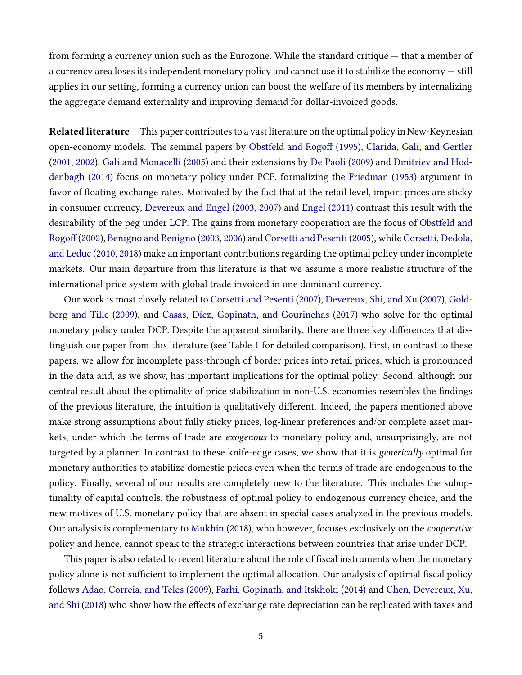from forming a currency union such as the Eurozone. While the standard critique — that a member of a currency area loses its independent monetary policy and cannot use it to stabilize the economy — still applies in our setting, forming a currency union can boost the welfare of its members by internalizing the aggregate demand externality and improving demand for dollar-invoiced goods.

Related literature This paper contributes to a vast literature on the optimal policy in New-Keynesian open-economy models. The seminal papers by [Obstfeld and Rogo](#page-45-5)ff [\(1995\)](#page-45-5), [Clarida, Gali, and Gertler](#page-42-2) [\(2001,](#page-42-2) [2002\)](#page-42-3), [Gali and Monacelli](#page-43-2) [\(2005\)](#page-43-2) and their extensions by [De Paoli](#page-42-4) [\(2009\)](#page-42-4) and [Dmitriev and Hod](#page-43-5)[denbagh](#page-43-5) [\(2014\)](#page-43-5) focus on monetary policy under PCP, formalizing the [Friedman](#page-43-0) [\(1953\)](#page-43-0) argument in favor of floating exchange rates. Motivated by the fact that at the retail level, import prices are sticky in consumer currency, [Devereux and Engel](#page-42-5) [\(2003,](#page-42-5) [2007\)](#page-42-6) and [Engel](#page-43-6) [\(2011\)](#page-43-6) contrast this result with the desirability of the peg under LCP. The gains from monetary cooperation are the focus of [Obstfeld and](#page-45-6) [Rogo](#page-45-6)ff [\(2002\)](#page-45-6), [Benigno and Benigno](#page-41-7) [\(2003,](#page-41-7) [2006\)](#page-41-8) and [Corsetti and Pesenti](#page-42-7) [\(2005\)](#page-42-7), while [Corsetti, Dedola,](#page-42-8) [and Leduc](#page-42-8) [\(2010,](#page-42-8) [2018\)](#page-42-9) make an important contributions regarding the optimal policy under incomplete markets. Our main departure from this literature is that we assume a more realistic structure of the international price system with global trade invoiced in one dominant currency.

Our work is most closely related to [Corsetti and Pesenti](#page-42-10) [\(2007\)](#page-42-10), [Devereux, Shi, and Xu](#page-43-7) [\(2007\)](#page-43-7), [Gold](#page-44-8)[berg and Tille](#page-44-8) [\(2009\)](#page-44-8), and [Casas, Díez, Gopinath, and Gourinchas](#page-41-9) [\(2017\)](#page-41-9) who solve for the optimal monetary policy under DCP. Despite the apparent similarity, there are three key differences that distinguish our paper from this literature (see Table [1](#page-6-0) for detailed comparison). First, in contrast to these papers, we allow for incomplete pass-through of border prices into retail prices, which is pronounced in the data and, as we show, has important implications for the optimal policy. Second, although our central result about the optimality of price stabilization in non-U.S. economies resembles the findings of the previous literature, the intuition is qualitatively different. Indeed, the papers mentioned above make strong assumptions about fully sticky prices, log-linear preferences and/or complete asset markets, under which the terms of trade are exogenous to monetary policy and, unsurprisingly, are not targeted by a planner. In contrast to these knife-edge cases, we show that it is generically optimal for monetary authorities to stabilize domestic prices even when the terms of trade are endogenous to the policy. Finally, several of our results are completely new to the literature. This includes the suboptimality of capital controls, the robustness of optimal policy to endogenous currency choice, and the new motives of U.S. monetary policy that are absent in special cases analyzed in the previous models. Our analysis is complementary to [Mukhin](#page-45-7) [\(2018\)](#page-45-7), who however, focuses exclusively on the cooperative policy and hence, cannot speak to the strategic interactions between countries that arise under DCP.

This paper is also related to recent literature about the role of fiscal instruments when the monetary policy alone is not sufficient to implement the optimal allocation. Our analysis of optimal fiscal policy follows [Adao, Correia, and Teles](#page-41-10) [\(2009\)](#page-41-10), [Farhi, Gopinath, and Itskhoki](#page-43-8) [\(2014\)](#page-43-8) and [Chen, Devereux, Xu,](#page-42-11) [and Shi](#page-42-11) [\(2018\)](#page-42-11) who show how the effects of exchange rate depreciation can be replicated with taxes and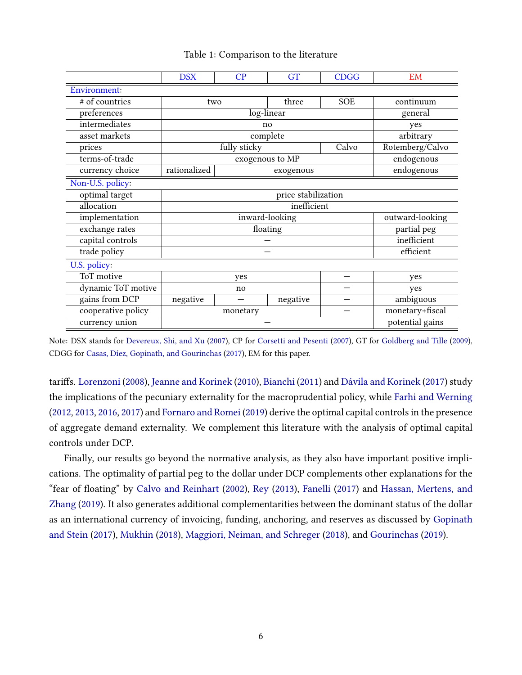<span id="page-6-0"></span>

|                     | <b>DSX</b>                | CP | <b>GT</b> | <b>CDGG</b>     | <b>EM</b>       |
|---------------------|---------------------------|----|-----------|-----------------|-----------------|
| <b>Environment:</b> |                           |    |           |                 |                 |
| # of countries      | two                       |    | three     | <b>SOE</b>      | continuum       |
| preferences         | log-linear                |    |           |                 | general         |
| intermediates       | no                        |    |           |                 | yes             |
| asset markets       | complete                  |    |           |                 | arbitrary       |
| prices              | fully sticky              |    |           | Calvo           | Rotemberg/Calvo |
| terms-of-trade      | exogenous to MP           |    |           |                 | endogenous      |
| currency choice     | rationalized<br>exogenous |    |           | endogenous      |                 |
| Non-U.S. policy:    |                           |    |           |                 |                 |
| optimal target      | price stabilization       |    |           |                 |                 |
| allocation          | inefficient               |    |           |                 |                 |
| implementation      | inward-looking            |    |           |                 | outward-looking |
| exchange rates      | floating                  |    |           |                 | partial peg     |
| capital controls    |                           |    |           |                 | inefficient     |
| trade policy        |                           |    |           |                 | efficient       |
| U.S. policy:        |                           |    |           |                 |                 |
| ToT motive          | yes                       |    |           | yes             |                 |
| dynamic ToT motive  | no                        |    |           | yes             |                 |
| gains from DCP      | negative                  |    | negative  |                 | ambiguous       |
| cooperative policy  | monetary                  |    |           | monetary+fiscal |                 |
| currency union      |                           |    |           |                 | potential gains |

Table 1: Comparison to the literature

Note: DSX stands for [Devereux, Shi, and Xu](#page-43-7) [\(2007\)](#page-43-7), CP for [Corsetti and Pesenti](#page-42-10) [\(2007\)](#page-42-10), GT for [Goldberg and Tille](#page-44-8) [\(2009\)](#page-44-8), CDGG for [Casas, Díez, Gopinath, and Gourinchas](#page-41-9) [\(2017\)](#page-41-9), EM for this paper.

tariffs. [Lorenzoni](#page-45-8) [\(2008\)](#page-45-8), [Jeanne and Korinek](#page-44-9) [\(2010\)](#page-44-9), [Bianchi](#page-41-5) [\(2011\)](#page-41-5) and [Dávila and Korinek](#page-42-12) [\(2017\)](#page-42-12) study the implications of the pecuniary externality for the macroprudential policy, while [Farhi and Werning](#page-43-9) [\(2012,](#page-43-9) [2013,](#page-43-10) [2016,](#page-43-3) [2017\)](#page-43-11) and [Fornaro and Romei](#page-43-12) [\(2019\)](#page-43-12) derive the optimal capital controls in the presence of aggregate demand externality. We complement this literature with the analysis of optimal capital controls under DCP.

Finally, our results go beyond the normative analysis, as they also have important positive implications. The optimality of partial peg to the dollar under DCP complements other explanations for the "fear of floating" by [Calvo and Reinhart](#page-41-3) [\(2002\)](#page-41-3), [Rey](#page-45-4) [\(2013\)](#page-45-4), [Fanelli](#page-43-13) [\(2017\)](#page-43-13) and [Hassan, Mertens, and](#page-44-10) [Zhang](#page-44-10) [\(2019\)](#page-44-10). It also generates additional complementarities between the dominant status of the dollar as an international currency of invoicing, funding, anchoring, and reserves as discussed by [Gopinath](#page-44-11) [and Stein](#page-44-11) [\(2017\)](#page-44-11), [Mukhin](#page-45-7) [\(2018\)](#page-45-7), [Maggiori, Neiman, and Schreger](#page-45-9) [\(2018\)](#page-45-9), and [Gourinchas](#page-44-12) [\(2019\)](#page-44-12).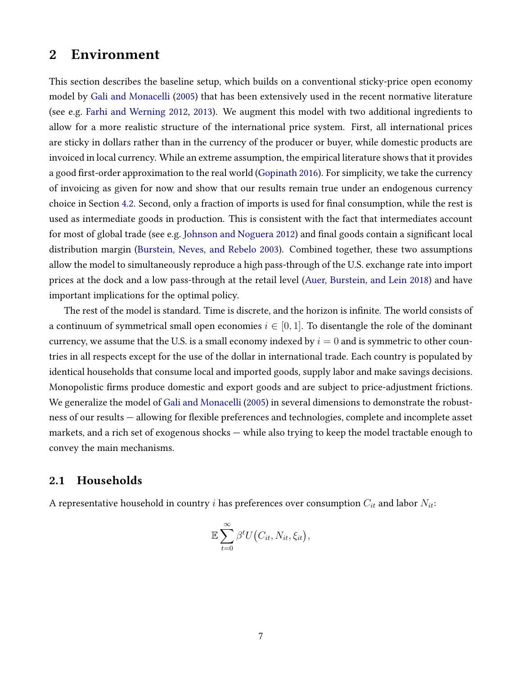## 2 Environment

This section describes the baseline setup, which builds on a conventional sticky-price open economy model by [Gali and Monacelli](#page-43-2) [\(2005\)](#page-43-2) that has been extensively used in the recent normative literature (see e.g. [Farhi and Werning](#page-43-9) [2012,](#page-43-9) [2013\)](#page-43-10). We augment this model with two additional ingredients to allow for a more realistic structure of the international price system. First, all international prices are sticky in dollars rather than in the currency of the producer or buyer, while domestic products are invoiced in local currency. While an extreme assumption, the empirical literature shows that it provides a good first-order approximation to the real world [\(Gopinath](#page-44-0) [2016\)](#page-44-0). For simplicity, we take the currency of invoicing as given for now and show that our results remain true under an endogenous currency choice in Section [4.2.](#page-27-0) Second, only a fraction of imports is used for final consumption, while the rest is used as intermediate goods in production. This is consistent with the fact that intermediates account for most of global trade (see e.g. [Johnson and Noguera](#page-44-3) [2012\)](#page-44-3) and final goods contain a significant local distribution margin [\(Burstein, Neves, and Rebelo](#page-41-1) [2003\)](#page-41-1). Combined together, these two assumptions allow the model to simultaneously reproduce a high pass-through of the U.S. exchange rate into import prices at the dock and a low pass-through at the retail level [\(Auer, Burstein, and Lein](#page-41-2) [2018\)](#page-41-2) and have important implications for the optimal policy.

The rest of the model is standard. Time is discrete, and the horizon is infinite. The world consists of a continuum of symmetrical small open economies  $i \in [0,1]$ . To disentangle the role of the dominant currency, we assume that the U.S. is a small economy indexed by  $i = 0$  and is symmetric to other countries in all respects except for the use of the dollar in international trade. Each country is populated by identical households that consume local and imported goods, supply labor and make savings decisions. Monopolistic firms produce domestic and export goods and are subject to price-adjustment frictions. We generalize the model of [Gali and Monacelli](#page-43-2) [\(2005\)](#page-43-2) in several dimensions to demonstrate the robustness of our results – allowing for flexible preferences and technologies, complete and incomplete asset markets, and a rich set of exogenous shocks — while also trying to keep the model tractable enough to convey the main mechanisms.

### 2.1 Households

A representative household in country i has preferences over consumption  $C_{it}$  and labor  $N_{it}$ :

$$
\mathbb{E}\sum_{t=0}^{\infty}\beta^t U(C_{it},N_{it},\xi_{it}),
$$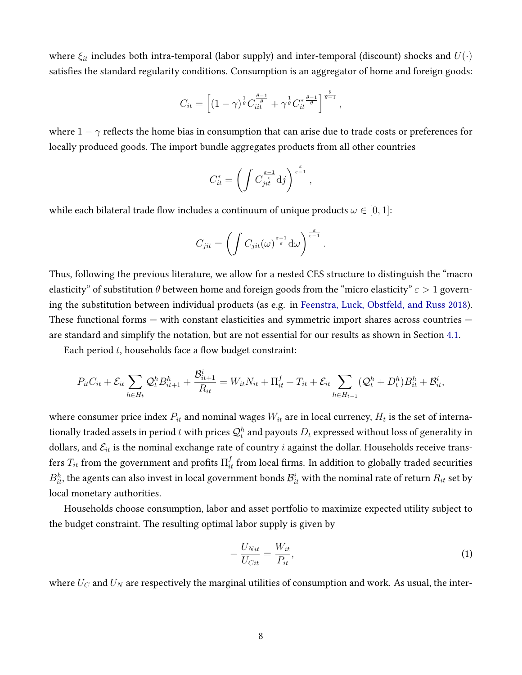where  $\xi_{it}$  includes both intra-temporal (labor supply) and inter-temporal (discount) shocks and  $U(\cdot)$ satisfies the standard regularity conditions. Consumption is an aggregator of home and foreign goods:

$$
C_{it} = \left[ (1 - \gamma)^{\frac{1}{\theta}} C_{iit}^{\frac{\theta - 1}{\theta}} + \gamma^{\frac{1}{\theta}} C_{it}^{* \frac{\theta - 1}{\theta}} \right]^{\frac{\theta}{\theta - 1}},
$$

where  $1 - \gamma$  reflects the home bias in consumption that can arise due to trade costs or preferences for locally produced goods. The import bundle aggregates products from all other countries

$$
C_{it}^* = \left(\int C_{ji\overline{t}}^{\frac{\varepsilon-1}{\varepsilon}} \mathrm{d}j\right)^{\frac{\varepsilon}{\varepsilon-1}},
$$

while each bilateral trade flow includes a continuum of unique products  $\omega \in [0,1]$ :

$$
C_{jit} = \left( \int C_{jit}(\omega)^{\frac{\varepsilon - 1}{\varepsilon}} d\omega \right)^{\frac{\varepsilon}{\varepsilon - 1}}.
$$

Thus, following the previous literature, we allow for a nested CES structure to distinguish the "macro elasticity" of substitution  $\theta$  between home and foreign goods from the "micro elasticity"  $\varepsilon > 1$  governing the substitution between individual products (as e.g. in [Feenstra, Luck, Obstfeld, and Russ](#page-43-14) [2018\)](#page-43-14). These functional forms — with constant elasticities and symmetric import shares across countries are standard and simplify the notation, but are not essential for our results as shown in Section [4.1.](#page-25-0)

Each period  $t$ , households face a flow budget constraint:

$$
P_{it}C_{it} + \mathcal{E}_{it} \sum_{h \in H_t} \mathcal{Q}_t^h B_{it+1}^h + \frac{\mathcal{B}_{it+1}^i}{R_{it}} = W_{it}N_{it} + \Pi_{it}^f + T_{it} + \mathcal{E}_{it} \sum_{h \in H_{t-1}} (\mathcal{Q}_t^h + D_t^h)B_{it}^h + \mathcal{B}_{it}^i,
$$

where consumer price index  $P_{it}$  and nominal wages  $W_{it}$  are in local currency,  $H_t$  is the set of internationally traded assets in period  $t$  with prices  $\mathcal{Q}_t^h$  and payouts  $D_t$  expressed without loss of generality in dollars, and  $\mathcal{E}_{it}$  is the nominal exchange rate of country i against the dollar. Households receive transfers  $T_{it}$  from the government and profits  $\Pi_{it}^f$  from local firms. In addition to globally traded securities  $B_{it}^h$ , the agents can also invest in local government bonds  $\mathcal{B}_{it}^i$  with the nominal rate of return  $R_{it}$  set by local monetary authorities.

Households choose consumption, labor and asset portfolio to maximize expected utility subject to the budget constraint. The resulting optimal labor supply is given by

<span id="page-8-0"></span>
$$
-\frac{U_{Nit}}{U_{Cit}} = \frac{W_{it}}{P_{it}},\tag{1}
$$

where  $U_C$  and  $U_N$  are respectively the marginal utilities of consumption and work. As usual, the inter-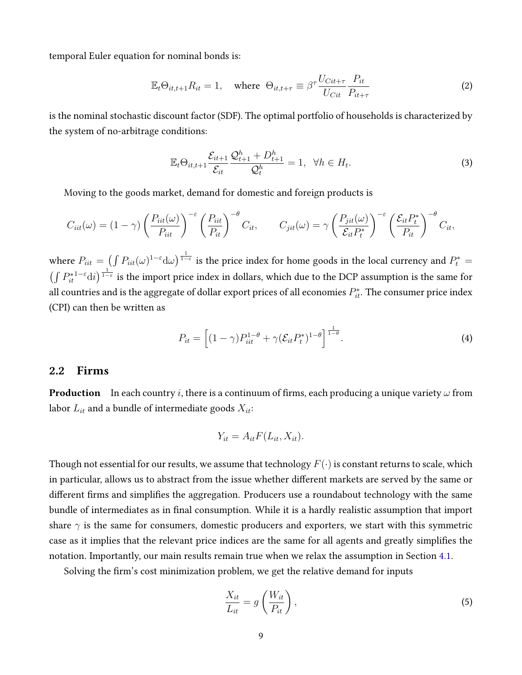temporal Euler equation for nominal bonds is:

<span id="page-9-0"></span>
$$
\mathbb{E}_t \Theta_{it,t+1} R_{it} = 1, \quad \text{where } \Theta_{it,t+\tau} \equiv \beta^{\tau} \frac{U_{Cit+\tau}}{U_{Cit}} \frac{P_{it}}{P_{it+\tau}}
$$
(2)

is the nominal stochastic discount factor (SDF). The optimal portfolio of households is characterized by the system of no-arbitrage conditions:

<span id="page-9-1"></span>
$$
\mathbb{E}_t \Theta_{it,t+1} \frac{\mathcal{E}_{it+1}}{\mathcal{E}_{it}} \frac{\mathcal{Q}_{t+1}^h + D_{t+1}^h}{\mathcal{Q}_t^h} = 1, \ \ \forall h \in H_t.
$$
\n
$$
(3)
$$

Moving to the goods market, demand for domestic and foreign products is

$$
C_{iit}(\omega) = (1 - \gamma) \left(\frac{P_{iit}(\omega)}{P_{iit}}\right)^{-\varepsilon} \left(\frac{P_{iit}}{P_{it}}\right)^{-\theta} C_{it}, \qquad C_{jit}(\omega) = \gamma \left(\frac{P_{jit}(\omega)}{\mathcal{E}_{it}P_t^*}\right)^{-\varepsilon} \left(\frac{\mathcal{E}_{it}P_t^*}{P_{it}}\right)^{-\theta} C_{it},
$$

where  $P_{iit}=\big(\int P_{iit}(\omega)^{1-\varepsilon}\mathrm{d}\omega\big)^{\frac{1}{1-\varepsilon}}$  is the price index for home goods in the local currency and  $P_t^*=$  $\left(\int P_{it}^{*1-\epsilon} \mathrm{d}i\right)^{\frac{1}{1-\epsilon}}$  is the import price index in dollars, which due to the DCP assumption is the same for all countries and is the aggregate of dollar export prices of all economies  $P_{it}^*$ . The consumer price index (CPI) can then be written as

<span id="page-9-2"></span>
$$
P_{it} = \left[ (1 - \gamma) P_{it}^{1-\theta} + \gamma (\mathcal{E}_{it} P_t^*)^{1-\theta} \right]^{\frac{1}{1-\theta}}.
$$
\n(4)

#### 2.2 Firms

**Production** In each country i, there is a continuum of firms, each producing a unique variety  $\omega$  from labor  $L_{it}$  and a bundle of intermediate goods  $X_{it}$ :

$$
Y_{it} = A_{it} F(L_{it}, X_{it}).
$$

Though not essential for our results, we assume that technology  $F(\cdot)$  is constant returns to scale, which in particular, allows us to abstract from the issue whether different markets are served by the same or different firms and simplifies the aggregation. Producers use a roundabout technology with the same bundle of intermediates as in final consumption. While it is a hardly realistic assumption that import share  $\gamma$  is the same for consumers, domestic producers and exporters, we start with this symmetric case as it implies that the relevant price indices are the same for all agents and greatly simplifies the notation. Importantly, our main results remain true when we relax the assumption in Section [4.1.](#page-25-0)

Solving the firm's cost minimization problem, we get the relative demand for inputs

$$
\frac{X_{it}}{L_{it}} = g\left(\frac{W_{it}}{P_{it}}\right),\tag{5}
$$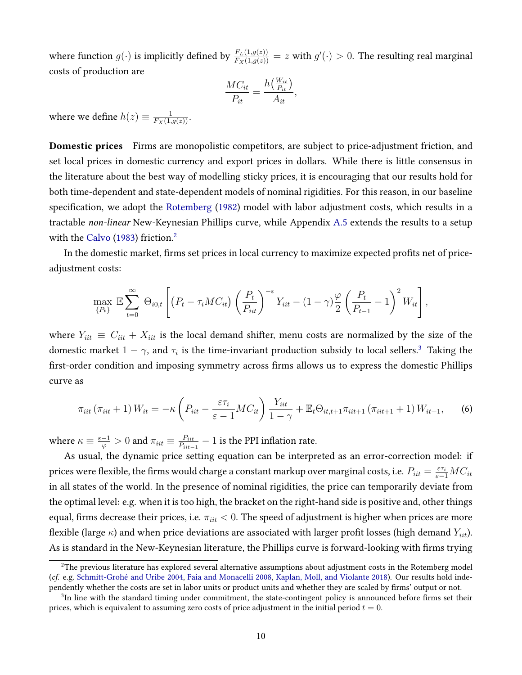where function  $g(\cdot)$  is implicitly defined by  $\frac{F_L(1,g(z))}{F_X(1,g(z))}=z$  with  $g'(\cdot)>0.$  The resulting real marginal costs of production are

$$
\frac{MC_{it}}{P_{it}} = \frac{h\left(\frac{W_{it}}{P_{it}}\right)}{A_{it}},
$$

where we define  $h(z) \equiv \frac{1}{F_X(1, g(z))}$ .

Domestic prices Firms are monopolistic competitors, are subject to price-adjustment friction, and set local prices in domestic currency and export prices in dollars. While there is little consensus in the literature about the best way of modelling sticky prices, it is encouraging that our results hold for both time-dependent and state-dependent models of nominal rigidities. For this reason, in our baseline specification, we adopt the [Rotemberg](#page-45-10) [\(1982\)](#page-45-10) model with labor adjustment costs, which results in a tractable non-linear New-Keynesian Phillips curve, while Appendix [A.5](#page-76-0) extends the results to a setup with the [Calvo](#page-41-11) [\(1983\)](#page-41-11) friction.<sup>[2](#page-10-0)</sup>

In the domestic market, firms set prices in local currency to maximize expected profits net of priceadjustment costs:

$$
\max_{\{P_t\}} \mathbb{E} \sum_{t=0}^{\infty} \Theta_{i0,t} \left[ \left( P_t - \tau_i M C_{it} \right) \left( \frac{P_t}{P_{it}} \right)^{-\varepsilon} Y_{it} - (1-\gamma) \frac{\varphi}{2} \left( \frac{P_t}{P_{t-1}} - 1 \right)^2 W_{it} \right],
$$

where  $Y_{iit} \equiv C_{iit} + X_{iit}$  is the local demand shifter, menu costs are normalized by the size of the domestic market  $1 - \gamma$ , and  $\tau_i$  is the time-invariant production subsidy to local sellers.<sup>[3](#page-10-1)</sup> Taking the first-order condition and imposing symmetry across firms allows us to express the domestic Phillips curve as

<span id="page-10-2"></span>
$$
\pi_{iit} \left( \pi_{iit} + 1 \right) W_{it} = -\kappa \left( P_{iit} - \frac{\varepsilon \tau_i}{\varepsilon - 1} M C_{it} \right) \frac{Y_{iit}}{1 - \gamma} + \mathbb{E}_t \Theta_{it, t+1} \pi_{iit+1} \left( \pi_{iit+1} + 1 \right) W_{it+1}, \tag{6}
$$

where  $\kappa \equiv \frac{\varepsilon - 1}{\sqrt{2}}$  $\frac{-1}{\varphi}>0$  and  $\pi_{iit}\equiv\frac{P_{iit}}{P_{iit-}}$  $\frac{P_{iit}}{P_{iit-1}}-1$  is the PPI inflation rate.

As usual, the dynamic price setting equation can be interpreted as an error-correction model: if prices were flexible, the firms would charge a constant markup over marginal costs, i.e.  $P_{iit}=\frac{\varepsilon\tau_i}{\varepsilon-1}MC_{it}$ in all states of the world. In the presence of nominal rigidities, the price can temporarily deviate from the optimal level: e.g. when it is too high, the bracket on the right-hand side is positive and, other things equal, firms decrease their prices, i.e.  $\pi_{iit} < 0$ . The speed of adjustment is higher when prices are more flexible (large  $\kappa$ ) and when price deviations are associated with larger profit losses (high demand  $Y_{iit}$ ). As is standard in the New-Keynesian literature, the Phillips curve is forward-looking with firms trying

<span id="page-10-0"></span> $2$ The previous literature has explored several alternative assumptions about adjustment costs in the Rotemberg model (cf. e.g. [Schmitt-Grohé and Uribe](#page-45-11) [2004,](#page-45-11) [Faia and Monacelli](#page-43-15) [2008,](#page-43-15) [Kaplan, Moll, and Violante](#page-44-13) [2018\)](#page-44-13). Our results hold independently whether the costs are set in labor units or product units and whether they are scaled by firms' output or not.

<span id="page-10-1"></span> $3$ In line with the standard timing under commitment, the state-contingent policy is announced before firms set their prices, which is equivalent to assuming zero costs of price adjustment in the initial period  $t = 0$ .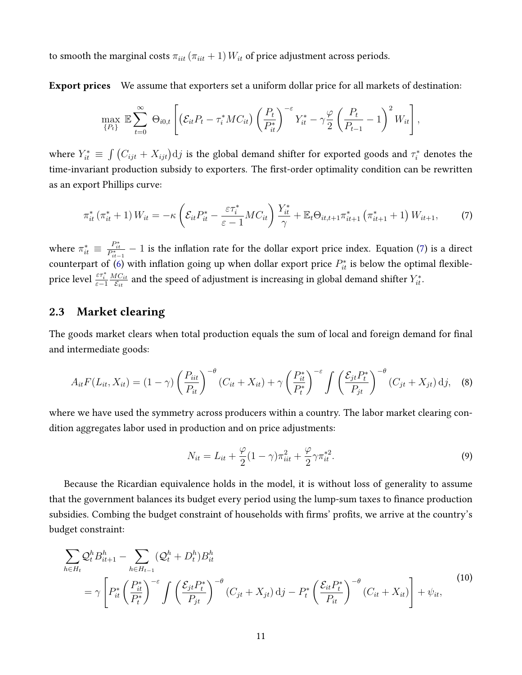to smooth the marginal costs  $\pi_{iit}$  ( $\pi_{iit}$  + 1)  $W_{it}$  of price adjustment across periods.

Export prices We assume that exporters set a uniform dollar price for all markets of destination:

$$
\max_{\{P_t\}} \mathbb{E} \sum_{t=0}^{\infty} \Theta_{i0,t} \left[ \left( \mathcal{E}_{it} P_t - \tau_i^* M C_{it} \right) \left( \frac{P_t}{P_{it}^*} \right)^{-\varepsilon} Y_{it}^* - \gamma \frac{\varphi}{2} \left( \frac{P_t}{P_{t-1}} - 1 \right)^2 W_{it} \right],
$$

where  $Y_{it}^*\equiv\int\big(C_{ijt}+X_{ijt}\big)\mathrm{d}j$  is the global demand shifter for exported goods and  $\tau_i^*$  denotes the time-invariant production subsidy to exporters. The first-order optimality condition can be rewritten as an export Phillips curve:

<span id="page-11-0"></span>
$$
\pi_{it}^* \left( \pi_{it}^* + 1 \right) W_{it} = -\kappa \left( \mathcal{E}_{it} P_{it}^* - \frac{\varepsilon \tau_i^*}{\varepsilon - 1} M C_{it} \right) \frac{Y_{it}^*}{\gamma} + \mathbb{E}_t \Theta_{it, t+1} \pi_{it+1}^* \left( \pi_{it+1}^* + 1 \right) W_{it+1}, \tag{7}
$$

where  $\pi_{it}^* \equiv \frac{P_{it}^*}{P_{it-1}^*} - 1$  is the inflation rate for the dollar export price index. Equation [\(7\)](#page-11-0) is a direct counterpart of [\(6\)](#page-10-2) with inflation going up when dollar export price  $P_{it}^*$  is below the optimal flexibleprice level  $\frac{\varepsilon\tau_i^*}{\varepsilon-1}$  $MC_{it}$  $\frac{dC_{it}}{\mathcal{E}_{it}}$  and the speed of adjustment is increasing in global demand shifter  $Y_{it}^* .$ 

## 2.3 Market clearing

The goods market clears when total production equals the sum of local and foreign demand for final and intermediate goods:

$$
A_{it}F(L_{it}, X_{it}) = (1 - \gamma) \left(\frac{P_{it}}{P_{it}}\right)^{-\theta} (C_{it} + X_{it}) + \gamma \left(\frac{P_{it}^*}{P_t^*}\right)^{-\varepsilon} \int \left(\frac{\mathcal{E}_{jt}P_t^*}{P_{jt}}\right)^{-\theta} (C_{jt} + X_{jt}) \, \mathrm{d}j,\tag{8}
$$

where we have used the symmetry across producers within a country. The labor market clearing condition aggregates labor used in production and on price adjustments:

$$
N_{it} = L_{it} + \frac{\varphi}{2}(1-\gamma)\pi_{it}^2 + \frac{\varphi}{2}\gamma\pi_{it}^{*2}.
$$
 (9)

Because the Ricardian equivalence holds in the model, it is without loss of generality to assume that the government balances its budget every period using the lump-sum taxes to finance production subsidies. Combing the budget constraint of households with firms' profits, we arrive at the country's budget constraint:

<span id="page-11-1"></span>
$$
\sum_{h \in H_t} \mathcal{Q}_t^h B_{it+1}^h - \sum_{h \in H_{t-1}} (\mathcal{Q}_t^h + D_t^h) B_{it}^h
$$
\n
$$
= \gamma \left[ P_{it}^* \left( \frac{P_{it}^*}{P_{t}} \right)^{-\varepsilon} \int \left( \frac{\mathcal{E}_{jt} P_t^*}{P_{jt}} \right)^{-\theta} (C_{jt} + X_{jt}) \, \mathrm{d}j - P_t^* \left( \frac{\mathcal{E}_{it} P_t^*}{P_{it}} \right)^{-\theta} (C_{it} + X_{it}) \right] + \psi_{it}, \tag{10}
$$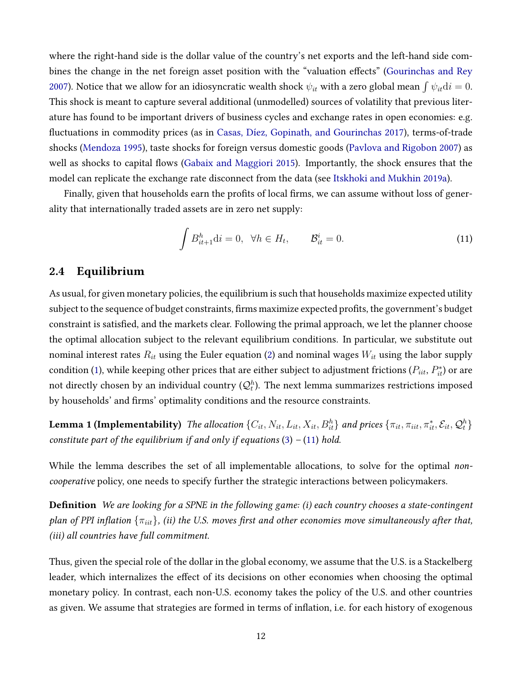where the right-hand side is the dollar value of the country's net exports and the left-hand side com-bines the change in the net foreign asset position with the "valuation effects" [\(Gourinchas and Rey](#page-44-7) [2007\)](#page-44-7). Notice that we allow for an idiosyncratic wealth shock  $\psi_{it}$  with a zero global mean  $\int \psi_{it} \text{d}i = 0.$ This shock is meant to capture several additional (unmodelled) sources of volatility that previous literature has found to be important drivers of business cycles and exchange rates in open economies: e.g. fluctuations in commodity prices (as in [Casas, Díez, Gopinath, and Gourinchas](#page-41-9) [2017\)](#page-41-9), terms-of-trade shocks [\(Mendoza](#page-45-12) [1995\)](#page-45-12), taste shocks for foreign versus domestic goods [\(Pavlova and Rigobon](#page-45-13) [2007\)](#page-45-13) as well as shocks to capital flows [\(Gabaix and Maggiori](#page-43-16) [2015\)](#page-43-16). Importantly, the shock ensures that the model can replicate the exchange rate disconnect from the data (see [Itskhoki and Mukhin](#page-44-14) [2019a\)](#page-44-14).

Finally, given that households earn the profits of local firms, we can assume without loss of generality that internationally traded assets are in zero net supply:

<span id="page-12-0"></span>
$$
\int B_{it+1}^h \mathrm{d}i = 0, \ \ \forall h \in H_t, \qquad \mathcal{B}_{it}^i = 0. \tag{11}
$$

#### 2.4 Equilibrium

As usual, for given monetary policies, the equilibrium is such that households maximize expected utility subject to the sequence of budget constraints, firms maximize expected profits, the government's budget constraint is satisfied, and the markets clear. Following the primal approach, we let the planner choose the optimal allocation subject to the relevant equilibrium conditions. In particular, we substitute out nominal interest rates  $R_{it}$  using the Euler equation [\(2\)](#page-9-0) and nominal wages  $W_{it}$  using the labor supply condition [\(1\)](#page-8-0), while keeping other prices that are either subject to adjustment frictions  $(P_{iit}, P_{it}^*)$  or are not directly chosen by an individual country ( $\mathcal{Q}_t^h$ ). The next lemma summarizes restrictions imposed by households' and firms' optimality conditions and the resource constraints.

**Lemma 1 (Implementability)** The allocation  $\{C_{it}, N_{it}, L_{it}, X_{it}, B^h_{it}\}$  and prices  $\{\pi_{it}, \pi_{it}, \pi_{it}^*, \mathcal{E}_{it}, \mathcal{Q}_t^h\}$ constitute part of the equilibrium if and only if equations  $(3) - (11)$  $(3) - (11)$  $(3) - (11)$  hold.

While the lemma describes the set of all implementable allocations, to solve for the optimal noncooperative policy, one needs to specify further the strategic interactions between policymakers.

**Definition** We are looking for a SPNE in the following game: (i) each country chooses a state-contingent plan of PPI inflation  $\{\pi_{iit}\}\$ , (ii) the U.S. moves first and other economies move simultaneously after that, (iii) all countries have full commitment.

Thus, given the special role of the dollar in the global economy, we assume that the U.S. is a Stackelberg leader, which internalizes the effect of its decisions on other economies when choosing the optimal monetary policy. In contrast, each non-U.S. economy takes the policy of the U.S. and other countries as given. We assume that strategies are formed in terms of inflation, i.e. for each history of exogenous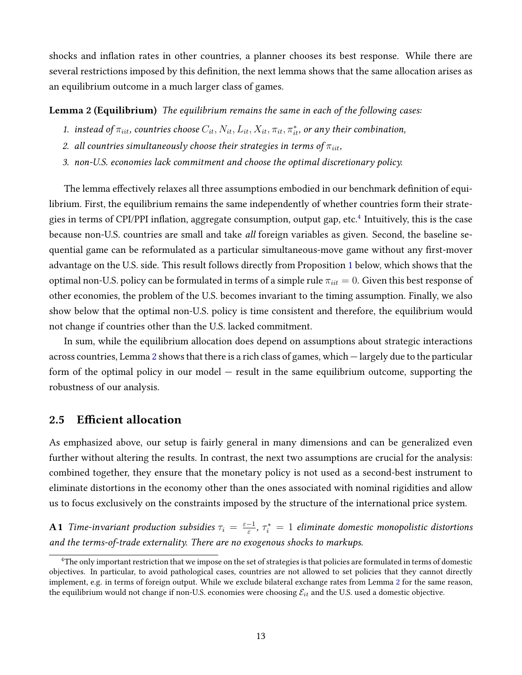shocks and inflation rates in other countries, a planner chooses its best response. While there are several restrictions imposed by this definition, the next lemma shows that the same allocation arises as an equilibrium outcome in a much larger class of games.

Lemma 2 (Equilibrium) The equilibrium remains the same in each of the following cases:

- <span id="page-13-1"></span>1. instead of  $\pi_{iit}$ , countries choose  $C_{it}$ ,  $N_{it}$ ,  $L_{it}$ ,  $X_{it}$ ,  $\pi_{it}$ ,  $\pi_{it}^*$ , or any their combination,
- 2. all countries simultaneously choose their strategies in terms of  $\pi_{\text{iit}}$ ,
- 3. non-U.S. economies lack commitment and choose the optimal discretionary policy.

The lemma effectively relaxes all three assumptions embodied in our benchmark definition of equilibrium. First, the equilibrium remains the same independently of whether countries form their strategies in terms of CPI/PPI inflation, aggregate consumption, output gap, etc. $^4$  $^4$  Intuitively, this is the case because non-U.S. countries are small and take all foreign variables as given. Second, the baseline sequential game can be reformulated as a particular simultaneous-move game without any first-mover advantage on the U.S. side. This result follows directly from Proposition [1](#page-15-0) below, which shows that the optimal non-U.S. policy can be formulated in terms of a simple rule  $\pi_{iit} = 0$ . Given this best response of other economies, the problem of the U.S. becomes invariant to the timing assumption. Finally, we also show below that the optimal non-U.S. policy is time consistent and therefore, the equilibrium would not change if countries other than the U.S. lacked commitment.

In sum, while the equilibrium allocation does depend on assumptions about strategic interactions across countries, Lemma [2](#page-13-1) shows that there is a rich class of games, which — largely due to the particular form of the optimal policy in our model  $-$  result in the same equilibrium outcome, supporting the robustness of our analysis.

### 2.5 Efficient allocation

As emphasized above, our setup is fairly general in many dimensions and can be generalized even further without altering the results. In contrast, the next two assumptions are crucial for the analysis: combined together, they ensure that the monetary policy is not used as a second-best instrument to eliminate distortions in the economy other than the ones associated with nominal rigidities and allow us to focus exclusively on the constraints imposed by the structure of the international price system.

<span id="page-13-2"></span>**A1** Time-invariant production subsidies  $\tau_i = \frac{\varepsilon - 1}{\varepsilon}$  $\frac{-1}{\varepsilon}$ ,  $\tau^*_i \, = \, 1$  eliminate domestic monopolistic distortions and the terms-of-trade externality. There are no exogenous shocks to markups.

<span id="page-13-0"></span><sup>&</sup>lt;sup>4</sup>The only important restriction that we impose on the set of strategies is that policies are formulated in terms of domestic objectives. In particular, to avoid pathological cases, countries are not allowed to set policies that they cannot directly implement, e.g. in terms of foreign output. While we exclude bilateral exchange rates from Lemma [2](#page-13-1) for the same reason, the equilibrium would not change if non-U.S. economies were choosing  $\mathcal{E}_{it}$  and the U.S. used a domestic objective.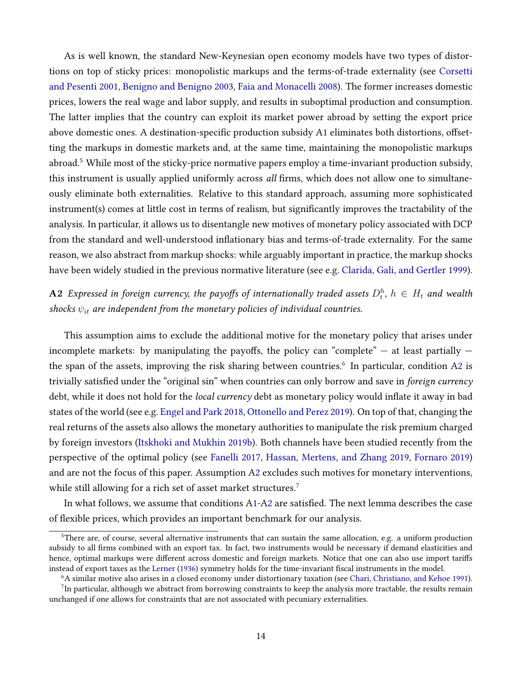As is well known, the standard New-Keynesian open economy models have two types of distortions on top of sticky prices: monopolistic markups and the terms-of-trade externality (see [Corsetti](#page-42-13) [and Pesenti](#page-42-13) [2001,](#page-42-13) [Benigno and Benigno](#page-41-7) [2003,](#page-41-7) [Faia and Monacelli](#page-43-15) [2008\)](#page-43-15). The former increases domestic prices, lowers the real wage and labor supply, and results in suboptimal production and consumption. The latter implies that the country can exploit its market power abroad by setting the export price above domestic ones. A destination-specific production subsidy [A1](#page-13-2) eliminates both distortions, offsetting the markups in domestic markets and, at the same time, maintaining the monopolistic markups abroad.<sup>[5](#page-14-0)</sup> While most of the sticky-price normative papers employ a time-invariant production subsidy, this instrument is usually applied uniformly across all firms, which does not allow one to simultaneously eliminate both externalities. Relative to this standard approach, assuming more sophisticated instrument(s) comes at little cost in terms of realism, but significantly improves the tractability of the analysis. In particular, it allows us to disentangle new motives of monetary policy associated with DCP from the standard and well-understood inflationary bias and terms-of-trade externality. For the same reason, we also abstract from markup shocks: while arguably important in practice, the markup shocks have been widely studied in the previous normative literature (see e.g. [Clarida, Gali, and Gertler](#page-42-14) [1999\)](#page-42-14).

<span id="page-14-2"></span> ${\bf A2}$  Expressed in foreign currency, the payoffs of internationally traded assets  $D_t^h,\,h\,\in\,H_t$  and wealth shocks  $\psi_{it}$  are independent from the monetary policies of individual countries.

This assumption aims to exclude the additional motive for the monetary policy that arises under incomplete markets: by manipulating the payoffs, the policy can "complete"  $-$  at least partially  $-$ the span of the assets, improving the risk sharing between countries.<sup>[6](#page-14-1)</sup> In particular, condition [A2](#page-14-2) is trivially satisfied under the "original sin" when countries can only borrow and save in foreign currency debt, while it does not hold for the *local currency* debt as monetary policy would inflate it away in bad states of the world (see e.g. [Engel and Park](#page-43-17) [2018,](#page-43-17) [Ottonello and Perez](#page-45-14) [2019\)](#page-45-14). On top of that, changing the real returns of the assets also allows the monetary authorities to manipulate the risk premium charged by foreign investors [\(Itskhoki and Mukhin](#page-44-15) [2019b\)](#page-44-15). Both channels have been studied recently from the perspective of the optimal policy (see [Fanelli](#page-43-13) [2017,](#page-43-13) [Hassan, Mertens, and Zhang](#page-44-10) [2019,](#page-44-10) [Fornaro](#page-43-18) [2019\)](#page-43-18) and are not the focus of this paper. Assumption [A2](#page-14-2) excludes such motives for monetary interventions, while still allowing for a rich set of asset market structures.<sup>[7](#page-14-3)</sup>

In what follows, we assume that conditions  $A1-A2$  $A1-A2$  are satisfied. The next lemma describes the case of flexible prices, which provides an important benchmark for our analysis.

<span id="page-14-0"></span><sup>&</sup>lt;sup>5</sup>There are, of course, several alternative instruments that can sustain the same allocation, e.g. a uniform production subsidy to all firms combined with an export tax. In fact, two instruments would be necessary if demand elasticities and hence, optimal markups were different across domestic and foreign markets. Notice that one can also use import tariffs instead of export taxes as the [Lerner](#page-45-15) [\(1936\)](#page-45-15) symmetry holds for the time-invariant fiscal instruments in the model.

<span id="page-14-4"></span><span id="page-14-3"></span><span id="page-14-1"></span><sup>&</sup>lt;sup>6</sup>A similar motive also arises in a closed economy under distortionary taxation (see [Chari, Christiano, and Kehoe](#page-41-12) [1991\)](#page-41-12).

 $^7$ In particular, although we abstract from borrowing constraints to keep the analysis more tractable, the results remain unchanged if one allows for constraints that are not associated with pecuniary externalities.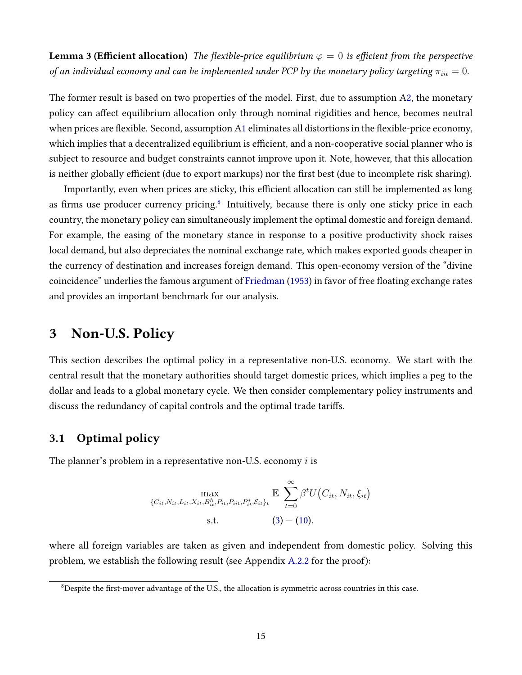**Lemma 3 (Efficient allocation)** The flexible-price equilibrium  $\varphi = 0$  is efficient from the perspective of an individual economy and can be implemented under PCP by the monetary policy targeting  $\pi_{iit} = 0$ .

The former result is based on two properties of the model. First, due to assumption [A2,](#page-14-2) the monetary policy can affect equilibrium allocation only through nominal rigidities and hence, becomes neutral when prices are flexible. Second, assumption [A1](#page-13-2) eliminates all distortions in the flexible-price economy, which implies that a decentralized equilibrium is efficient, and a non-cooperative social planner who is subject to resource and budget constraints cannot improve upon it. Note, however, that this allocation is neither globally efficient (due to export markups) nor the first best (due to incomplete risk sharing).

Importantly, even when prices are sticky, this efficient allocation can still be implemented as long as firms use producer currency pricing.<sup>[8](#page-15-1)</sup> Intuitively, because there is only one sticky price in each country, the monetary policy can simultaneously implement the optimal domestic and foreign demand. For example, the easing of the monetary stance in response to a positive productivity shock raises local demand, but also depreciates the nominal exchange rate, which makes exported goods cheaper in the currency of destination and increases foreign demand. This open-economy version of the "divine coincidence" underlies the famous argument of [Friedman](#page-43-0) [\(1953\)](#page-43-0) in favor of free floating exchange rates and provides an important benchmark for our analysis.

## <span id="page-15-2"></span>3 Non-U.S. Policy

This section describes the optimal policy in a representative non-U.S. economy. We start with the central result that the monetary authorities should target domestic prices, which implies a peg to the dollar and leads to a global monetary cycle. We then consider complementary policy instruments and discuss the redundancy of capital controls and the optimal trade tariffs.

## 3.1 Optimal policy

The planner's problem in a representative non-U.S. economy  $i$  is

$$
\max_{\{C_{it}, N_{it}, L_{it}, X_{it}, B_{it}^h, P_{it}, P_{it}, \mathcal{E}_{it}\}} \mathbb{E} \sum_{t=0}^{\infty} \beta^t U(C_{it}, N_{it}, \xi_{it})
$$
  
s.t. (3) – (10).

where all foreign variables are taken as given and independent from domestic policy. Solving this problem, we establish the following result (see Appendix [A.2.2](#page-51-0) for the proof):

<span id="page-15-1"></span><span id="page-15-0"></span> $8$ Despite the first-mover advantage of the U.S., the allocation is symmetric across countries in this case.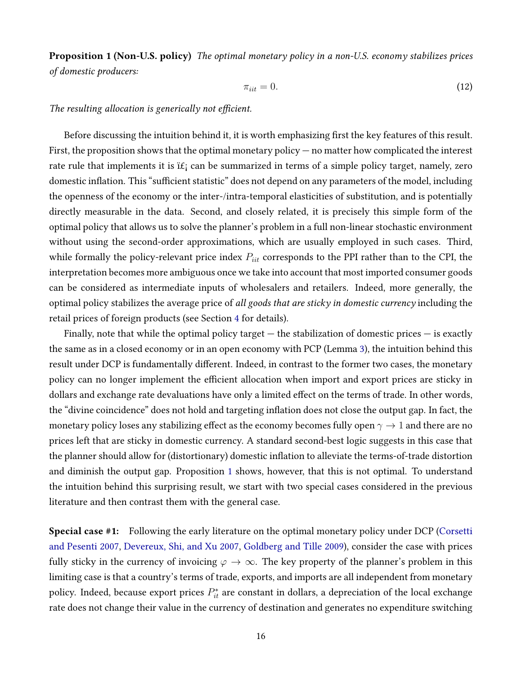Proposition 1 (Non-U.S. policy) The optimal monetary policy in a non-U.S. economy stabilizes prices of domestic producers:

<span id="page-16-0"></span>
$$
\pi_{iit} = 0. \tag{12}
$$

The resulting allocation is generically not efficient.

Before discussing the intuition behind it, it is worth emphasizing first the key features of this result. First, the proposition shows that the optimal monetary policy — no matter how complicated the interest rate rule that implements it is  $i \mathcal{L}_i$  can be summarized in terms of a simple policy target, namely, zero domestic inflation. This "sufficient statistic" does not depend on any parameters of the model, including the openness of the economy or the inter-/intra-temporal elasticities of substitution, and is potentially directly measurable in the data. Second, and closely related, it is precisely this simple form of the optimal policy that allows us to solve the planner's problem in a full non-linear stochastic environment without using the second-order approximations, which are usually employed in such cases. Third, while formally the policy-relevant price index  $P_{iit}$  corresponds to the PPI rather than to the CPI, the interpretation becomes more ambiguous once we take into account that most imported consumer goods can be considered as intermediate inputs of wholesalers and retailers. Indeed, more generally, the optimal policy stabilizes the average price of all goods that are sticky in domestic currency including the retail prices of foreign products (see Section [4](#page-25-1) for details).

Finally, note that while the optimal policy target  $-$  the stabilization of domestic prices  $-$  is exactly the same as in a closed economy or in an open economy with PCP (Lemma [3\)](#page-14-4), the intuition behind this result under DCP is fundamentally different. Indeed, in contrast to the former two cases, the monetary policy can no longer implement the efficient allocation when import and export prices are sticky in dollars and exchange rate devaluations have only a limited effect on the terms of trade. In other words, the "divine coincidence" does not hold and targeting inflation does not close the output gap. In fact, the monetary policy loses any stabilizing effect as the economy becomes fully open  $\gamma \to 1$  and there are no prices left that are sticky in domestic currency. A standard second-best logic suggests in this case that the planner should allow for (distortionary) domestic inflation to alleviate the terms-of-trade distortion and diminish the output gap. Proposition [1](#page-15-0) shows, however, that this is not optimal. To understand the intuition behind this surprising result, we start with two special cases considered in the previous literature and then contrast them with the general case.

Special case #1: Following the early literature on the optimal monetary policy under DCP [\(Corsetti](#page-42-10) [and Pesenti](#page-42-10) [2007,](#page-42-10) [Devereux, Shi, and Xu](#page-43-7) [2007,](#page-43-7) [Goldberg and Tille](#page-44-8) [2009\)](#page-44-8), consider the case with prices fully sticky in the currency of invoicing  $\varphi \to \infty$ . The key property of the planner's problem in this limiting case is that a country's terms of trade, exports, and imports are all independent from monetary policy. Indeed, because export prices  $P_{it}^*$  are constant in dollars, a depreciation of the local exchange rate does not change their value in the currency of destination and generates no expenditure switching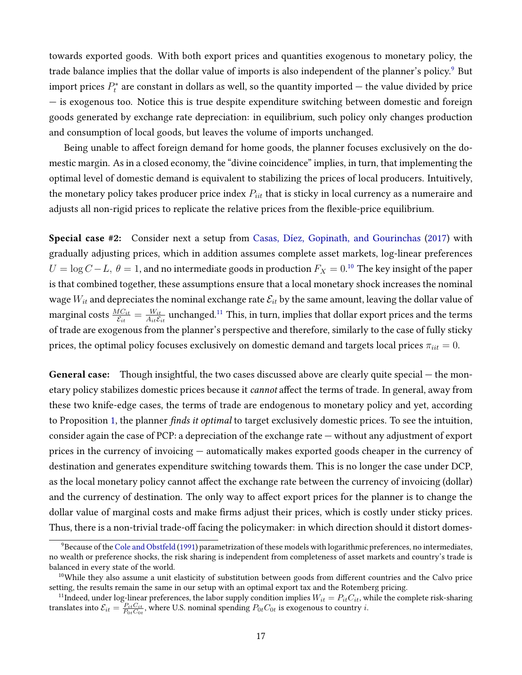towards exported goods. With both export prices and quantities exogenous to monetary policy, the trade balance implies that the dollar value of imports is also independent of the planner's policy.<sup>[9](#page-17-0)</sup> But import prices  $P_t^*$  are constant in dollars as well, so the quantity imported — the value divided by price — is exogenous too. Notice this is true despite expenditure switching between domestic and foreign goods generated by exchange rate depreciation: in equilibrium, such policy only changes production and consumption of local goods, but leaves the volume of imports unchanged.

Being unable to affect foreign demand for home goods, the planner focuses exclusively on the domestic margin. As in a closed economy, the "divine coincidence" implies, in turn, that implementing the optimal level of domestic demand is equivalent to stabilizing the prices of local producers. Intuitively, the monetary policy takes producer price index  $P_{iit}$  that is sticky in local currency as a numeraire and adjusts all non-rigid prices to replicate the relative prices from the flexible-price equilibrium.

Special case #2: Consider next a setup from [Casas, Díez, Gopinath, and Gourinchas](#page-41-9) [\(2017\)](#page-41-9) with gradually adjusting prices, which in addition assumes complete asset markets, log-linear preferences  $U = \log C - L, \ \theta = 1,$  and no intermediate goods in production  $F_X = 0.10$  $F_X = 0.10$  The key insight of the paper is that combined together, these assumptions ensure that a local monetary shock increases the nominal wage  $W_{it}$  and depreciates the nominal exchange rate  $\mathcal{E}_{it}$  by the same amount, leaving the dollar value of marginal costs  $\frac{MC_{it}}{\mathcal{E}_{it}} = \frac{W_{it}}{A_{it}\mathcal{E}_{i}}$  $\frac{W_{it}}{A_{it} \mathcal{E}_{it}}$  unchanged. $^{11}$  $^{11}$  $^{11}$  This, in turn, implies that dollar export prices and the terms of trade are exogenous from the planner's perspective and therefore, similarly to the case of fully sticky prices, the optimal policy focuses exclusively on domestic demand and targets local prices  $\pi_{iit} = 0$ .

General case: Though insightful, the two cases discussed above are clearly quite special – the monetary policy stabilizes domestic prices because it *cannot* affect the terms of trade. In general, away from these two knife-edge cases, the terms of trade are endogenous to monetary policy and yet, according to Proposition [1,](#page-15-0) the planner finds it optimal to target exclusively domestic prices. To see the intuition, consider again the case of PCP: a depreciation of the exchange rate — without any adjustment of export prices in the currency of invoicing — automatically makes exported goods cheaper in the currency of destination and generates expenditure switching towards them. This is no longer the case under DCP, as the local monetary policy cannot affect the exchange rate between the currency of invoicing (dollar) and the currency of destination. The only way to affect export prices for the planner is to change the dollar value of marginal costs and make firms adjust their prices, which is costly under sticky prices. Thus, there is a non-trivial trade-off facing the policymaker: in which direction should it distort domes-

<span id="page-17-0"></span> $9$ Because of the [Cole and Obstfeld](#page-42-15) [\(1991\)](#page-42-15) parametrization of these models with logarithmic preferences, no intermediates, no wealth or preference shocks, the risk sharing is independent from completeness of asset markets and country's trade is balanced in every state of the world.

<span id="page-17-1"></span> $10$ While they also assume a unit elasticity of substitution between goods from different countries and the Calvo price setting, the results remain the same in our setup with an optimal export tax and the Rotemberg pricing.

<span id="page-17-2"></span><sup>&</sup>lt;sup>11</sup>Indeed, under log-linear preferences, the labor supply condition implies  $W_{it} = P_{it}C_{it}$ , while the complete risk-sharing translates into  $\mathcal{E}_{it} = \frac{P_{it} C_{it}}{P_{0t} C_{0t}}$ , where U.S. nominal spending  $P_{0t} C_{0t}$  is exogenous to country *i*.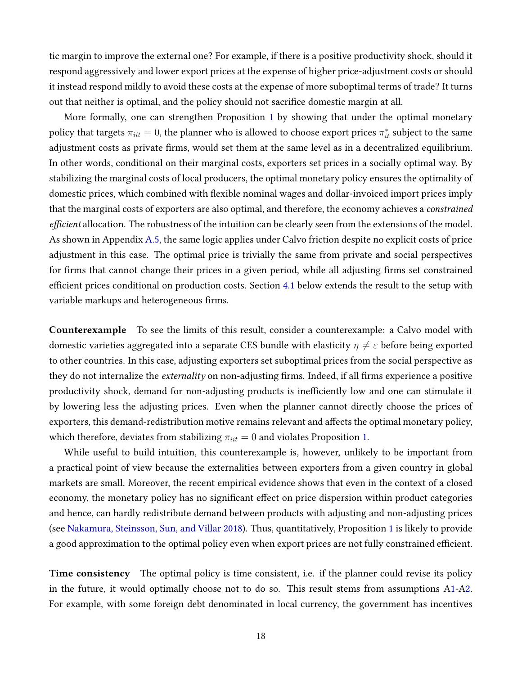tic margin to improve the external one? For example, if there is a positive productivity shock, should it respond aggressively and lower export prices at the expense of higher price-adjustment costs or should it instead respond mildly to avoid these costs at the expense of more suboptimal terms of trade? It turns out that neither is optimal, and the policy should not sacrifice domestic margin at all.

More formally, one can strengthen Proposition [1](#page-15-0) by showing that under the optimal monetary policy that targets  $\pi_{iit} = 0$ , the planner who is allowed to choose export prices  $\pi_{it}^*$  subject to the same adjustment costs as private firms, would set them at the same level as in a decentralized equilibrium. In other words, conditional on their marginal costs, exporters set prices in a socially optimal way. By stabilizing the marginal costs of local producers, the optimal monetary policy ensures the optimality of domestic prices, which combined with flexible nominal wages and dollar-invoiced import prices imply that the marginal costs of exporters are also optimal, and therefore, the economy achieves a constrained efficient allocation. The robustness of the intuition can be clearly seen from the extensions of the model. As shown in Appendix [A.5,](#page-76-0) the same logic applies under Calvo friction despite no explicit costs of price adjustment in this case. The optimal price is trivially the same from private and social perspectives for firms that cannot change their prices in a given period, while all adjusting firms set constrained efficient prices conditional on production costs. Section [4.1](#page-25-0) below extends the result to the setup with variable markups and heterogeneous firms.

Counterexample To see the limits of this result, consider a counterexample: a Calvo model with domestic varieties aggregated into a separate CES bundle with elasticity  $\eta \neq \varepsilon$  before being exported to other countries. In this case, adjusting exporters set suboptimal prices from the social perspective as they do not internalize the *externality* on non-adjusting firms. Indeed, if all firms experience a positive productivity shock, demand for non-adjusting products is inefficiently low and one can stimulate it by lowering less the adjusting prices. Even when the planner cannot directly choose the prices of exporters, this demand-redistribution motive remains relevant and affects the optimal monetary policy, which therefore, deviates from stabilizing  $\pi_{ii} = 0$  and violates Proposition [1.](#page-15-0)

While useful to build intuition, this counterexample is, however, unlikely to be important from a practical point of view because the externalities between exporters from a given country in global markets are small. Moreover, the recent empirical evidence shows that even in the context of a closed economy, the monetary policy has no significant effect on price dispersion within product categories and hence, can hardly redistribute demand between products with adjusting and non-adjusting prices (see [Nakamura, Steinsson, Sun, and Villar](#page-45-16) [2018\)](#page-45-16). Thus, quantitatively, Proposition [1](#page-15-0) is likely to provide a good approximation to the optimal policy even when export prices are not fully constrained efficient.

**Time consistency** The optimal policy is time consistent, i.e. if the planner could revise its policy in the future, it would optimally choose not to do so. This result stems from assumptions [A1-](#page-13-2)[A2.](#page-14-2) For example, with some foreign debt denominated in local currency, the government has incentives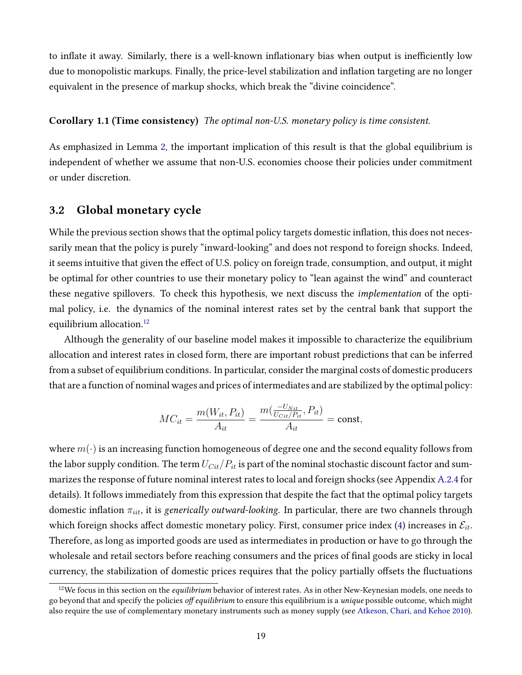to inflate it away. Similarly, there is a well-known inflationary bias when output is inefficiently low due to monopolistic markups. Finally, the price-level stabilization and inflation targeting are no longer equivalent in the presence of markup shocks, which break the "divine coincidence".

#### Corollary 1.1 (Time consistency) The optimal non-U.S. monetary policy is time consistent.

As emphasized in Lemma [2,](#page-13-1) the important implication of this result is that the global equilibrium is independent of whether we assume that non-U.S. economies choose their policies under commitment or under discretion.

### <span id="page-19-1"></span>3.2 Global monetary cycle

While the previous section shows that the optimal policy targets domestic inflation, this does not necessarily mean that the policy is purely "inward-looking" and does not respond to foreign shocks. Indeed, it seems intuitive that given the effect of U.S. policy on foreign trade, consumption, and output, it might be optimal for other countries to use their monetary policy to "lean against the wind" and counteract these negative spillovers. To check this hypothesis, we next discuss the implementation of the optimal policy, i.e. the dynamics of the nominal interest rates set by the central bank that support the equilibrium allocation.<sup>[12](#page-19-0)</sup>

Although the generality of our baseline model makes it impossible to characterize the equilibrium allocation and interest rates in closed form, there are important robust predictions that can be inferred from a subset of equilibrium conditions. In particular, consider the marginal costs of domestic producers that are a function of nominal wages and prices of intermediates and are stabilized by the optimal policy:

$$
MC_{it} = \frac{m(W_{it}, P_{it})}{A_{it}} = \frac{m(\frac{-U_{Nit}}{U_{Cit}/P_{it}}, P_{it})}{A_{it}} = \text{const},
$$

where  $m(\cdot)$  is an increasing function homogeneous of degree one and the second equality follows from the labor supply condition. The term  $U_{Cit}/P_{it}$  is part of the nominal stochastic discount factor and summarizes the response of future nominal interest rates to local and foreign shocks (see Appendix [A.2.4](#page-55-0) for details). It follows immediately from this expression that despite the fact that the optimal policy targets domestic inflation  $\pi_{iit}$ , it is generically outward-looking. In particular, there are two channels through which foreign shocks affect domestic monetary policy. First, consumer price index [\(4\)](#page-9-2) increases in  $\mathcal{E}_{it}$ . Therefore, as long as imported goods are used as intermediates in production or have to go through the wholesale and retail sectors before reaching consumers and the prices of final goods are sticky in local currency, the stabilization of domestic prices requires that the policy partially offsets the fluctuations

<span id="page-19-0"></span> $12$ We focus in this section on the *equilibrium* behavior of interest rates. As in other New-Keynesian models, one needs to go beyond that and specify the policies off equilibrium to ensure this equilibrium is a unique possible outcome, which might also require the use of complementary monetary instruments such as money supply (see [Atkeson, Chari, and Kehoe](#page-41-13) [2010\)](#page-41-13).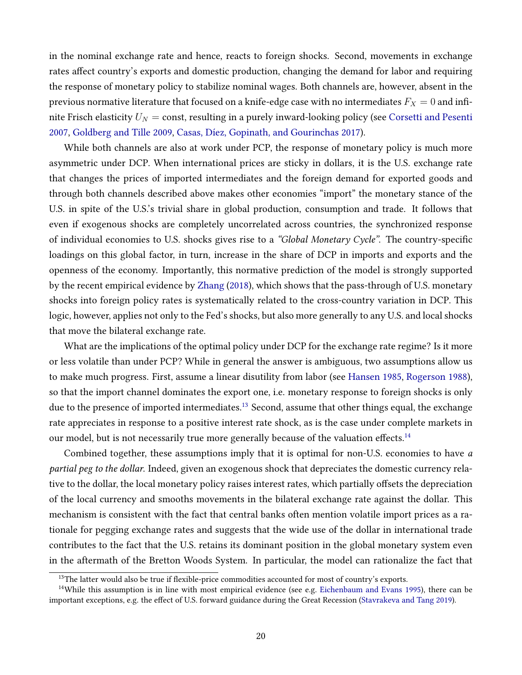in the nominal exchange rate and hence, reacts to foreign shocks. Second, movements in exchange rates affect country's exports and domestic production, changing the demand for labor and requiring the response of monetary policy to stabilize nominal wages. Both channels are, however, absent in the previous normative literature that focused on a knife-edge case with no intermediates  $F_X = 0$  and infinite Frisch elasticity  $U_N = \text{const}$ , resulting in a purely inward-looking policy (see [Corsetti and Pesenti](#page-42-10) [2007,](#page-42-10) [Goldberg and Tille](#page-44-8) [2009,](#page-44-8) [Casas, Díez, Gopinath, and Gourinchas](#page-41-9) [2017\)](#page-41-9).

While both channels are also at work under PCP, the response of monetary policy is much more asymmetric under DCP. When international prices are sticky in dollars, it is the U.S. exchange rate that changes the prices of imported intermediates and the foreign demand for exported goods and through both channels described above makes other economies "import" the monetary stance of the U.S. in spite of the U.S.'s trivial share in global production, consumption and trade. It follows that even if exogenous shocks are completely uncorrelated across countries, the synchronized response of individual economies to U.S. shocks gives rise to a "Global Monetary Cycle". The country-specific loadings on this global factor, in turn, increase in the share of DCP in imports and exports and the openness of the economy. Importantly, this normative prediction of the model is strongly supported by the recent empirical evidence by [Zhang](#page-45-3) [\(2018\)](#page-45-3), which shows that the pass-through of U.S. monetary shocks into foreign policy rates is systematically related to the cross-country variation in DCP. This logic, however, applies not only to the Fed's shocks, but also more generally to any U.S. and local shocks that move the bilateral exchange rate.

What are the implications of the optimal policy under DCP for the exchange rate regime? Is it more or less volatile than under PCP? While in general the answer is ambiguous, two assumptions allow us to make much progress. First, assume a linear disutility from labor (see [Hansen](#page-44-16) [1985,](#page-44-16) [Rogerson](#page-45-17) [1988\)](#page-45-17), so that the import channel dominates the export one, i.e. monetary response to foreign shocks is only due to the presence of imported intermediates.<sup>[13](#page-20-0)</sup> Second, assume that other things equal, the exchange rate appreciates in response to a positive interest rate shock, as is the case under complete markets in our model, but is not necessarily true more generally because of the valuation effects.<sup>[14](#page-20-1)</sup>

Combined together, these assumptions imply that it is optimal for non-U.S. economies to have a partial peg to the dollar. Indeed, given an exogenous shock that depreciates the domestic currency relative to the dollar, the local monetary policy raises interest rates, which partially offsets the depreciation of the local currency and smooths movements in the bilateral exchange rate against the dollar. This mechanism is consistent with the fact that central banks often mention volatile import prices as a rationale for pegging exchange rates and suggests that the wide use of the dollar in international trade contributes to the fact that the U.S. retains its dominant position in the global monetary system even in the aftermath of the Bretton Woods System. In particular, the model can rationalize the fact that

<span id="page-20-1"></span><span id="page-20-0"></span> $13$ The latter would also be true if flexible-price commodities accounted for most of country's exports.

 $14$ While this assumption is in line with most empirical evidence (see e.g. [Eichenbaum and Evans](#page-43-19) [1995\)](#page-43-19), there can be important exceptions, e.g. the effect of U.S. forward guidance during the Great Recession [\(Stavrakeva and Tang](#page-45-18) [2019\)](#page-45-18).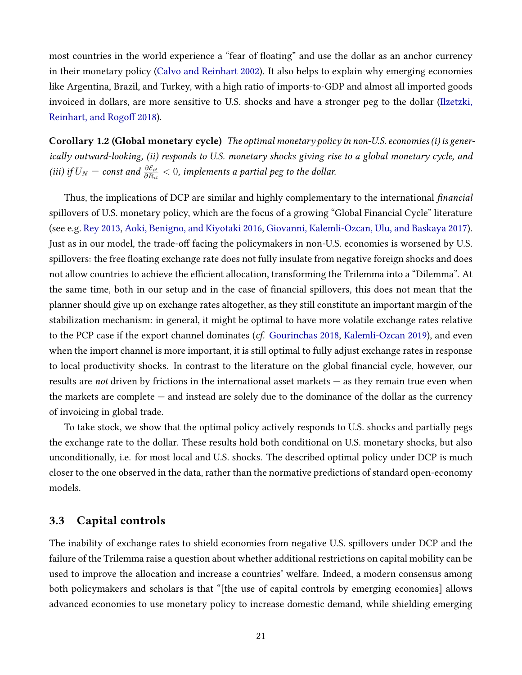most countries in the world experience a "fear of floating" and use the dollar as an anchor currency in their monetary policy [\(Calvo and Reinhart](#page-41-3) [2002\)](#page-41-3). It also helps to explain why emerging economies like Argentina, Brazil, and Turkey, with a high ratio of imports-to-GDP and almost all imported goods invoiced in dollars, are more sensitive to U.S. shocks and have a stronger peg to the dollar [\(Ilzetzki,](#page-44-4) [Reinhart, and Rogo](#page-44-4)ff [2018\)](#page-44-4).

<span id="page-21-1"></span>Corollary 1.2 (Global monetary cycle) The optimal monetary policy in non-U.S. economies (i) is generically outward-looking, (ii) responds to U.S. monetary shocks giving rise to a global monetary cycle, and (iii) if  $U_N=$  const and  $\frac{\partial \mathcal{E}_{it}}{\partial R_{it}} < 0$ , implements a partial peg to the dollar.

Thus, the implications of DCP are similar and highly complementary to the international financial spillovers of U.S. monetary policy, which are the focus of a growing "Global Financial Cycle" literature (see e.g. [Rey](#page-45-4) [2013,](#page-45-4) [Aoki, Benigno, and Kiyotaki](#page-41-14) [2016,](#page-41-14) [Giovanni, Kalemli-Ozcan, Ulu, and Baskaya](#page-44-17) [2017\)](#page-44-17). Just as in our model, the trade-off facing the policymakers in non-U.S. economies is worsened by U.S. spillovers: the free floating exchange rate does not fully insulate from negative foreign shocks and does not allow countries to achieve the efficient allocation, transforming the Trilemma into a "Dilemma". At the same time, both in our setup and in the case of nancial spillovers, this does not mean that the planner should give up on exchange rates altogether, as they still constitute an important margin of the stabilization mechanism: in general, it might be optimal to have more volatile exchange rates relative to the PCP case if the export channel dominates (cf. [Gourinchas](#page-44-5) [2018,](#page-44-5) [Kalemli-Ozcan](#page-44-6) [2019\)](#page-44-6), and even when the import channel is more important, it is still optimal to fully adjust exchange rates in response to local productivity shocks. In contrast to the literature on the global financial cycle, however, our results are not driven by frictions in the international asset markets — as they remain true even when the markets are complete — and instead are solely due to the dominance of the dollar as the currency of invoicing in global trade.

To take stock, we show that the optimal policy actively responds to U.S. shocks and partially pegs the exchange rate to the dollar. These results hold both conditional on U.S. monetary shocks, but also unconditionally, i.e. for most local and U.S. shocks. The described optimal policy under DCP is much closer to the one observed in the data, rather than the normative predictions of standard open-economy models.

## <span id="page-21-0"></span>3.3 Capital controls

The inability of exchange rates to shield economies from negative U.S. spillovers under DCP and the failure of the Trilemma raise a question about whether additional restrictions on capital mobility can be used to improve the allocation and increase a countries' welfare. Indeed, a modern consensus among both policymakers and scholars is that "[the use of capital controls by emerging economies] allows advanced economies to use monetary policy to increase domestic demand, while shielding emerging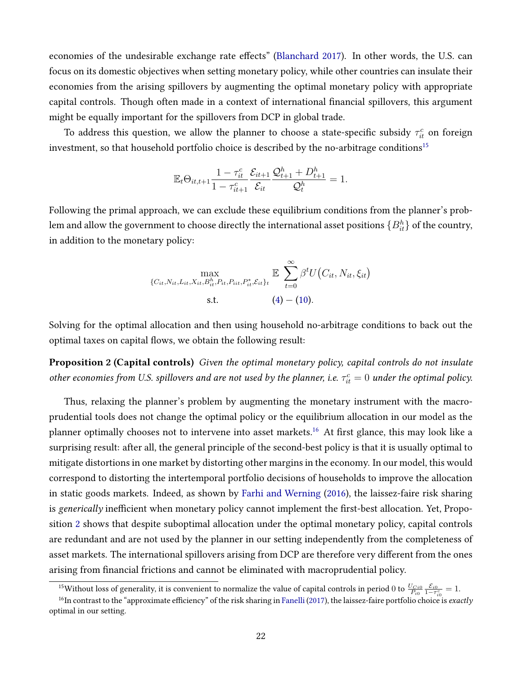economies of the undesirable exchange rate effects" [\(Blanchard](#page-41-4) [2017\)](#page-41-4). In other words, the U.S. can focus on its domestic objectives when setting monetary policy, while other countries can insulate their economies from the arising spillovers by augmenting the optimal monetary policy with appropriate capital controls. Though often made in a context of international financial spillovers, this argument might be equally important for the spillovers from DCP in global trade.

To address this question, we allow the planner to choose a state-specific subsidy  $\tau_{it}^c$  on foreign investment, so that household portfolio choice is described by the no-arbitrage conditions<sup>[15](#page-22-0)</sup>

$$
\mathbb{E}_{t}\Theta_{it,t+1}\frac{1-\tau_{it}^{c}}{1-\tau_{it+1}^{c}}\frac{\mathcal{E}_{it+1}}{\mathcal{E}_{it}}\frac{\mathcal{Q}_{t+1}^{h}+D_{t+1}^{h}}{\mathcal{Q}_{t}^{h}}=1.
$$

Following the primal approach, we can exclude these equilibrium conditions from the planner's problem and allow the government to choose directly the international asset positions  $\{B_{it}^{h}\}$  of the country, in addition to the monetary policy:

<span id="page-22-2"></span>
$$
\max_{\{C_{it}, N_{it}, L_{it}, X_{it}, B_{it}^h, P_{it}, P_{it}, P_{it}, \mathcal{E}_{it}\}} \mathbb{E} \sum_{t=0}^{\infty} \beta^t U(C_{it}, N_{it}, \xi_{it})
$$
  
s.t. (4) - (10).

Solving for the optimal allocation and then using household no-arbitrage conditions to back out the optimal taxes on capital flows, we obtain the following result:

Proposition 2 (Capital controls) Given the optimal monetary policy, capital controls do not insulate other economies from U.S. spillovers and are not used by the planner, i.e.  $\tau_{it}^c=0$  under the optimal policy.

Thus, relaxing the planner's problem by augmenting the monetary instrument with the macroprudential tools does not change the optimal policy or the equilibrium allocation in our model as the planner optimally chooses not to intervene into asset markets.<sup>[16](#page-22-1)</sup> At first glance, this may look like a surprising result: after all, the general principle of the second-best policy is that it is usually optimal to mitigate distortions in one market by distorting other margins in the economy. In our model, this would correspond to distorting the intertemporal portfolio decisions of households to improve the allocation in static goods markets. Indeed, as shown by [Farhi and Werning](#page-43-3) [\(2016\)](#page-43-3), the laissez-faire risk sharing is *generically* inefficient when monetary policy cannot implement the first-best allocation. Yet, Proposition [2](#page-22-2) shows that despite suboptimal allocation under the optimal monetary policy, capital controls are redundant and are not used by the planner in our setting independently from the completeness of asset markets. The international spillovers arising from DCP are therefore very different from the ones arising from nancial frictions and cannot be eliminated with macroprudential policy.

<span id="page-22-1"></span><span id="page-22-0"></span><sup>&</sup>lt;sup>15</sup>Without loss of generality, it is convenient to normalize the value of capital controls in period 0 to  $\frac{U_{Ci0}}{P_{i0}} \frac{\mathcal{E}_{i0}}{1 - \tau_{i0}^c} = 1$ .

<sup>&</sup>lt;sup>16</sup>In contrast to the "approximate efficiency" of the risk sharing in [Fanelli](#page-43-13) [\(2017\)](#page-43-13), the laissez-faire portfolio choice is exactly optimal in our setting.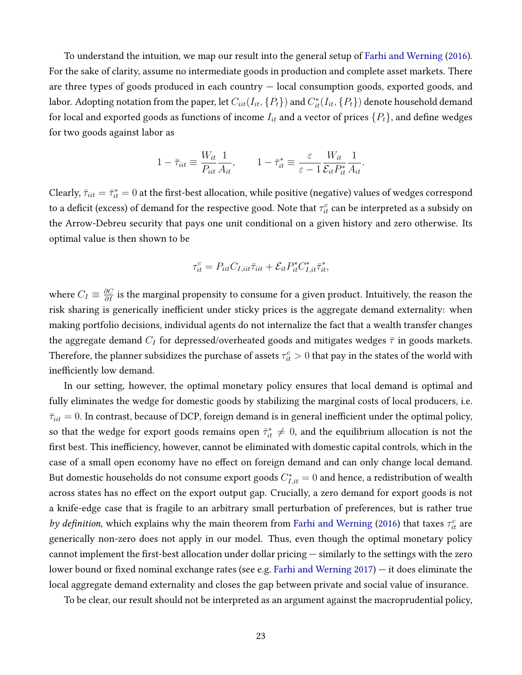To understand the intuition, we map our result into the general setup of [Farhi and Werning](#page-43-3) [\(2016\)](#page-43-3). For the sake of clarity, assume no intermediate goods in production and complete asset markets. There are three types of goods produced in each country — local consumption goods, exported goods, and labor. Adopting notation from the paper, let  $C_{iit}(I_{it},\{P_t\})$  and  $C^*_{it}(I_{it},\{P_t\})$  denote household demand for local and exported goods as functions of income  $I_{it}$  and a vector of prices  $\{P_t\}$ , and define wedges for two goods against labor as

$$
1 - \bar{\tau}_{it} \equiv \frac{W_{it}}{P_{it}} \frac{1}{A_{it}}, \qquad 1 - \bar{\tau}_{it}^* \equiv \frac{\varepsilon}{\varepsilon - 1} \frac{W_{it}}{\mathcal{E}_{it} P_{it}^*} \frac{1}{A_{it}}.
$$

Clearly,  $\bar{\tau}_{iit}=\bar{\tau}_{it}^*=0$  at the first-best allocation, while positive (negative) values of wedges correspond to a deficit (excess) of demand for the respective good. Note that  $\tau^c_{it}$  can be interpreted as a subsidy on the Arrow-Debreu security that pays one unit conditional on a given history and zero otherwise. Its optimal value is then shown to be

$$
\tau_{it}^c = P_{iit} C_{I, iit} \bar{\tau}_{it} + \mathcal{E}_{it} P_{it}^* C_{I, it}^* \bar{\tau}_{it}^*,
$$

where  $C_I\equiv \frac{\partial C}{\partial I}$  is the marginal propensity to consume for a given product. Intuitively, the reason the risk sharing is generically inefficient under sticky prices is the aggregate demand externality: when making portfolio decisions, individual agents do not internalize the fact that a wealth transfer changes the aggregate demand  $C_I$  for depressed/overheated goods and mitigates wedges  $\bar{\tau}$  in goods markets. Therefore, the planner subsidizes the purchase of assets  $\tau_{it}^c > 0$  that pay in the states of the world with inefficiently low demand.

In our setting, however, the optimal monetary policy ensures that local demand is optimal and fully eliminates the wedge for domestic goods by stabilizing the marginal costs of local producers, i.e.  $\bar{\tau}_{iit} = 0$ . In contrast, because of DCP, foreign demand is in general inefficient under the optimal policy, so that the wedge for export goods remains open  $\bar{\tau}_{it}^* \neq 0$ , and the equilibrium allocation is not the first best. This inefficiency, however, cannot be eliminated with domestic capital controls, which in the case of a small open economy have no effect on foreign demand and can only change local demand. But domestic households do not consume export goods  $C^*_{I, it} = 0$  and hence, a redistribution of wealth across states has no effect on the export output gap. Crucially, a zero demand for export goods is not a knife-edge case that is fragile to an arbitrary small perturbation of preferences, but is rather true by definition, which explains why the main theorem from [Farhi and Werning](#page-43-3) [\(2016\)](#page-43-3) that taxes  $\tau_{it}^c$  are generically non-zero does not apply in our model. Thus, even though the optimal monetary policy cannot implement the first-best allocation under dollar pricing  $-$  similarly to the settings with the zero lower bound or fixed nominal exchange rates (see e.g. [Farhi and Werning](#page-43-11) [2017\)](#page-43-11) — it does eliminate the local aggregate demand externality and closes the gap between private and social value of insurance.

To be clear, our result should not be interpreted as an argument against the macroprudential policy,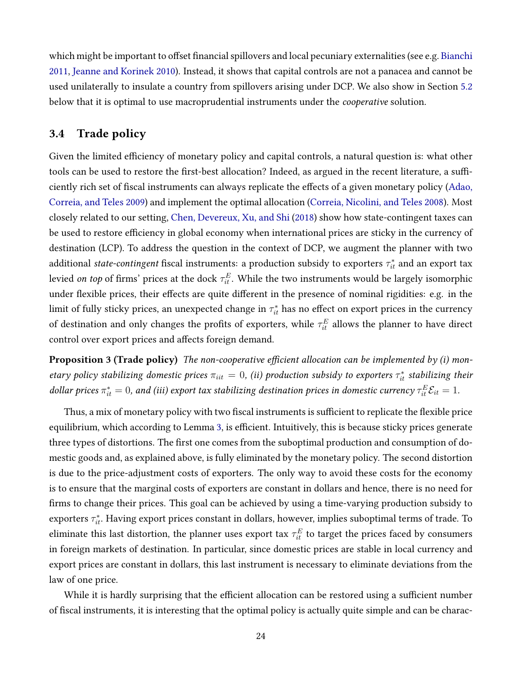which might be important to offset financial spillovers and local pecuniary externalities (see e.g. [Bianchi](#page-41-5) [2011,](#page-41-5) [Jeanne and Korinek](#page-44-9) [2010\)](#page-44-9). Instead, it shows that capital controls are not a panacea and cannot be used unilaterally to insulate a country from spillovers arising under DCP. We also show in Section [5.2](#page-36-0) below that it is optimal to use macroprudential instruments under the *cooperative* solution.

### 3.4 Trade policy

Given the limited efficiency of monetary policy and capital controls, a natural question is: what other tools can be used to restore the first-best allocation? Indeed, as argued in the recent literature, a suffi-ciently rich set of fiscal instruments can always replicate the effects of a given monetary policy [\(Adao,](#page-41-10) [Correia, and Teles](#page-41-10) [2009\)](#page-41-10) and implement the optimal allocation [\(Correia, Nicolini, and Teles](#page-42-16) [2008\)](#page-42-16). Most closely related to our setting, [Chen, Devereux, Xu, and Shi](#page-42-11) [\(2018\)](#page-42-11) show how state-contingent taxes can be used to restore efficiency in global economy when international prices are sticky in the currency of destination (LCP). To address the question in the context of DCP, we augment the planner with two additional *state-contingent* fiscal instruments: a production subsidy to exporters  $\tau_{it}^*$  and an export tax levied *on top* of firms' prices at the dock  $\tau_{it}^E.$  While the two instruments would be largely isomorphic under flexible prices, their effects are quite different in the presence of nominal rigidities: e.g. in the limit of fully sticky prices, an unexpected change in  $\tau_{it}^*$  has no effect on export prices in the currency of destination and only changes the profits of exporters, while  $\tau_{it}^E$  allows the planner to have direct control over export prices and affects foreign demand.

<span id="page-24-0"></span>**Proposition 3 (Trade policy)** The non-cooperative efficient allocation can be implemented by  $(i)$  monetary policy stabilizing domestic prices  $\pi_{iit} = 0$ , (ii) production subsidy to exporters  $\tau_{it}^*$  stabilizing their dollar prices  $\pi^*_{it}=0$ , and (iii) export tax stabilizing destination prices in domestic currency  $\tau^E_{it} \mathcal{E}_{it}=1$ .

Thus, a mix of monetary policy with two fiscal instruments is sufficient to replicate the flexible price equilibrium, which according to Lemma [3,](#page-14-4) is efficient. Intuitively, this is because sticky prices generate three types of distortions. The first one comes from the suboptimal production and consumption of domestic goods and, as explained above, is fully eliminated by the monetary policy. The second distortion is due to the price-adjustment costs of exporters. The only way to avoid these costs for the economy is to ensure that the marginal costs of exporters are constant in dollars and hence, there is no need for firms to change their prices. This goal can be achieved by using a time-varying production subsidy to exporters  $\tau_{it}^*$ . Having export prices constant in dollars, however, implies suboptimal terms of trade. To eliminate this last distortion, the planner uses export tax  $\tau_{it}^E$  to target the prices faced by consumers in foreign markets of destination. In particular, since domestic prices are stable in local currency and export prices are constant in dollars, this last instrument is necessary to eliminate deviations from the law of one price.

While it is hardly surprising that the efficient allocation can be restored using a sufficient number of fiscal instruments, it is interesting that the optimal policy is actually quite simple and can be charac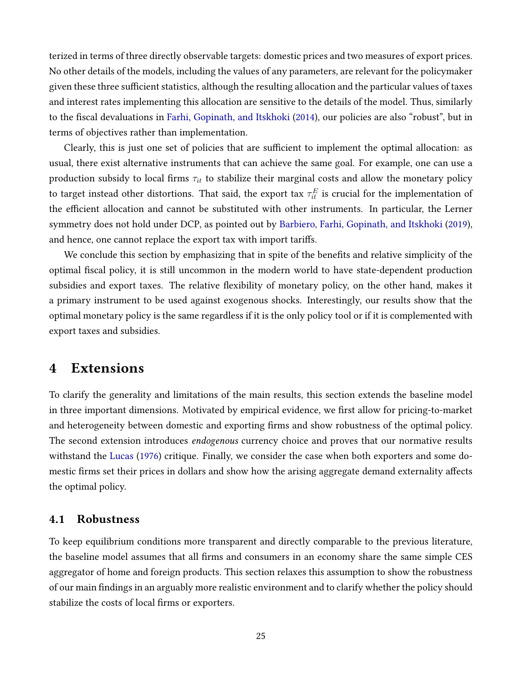terized in terms of three directly observable targets: domestic prices and two measures of export prices. No other details of the models, including the values of any parameters, are relevant for the policymaker given these three sufficient statistics, although the resulting allocation and the particular values of taxes and interest rates implementing this allocation are sensitive to the details of the model. Thus, similarly to the fiscal devaluations in [Farhi, Gopinath, and Itskhoki](#page-43-8) [\(2014\)](#page-43-8), our policies are also "robust", but in terms of objectives rather than implementation.

Clearly, this is just one set of policies that are sufficient to implement the optimal allocation: as usual, there exist alternative instruments that can achieve the same goal. For example, one can use a production subsidy to local firms  $\tau_{it}$  to stabilize their marginal costs and allow the monetary policy to target instead other distortions. That said, the export tax  $\tau_{it}^E$  is crucial for the implementation of the efficient allocation and cannot be substituted with other instruments. In particular, the Lerner symmetry does not hold under DCP, as pointed out by [Barbiero, Farhi, Gopinath, and Itskhoki](#page-41-6) [\(2019\)](#page-41-6), and hence, one cannot replace the export tax with import tariffs.

We conclude this section by emphasizing that in spite of the benefits and relative simplicity of the optimal fiscal policy, it is still uncommon in the modern world to have state-dependent production subsidies and export taxes. The relative flexibility of monetary policy, on the other hand, makes it a primary instrument to be used against exogenous shocks. Interestingly, our results show that the optimal monetary policy is the same regardless if it is the only policy tool or if it is complemented with export taxes and subsidies.

## <span id="page-25-1"></span>4 Extensions

To clarify the generality and limitations of the main results, this section extends the baseline model in three important dimensions. Motivated by empirical evidence, we first allow for pricing-to-market and heterogeneity between domestic and exporting firms and show robustness of the optimal policy. The second extension introduces endogenous currency choice and proves that our normative results withstand the [Lucas](#page-45-19) [\(1976\)](#page-45-19) critique. Finally, we consider the case when both exporters and some domestic firms set their prices in dollars and show how the arising aggregate demand externality affects the optimal policy.

#### <span id="page-25-0"></span>4.1 Robustness

To keep equilibrium conditions more transparent and directly comparable to the previous literature, the baseline model assumes that all firms and consumers in an economy share the same simple CES aggregator of home and foreign products. This section relaxes this assumption to show the robustness of our main findings in an arguably more realistic environment and to clarify whether the policy should stabilize the costs of local firms or exporters.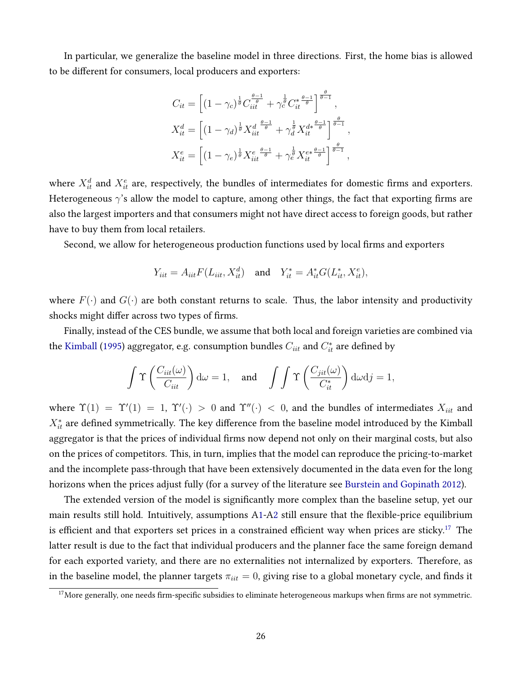In particular, we generalize the baseline model in three directions. First, the home bias is allowed to be different for consumers, local producers and exporters:

$$
C_{it} = \left[ (1 - \gamma_c)^{\frac{1}{\theta}} C_{it}^{\frac{\theta - 1}{\theta}} + \gamma_c^{\frac{1}{\theta}} C_{it}^{* \frac{\theta - 1}{\theta}} \right]^{\frac{\theta}{\theta - 1}},
$$
  

$$
X_{it}^d = \left[ (1 - \gamma_d)^{\frac{1}{\theta}} X_{it}^d \frac{\frac{\theta - 1}{\theta}}{\frac{\theta}{\theta}} + \gamma_d^{\frac{1}{\theta}} X_{it}^d \frac{\frac{\theta - 1}{\theta}}{\frac{\theta - 1}{\theta}} \right]^{\frac{\theta}{\theta - 1}},
$$
  

$$
X_{it}^e = \left[ (1 - \gamma_e)^{\frac{1}{\theta}} X_{it}^e \frac{\frac{\theta - 1}{\theta}}{\frac{\theta}{\theta}} + \gamma_e^{\frac{1}{\theta}} X_{it}^{e* \frac{\theta - 1}{\theta}} \right]^{\frac{\theta}{\theta - 1}},
$$

where  $X_{it}^d$  and  $X_{it}^e$  are, respectively, the bundles of intermediates for domestic firms and exporters. Heterogeneous  $\gamma$ 's allow the model to capture, among other things, the fact that exporting firms are also the largest importers and that consumers might not have direct access to foreign goods, but rather have to buy them from local retailers.

Second, we allow for heterogeneous production functions used by local firms and exporters

$$
Y_{iit} = A_{iit} F(L_{iit}, X_{it}^d)
$$
 and  $Y_{it}^* = A_{it}^* G(L_{it}^*, X_{it}^e)$ ,

where  $F(\cdot)$  and  $G(\cdot)$  are both constant returns to scale. Thus, the labor intensity and productivity shocks might differ across two types of firms.

Finally, instead of the CES bundle, we assume that both local and foreign varieties are combined via the [Kimball](#page-44-18) [\(1995\)](#page-44-18) aggregator, e.g. consumption bundles  $C_{iit}$  and  $C_{it}^*$  are defined by

$$
\int \Upsilon\left(\frac{C_{iit}(\omega)}{C_{iit}}\right) d\omega = 1, \text{ and } \int \int \Upsilon\left(\frac{C_{jit}(\omega)}{C_{it}^*}\right) d\omega dj = 1,
$$

where  $\Upsilon(1) = \Upsilon'(1) = 1$ ,  $\Upsilon'(\cdot) > 0$  and  $\Upsilon''(\cdot) < 0$ , and the bundles of intermediates  $X_{iit}$  and  $X_{it}^{\ast}$  are defined symmetrically. The key difference from the baseline model introduced by the Kimball aggregator is that the prices of individual firms now depend not only on their marginal costs, but also on the prices of competitors. This, in turn, implies that the model can reproduce the pricing-to-market and the incomplete pass-through that have been extensively documented in the data even for the long horizons when the prices adjust fully (for a survey of the literature see [Burstein and Gopinath](#page-41-15) [2012\)](#page-41-15).

The extended version of the model is significantly more complex than the baseline setup, yet our main results still hold. Intuitively, assumptions [A1-](#page-13-2)[A2](#page-14-2) still ensure that the flexible-price equilibrium is efficient and that exporters set prices in a constrained efficient way when prices are sticky.<sup>[17](#page-26-0)</sup> The latter result is due to the fact that individual producers and the planner face the same foreign demand for each exported variety, and there are no externalities not internalized by exporters. Therefore, as in the baseline model, the planner targets  $\pi_{iit} = 0$ , giving rise to a global monetary cycle, and finds it

<span id="page-26-0"></span> $17$ More generally, one needs firm-specific subsidies to eliminate heterogeneous markups when firms are not symmetric.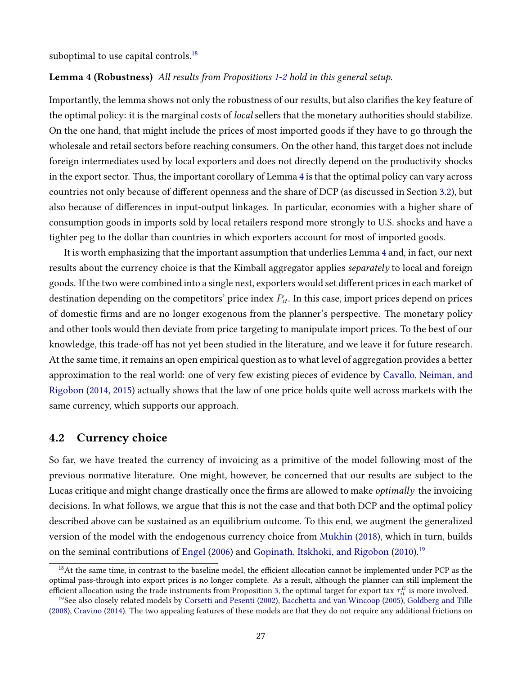<span id="page-27-2"></span>suboptimal to use capital controls.<sup>[18](#page-27-1)</sup>

#### Lemma 4 (Robustness) All results from Propositions [1-](#page-15-0)[2](#page-22-2) hold in this general setup.

Importantly, the lemma shows not only the robustness of our results, but also clarifies the key feature of the optimal policy: it is the marginal costs of local sellers that the monetary authorities should stabilize. On the one hand, that might include the prices of most imported goods if they have to go through the wholesale and retail sectors before reaching consumers. On the other hand, this target does not include foreign intermediates used by local exporters and does not directly depend on the productivity shocks in the export sector. Thus, the important corollary of Lemma [4](#page-27-2) is that the optimal policy can vary across countries not only because of different openness and the share of DCP (as discussed in Section [3.2\)](#page-19-1), but also because of differences in input-output linkages. In particular, economies with a higher share of consumption goods in imports sold by local retailers respond more strongly to U.S. shocks and have a tighter peg to the dollar than countries in which exporters account for most of imported goods.

It is worth emphasizing that the important assumption that underlies Lemma [4](#page-27-2) and, in fact, our next results about the currency choice is that the Kimball aggregator applies separately to local and foreign goods. If the two were combined into a single nest, exporters would set different prices in each market of destination depending on the competitors' price index  $P_{it}$ . In this case, import prices depend on prices of domestic firms and are no longer exogenous from the planner's perspective. The monetary policy and other tools would then deviate from price targeting to manipulate import prices. To the best of our knowledge, this trade-off has not yet been studied in the literature, and we leave it for future research. At the same time, it remains an open empirical question as to what level of aggregation provides a better approximation to the real world: one of very few existing pieces of evidence by [Cavallo, Neiman, and](#page-41-16) [Rigobon](#page-41-16) [\(2014,](#page-41-16) [2015\)](#page-41-17) actually shows that the law of one price holds quite well across markets with the same currency, which supports our approach.

### <span id="page-27-0"></span>4.2 Currency choice

So far, we have treated the currency of invoicing as a primitive of the model following most of the previous normative literature. One might, however, be concerned that our results are subject to the Lucas critique and might change drastically once the firms are allowed to make *optimally* the invoicing decisions. In what follows, we argue that this is not the case and that both DCP and the optimal policy described above can be sustained as an equilibrium outcome. To this end, we augment the generalized version of the model with the endogenous currency choice from [Mukhin](#page-45-7) [\(2018\)](#page-45-7), which in turn, builds on the seminal contributions of [Engel](#page-43-20) [\(2006\)](#page-43-20) and [Gopinath, Itskhoki, and Rigobon](#page-44-19) [\(2010\)](#page-44-19).[19](#page-27-3)

<span id="page-27-1"></span> $18$ At the same time, in contrast to the baseline model, the efficient allocation cannot be implemented under PCP as the optimal pass-through into export prices is no longer complete. As a result, although the planner can still implement the efficient allocation using the trade instruments from Proposition [3,](#page-24-0) the optimal target for export tax  $\tau_{it}^E$  is more involved.

<span id="page-27-3"></span> $19$ See also closely related models by [Corsetti and Pesenti](#page-42-17) [\(2002\)](#page-42-17), [Bacchetta and van Wincoop](#page-41-18) [\(2005\)](#page-41-18), [Goldberg and Tille](#page-44-1) [\(2008\)](#page-44-1), [Cravino](#page-42-18) [\(2014\)](#page-42-18). The two appealing features of these models are that they do not require any additional frictions on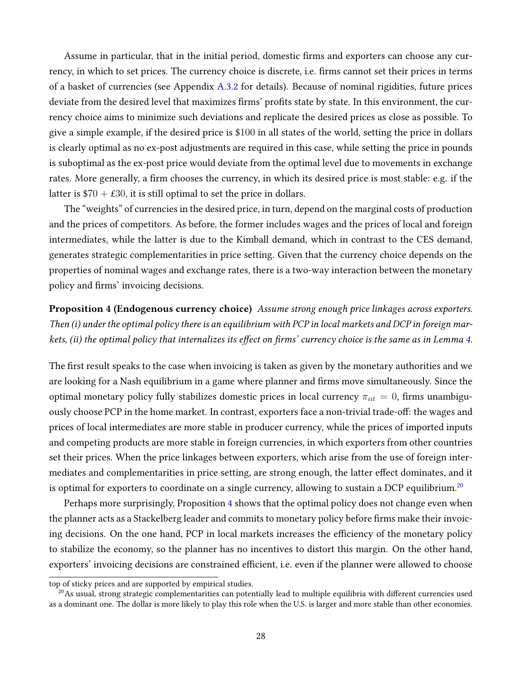Assume in particular, that in the initial period, domestic firms and exporters can choose any currency, in which to set prices. The currency choice is discrete, i.e. firms cannot set their prices in terms of a basket of currencies (see Appendix [A.3.2](#page-56-0) for details). Because of nominal rigidities, future prices deviate from the desired level that maximizes firms' profits state by state. In this environment, the currency choice aims to minimize such deviations and replicate the desired prices as close as possible. To give a simple example, if the desired price is \$100 in all states of the world, setting the price in dollars is clearly optimal as no ex-post adjustments are required in this case, while setting the price in pounds is suboptimal as the ex-post price would deviate from the optimal level due to movements in exchange rates. More generally, a firm chooses the currency, in which its desired price is most stable: e.g. if the latter is  $$70 + £30$ , it is still optimal to set the price in dollars.

The "weights" of currencies in the desired price, in turn, depend on the marginal costs of production and the prices of competitors. As before, the former includes wages and the prices of local and foreign intermediates, while the latter is due to the Kimball demand, which in contrast to the CES demand, generates strategic complementarities in price setting. Given that the currency choice depends on the properties of nominal wages and exchange rates, there is a two-way interaction between the monetary policy and firms' invoicing decisions.

<span id="page-28-1"></span>Proposition 4 (Endogenous currency choice) Assume strong enough price linkages across exporters. Then (i) under the optimal policy there is an equilibrium with PCP in local markets and DCP in foreign mar-kets, (ii) the optimal policy that internalizes its effect on firms' currency choice is the same as in Lemma [4.](#page-27-2)

The first result speaks to the case when invoicing is taken as given by the monetary authorities and we are looking for a Nash equilibrium in a game where planner and firms move simultaneously. Since the optimal monetary policy fully stabilizes domestic prices in local currency  $\pi_{iit} = 0$ , firms unambiguously choose PCP in the home market. In contrast, exporters face a non-trivial trade-off: the wages and prices of local intermediates are more stable in producer currency, while the prices of imported inputs and competing products are more stable in foreign currencies, in which exporters from other countries set their prices. When the price linkages between exporters, which arise from the use of foreign intermediates and complementarities in price setting, are strong enough, the latter effect dominates, and it is optimal for exporters to coordinate on a single currency, allowing to sustain a DCP equilibrium.<sup>[20](#page-28-0)</sup>

Perhaps more surprisingly, Proposition [4](#page-28-1) shows that the optimal policy does not change even when the planner acts as a Stackelberg leader and commits to monetary policy before firms make their invoicing decisions. On the one hand, PCP in local markets increases the efficiency of the monetary policy to stabilize the economy, so the planner has no incentives to distort this margin. On the other hand, exporters' invoicing decisions are constrained efficient, i.e. even if the planner were allowed to choose

top of sticky prices and are supported by empirical studies.

<span id="page-28-0"></span> $^{20}$ As usual, strong strategic complementarities can potentially lead to multiple equilibria with different currencies used as a dominant one. The dollar is more likely to play this role when the U.S. is larger and more stable than other economies.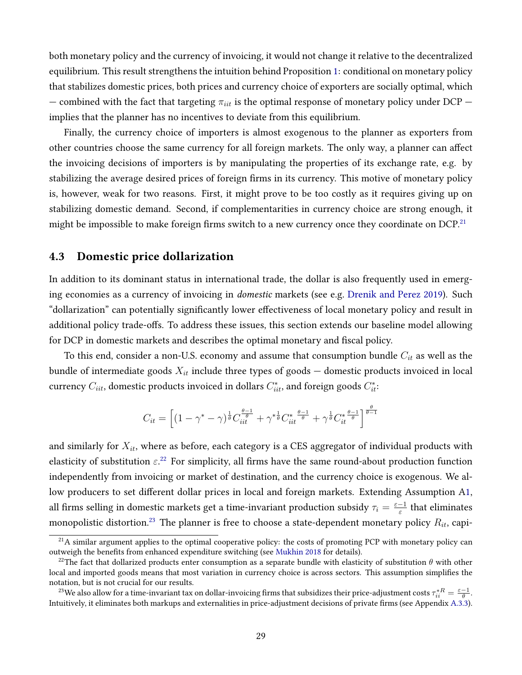both monetary policy and the currency of invoicing, it would not change it relative to the decentralized equilibrium. This result strengthens the intuition behind Proposition [1:](#page-15-0) conditional on monetary policy that stabilizes domestic prices, both prices and currency choice of exporters are socially optimal, which — combined with the fact that targeting  $\pi_{iit}$  is the optimal response of monetary policy under DCP implies that the planner has no incentives to deviate from this equilibrium.

Finally, the currency choice of importers is almost exogenous to the planner as exporters from other countries choose the same currency for all foreign markets. The only way, a planner can affect the invoicing decisions of importers is by manipulating the properties of its exchange rate, e.g. by stabilizing the average desired prices of foreign firms in its currency. This motive of monetary policy is, however, weak for two reasons. First, it might prove to be too costly as it requires giving up on stabilizing domestic demand. Second, if complementarities in currency choice are strong enough, it might be impossible to make foreign firms switch to a new currency once they coordinate on DCP.<sup>[21](#page-29-0)</sup>

#### 4.3 Domestic price dollarization

In addition to its dominant status in international trade, the dollar is also frequently used in emerging economies as a currency of invoicing in domestic markets (see e.g. [Drenik and Perez](#page-43-4) [2019\)](#page-43-4). Such "dollarization" can potentially significantly lower effectiveness of local monetary policy and result in additional policy trade-offs. To address these issues, this section extends our baseline model allowing for DCP in domestic markets and describes the optimal monetary and fiscal policy.

To this end, consider a non-U.S. economy and assume that consumption bundle  $C_{it}$  as well as the bundle of intermediate goods  $X_{it}$  include three types of goods  $-$  domestic products invoiced in local currency  $C_{iit}$ , domestic products invoiced in dollars  $C_{iit}^*$ , and foreign goods  $C_{it}^*$ :

$$
C_{it}=\left[(1-\gamma^*-\gamma)^{\frac{1}{\theta}}C_{iit}^{\frac{\theta-1}{\theta}}+\gamma^*{\frac{1}{\theta}}C_{iit}^*{\frac{\theta-1}{\theta}}+\gamma^{\frac{1}{\theta}}C_{it}^*{\frac{\theta-1}{\theta}}\right]^{\frac{\theta}{\theta-1}}
$$

and similarly for  $X_{it}$ , where as before, each category is a CES aggregator of individual products with elasticity of substitution  $\varepsilon$ .<sup>[22](#page-29-1)</sup> For simplicity, all firms have the same round-about production function independently from invoicing or market of destination, and the currency choice is exogenous. We al-low producers to set different dollar prices in local and foreign markets. Extending Assumption [A1,](#page-13-2) all firms selling in domestic markets get a time-invariant production subsidy  $\tau_i = \frac{\varepsilon - 1}{\varepsilon}$  $\frac{-1}{\varepsilon}$  that eliminates monopolistic distortion.<sup>[23](#page-29-2)</sup> The planner is free to choose a state-dependent monetary policy  $R_{it}$ , capi-

<span id="page-29-0"></span> $^{21}$ A similar argument applies to the optimal cooperative policy: the costs of promoting PCP with monetary policy can outweigh the benefits from enhanced expenditure switching (see [Mukhin](#page-45-7) [2018](#page-45-7) for details).

<span id="page-29-1"></span><sup>&</sup>lt;sup>22</sup>The fact that dollarized products enter consumption as a separate bundle with elasticity of substitution  $\theta$  with other local and imported goods means that most variation in currency choice is across sectors. This assumption simplies the notation, but is not crucial for our results.

<span id="page-29-2"></span><sup>&</sup>lt;sup>23</sup>We also allow for a time-invariant tax on dollar-invoicing firms that subsidizes their price-adjustment costs  $\tau_{ii}^{*R} = \frac{\varepsilon - 1}{\theta}$ . Intuitively, it eliminates both markups and externalities in price-adjustment decisions of private firms (see Appendix [A.3.3\)](#page-58-0).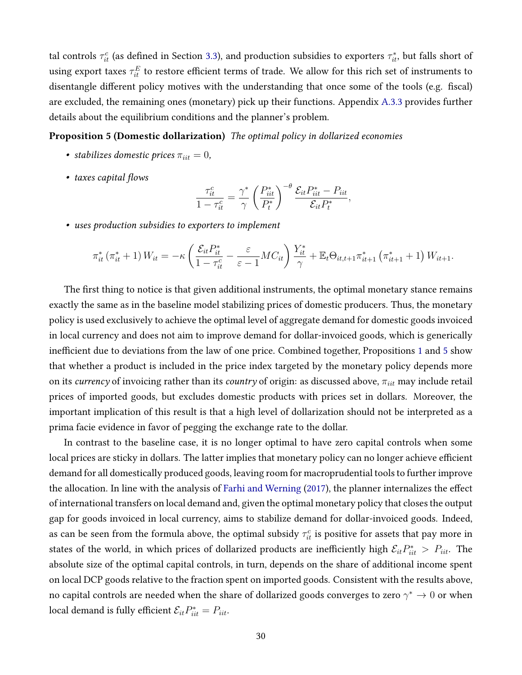tal controls  $\tau^c_{it}$  (as defined in Section [3.3\)](#page-21-0), and production subsidies to exporters  $\tau^*_{it}$ , but falls short of using export taxes  $\tau_{it}^E$  to restore efficient terms of trade. We allow for this rich set of instruments to disentangle different policy motives with the understanding that once some of the tools (e.g. fiscal) are excluded, the remaining ones (monetary) pick up their functions. Appendix [A.3.3](#page-58-0) provides further details about the equilibrium conditions and the planner's problem.

#### Proposition 5 (Domestic dollarization) The optimal policy in dollarized economies

- stabilizes domestic prices  $\pi_{iit} = 0$ ,
- taxes capital flows

<span id="page-30-0"></span>
$$
\frac{\tau_{it}^c}{1-\tau_{it}^c} = \frac{\gamma^*}{\gamma} \left(\frac{P_{iit}^*}{P_t^*}\right)^{-\theta} \frac{\mathcal{E}_{it} P_{iit}^* - P_{iit}}{\mathcal{E}_{it} P_t^*},
$$

• uses production subsidies to exporters to implement

$$
\pi_{it}^* \left( \pi_{it}^* + 1 \right) W_{it} = -\kappa \left( \frac{\mathcal{E}_{it} P_{it}^*}{1 - \tau_{it}^c} - \frac{\varepsilon}{\varepsilon - 1} MC_{it} \right) \frac{Y_{it}^*}{\gamma} + \mathbb{E}_t \Theta_{it, t+1} \pi_{it+1}^* \left( \pi_{it+1}^* + 1 \right) W_{it+1}.
$$

The first thing to notice is that given additional instruments, the optimal monetary stance remains exactly the same as in the baseline model stabilizing prices of domestic producers. Thus, the monetary policy is used exclusively to achieve the optimal level of aggregate demand for domestic goods invoiced in local currency and does not aim to improve demand for dollar-invoiced goods, which is generically inefficient due to deviations from the law of one price. Combined together, Propositions [1](#page-15-0) and [5](#page-30-0) show that whether a product is included in the price index targeted by the monetary policy depends more on its currency of invoicing rather than its country of origin: as discussed above,  $\pi_{iit}$  may include retail prices of imported goods, but excludes domestic products with prices set in dollars. Moreover, the important implication of this result is that a high level of dollarization should not be interpreted as a prima facie evidence in favor of pegging the exchange rate to the dollar.

In contrast to the baseline case, it is no longer optimal to have zero capital controls when some local prices are sticky in dollars. The latter implies that monetary policy can no longer achieve efficient demand for all domestically produced goods, leaving room for macroprudential tools to further improve the allocation. In line with the analysis of [Farhi and Werning](#page-43-11)  $(2017)$ , the planner internalizes the effect of international transfers on local demand and, given the optimal monetary policy that closes the output gap for goods invoiced in local currency, aims to stabilize demand for dollar-invoiced goods. Indeed, as can be seen from the formula above, the optimal subsidy  $\tau^c_{it}$  is positive for assets that pay more in states of the world, in which prices of dollarized products are inefficiently high  $\mathcal{E}_{it} P_{it}^* > P_{itt}$ . The absolute size of the optimal capital controls, in turn, depends on the share of additional income spent on local DCP goods relative to the fraction spent on imported goods. Consistent with the results above, no capital controls are needed when the share of dollarized goods converges to zero  $\gamma^* \to 0$  or when local demand is fully efficient  $\mathcal{E}_{it} P_{itt}^* = P_{iit}$ .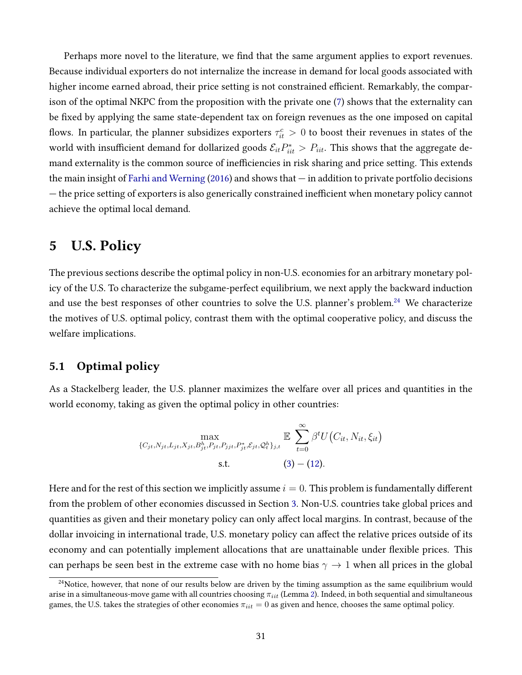Perhaps more novel to the literature, we find that the same argument applies to export revenues. Because individual exporters do not internalize the increase in demand for local goods associated with higher income earned abroad, their price setting is not constrained efficient. Remarkably, the comparison of the optimal NKPC from the proposition with the private one [\(7\)](#page-11-0) shows that the externality can be fixed by applying the same state-dependent tax on foreign revenues as the one imposed on capital flows. In particular, the planner subsidizes exporters  $\tau_{it}^c > 0$  to boost their revenues in states of the world with insufficient demand for dollarized goods  $\mathcal{E}_{it} P^*_{itt} > P_{itt}$ . This shows that the aggregate demand externality is the common source of inefficiencies in risk sharing and price setting. This extends the main insight of [Farhi and Werning](#page-43-3) [\(2016\)](#page-43-3) and shows that  $-$  in addition to private portfolio decisions - the price setting of exporters is also generically constrained inefficient when monetary policy cannot achieve the optimal local demand.

## 5 U.S. Policy

The previous sections describe the optimal policy in non-U.S. economies for an arbitrary monetary policy of the U.S. To characterize the subgame-perfect equilibrium, we next apply the backward induction and use the best responses of other countries to solve the U.S. planner's problem.<sup>[24](#page-31-0)</sup> We characterize the motives of U.S. optimal policy, contrast them with the optimal cooperative policy, and discuss the welfare implications.

## 5.1 Optimal policy

As a Stackelberg leader, the U.S. planner maximizes the welfare over all prices and quantities in the world economy, taking as given the optimal policy in other countries:

$$
\max_{\{C_{jt}, N_{jt}, L_{jt}, X_{jt}, B_{jt}^h, P_{jt}, P_{jjt}, P_{jt}^*, \mathcal{E}_{jt}, \mathcal{Q}_t^h\}_{j,t}} \mathbb{E} \sum_{t=0}^{\infty} \beta^t U(C_{it}, N_{it}, \xi_{it})
$$
  
s.t. (3) – (12).

Here and for the rest of this section we implicitly assume  $i = 0$ . This problem is fundamentally different from the problem of other economies discussed in Section [3.](#page-15-2) Non-U.S. countries take global prices and quantities as given and their monetary policy can only affect local margins. In contrast, because of the dollar invoicing in international trade, U.S. monetary policy can affect the relative prices outside of its economy and can potentially implement allocations that are unattainable under flexible prices. This can perhaps be seen best in the extreme case with no home bias  $\gamma \to 1$  when all prices in the global

<span id="page-31-0"></span> $24$ Notice, however, that none of our results below are driven by the timing assumption as the same equilibrium would arise in a simultaneous-move game with all countries choosing  $\pi_{iit}$  (Lemma [2\)](#page-13-1). Indeed, in both sequential and simultaneous games, the U.S. takes the strategies of other economies  $\pi_{iit} = 0$  as given and hence, chooses the same optimal policy.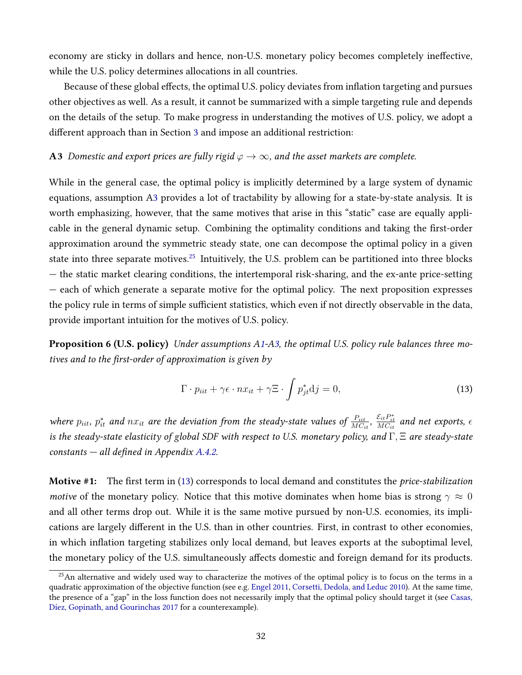economy are sticky in dollars and hence, non-U.S. monetary policy becomes completely ineffective, while the U.S. policy determines allocations in all countries.

Because of these global effects, the optimal U.S. policy deviates from inflation targeting and pursues other objectives as well. As a result, it cannot be summarized with a simple targeting rule and depends on the details of the setup. To make progress in understanding the motives of U.S. policy, we adopt a different approach than in Section [3](#page-15-2) and impose an additional restriction:

#### <span id="page-32-0"></span>A3 Domestic and export prices are fully rigid  $\varphi \to \infty$ , and the asset markets are complete.

While in the general case, the optimal policy is implicitly determined by a large system of dynamic equations, assumption [A3](#page-32-0) provides a lot of tractability by allowing for a state-by-state analysis. It is worth emphasizing, however, that the same motives that arise in this "static" case are equally applicable in the general dynamic setup. Combining the optimality conditions and taking the first-order approximation around the symmetric steady state, one can decompose the optimal policy in a given state into three separate motives.<sup>[25](#page-32-1)</sup> Intuitively, the U.S. problem can be partitioned into three blocks — the static market clearing conditions, the intertemporal risk-sharing, and the ex-ante price-setting — each of which generate a separate motive for the optimal policy. The next proposition expresses the policy rule in terms of simple sufficient statistics, which even if not directly observable in the data, provide important intuition for the motives of U.S. policy.

**Proposition 6 (U.S. policy)** Under assumptions [A1-](#page-13-2)[A3,](#page-32-0) the optimal U.S. policy rule balances three motives and to the first-order of approximation is given by

<span id="page-32-3"></span><span id="page-32-2"></span>
$$
\Gamma \cdot p_{iit} + \gamma \epsilon \cdot nx_{it} + \gamma \Xi \cdot \int p_{jt}^* \mathrm{d}j = 0, \tag{13}
$$

where  $p_{iit}$ ,  $p_{it}^*$  and  $nx_{it}$  are the deviation from the steady-state values of  $\frac{P_{iit}}{MC_{it}}$ ,  $\frac{\mathcal{E}_{it}P_{it}^*}{MC_{it}}$  and net exports,  $\epsilon$ is the steady-state elasticity of global SDF with respect to U.S. monetary policy, and  $\Gamma$ ,  $\Xi$  are steady-state  $constants - all defined in Appendix A.4.2.$  $constants - all defined in Appendix A.4.2.$ 

**Motive #1:** The first term in  $(13)$  corresponds to local demand and constitutes the *price-stabilization motive* of the monetary policy. Notice that this motive dominates when home bias is strong  $\gamma \approx 0$ and all other terms drop out. While it is the same motive pursued by non-U.S. economies, its implications are largely different in the U.S. than in other countries. First, in contrast to other economies, in which inflation targeting stabilizes only local demand, but leaves exports at the suboptimal level, the monetary policy of the U.S. simultaneously affects domestic and foreign demand for its products.

<span id="page-32-1"></span> $25$ An alternative and widely used way to characterize the motives of the optimal policy is to focus on the terms in a quadratic approximation of the objective function (see e.g. [Engel](#page-43-6) [2011,](#page-43-6) [Corsetti, Dedola, and Leduc](#page-42-8) [2010\)](#page-42-8). At the same time, the presence of a "gap" in the loss function does not necessarily imply that the optimal policy should target it (see [Casas,](#page-41-9) [Díez, Gopinath, and Gourinchas](#page-41-9) [2017](#page-41-9) for a counterexample).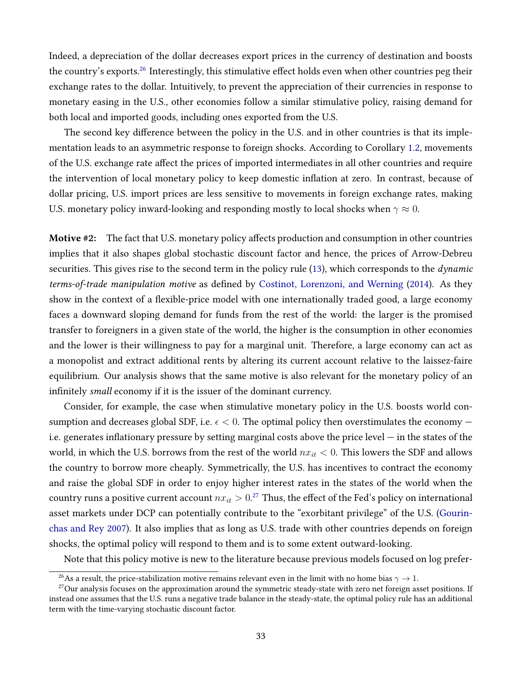Indeed, a depreciation of the dollar decreases export prices in the currency of destination and boosts the country's exports.<sup>[26](#page-33-0)</sup> Interestingly, this stimulative effect holds even when other countries peg their exchange rates to the dollar. Intuitively, to prevent the appreciation of their currencies in response to monetary easing in the U.S., other economies follow a similar stimulative policy, raising demand for both local and imported goods, including ones exported from the U.S.

The second key difference between the policy in the U.S. and in other countries is that its implementation leads to an asymmetric response to foreign shocks. According to Corollary [1.2,](#page-21-1) movements of the U.S. exchange rate affect the prices of imported intermediates in all other countries and require the intervention of local monetary policy to keep domestic inflation at zero. In contrast, because of dollar pricing, U.S. import prices are less sensitive to movements in foreign exchange rates, making U.S. monetary policy inward-looking and responding mostly to local shocks when  $\gamma \approx 0$ .

Motive #2: The fact that U.S. monetary policy affects production and consumption in other countries implies that it also shapes global stochastic discount factor and hence, the prices of Arrow-Debreu securities. This gives rise to the second term in the policy rule [\(13\)](#page-32-2), which corresponds to the *dynamic* terms-of-trade manipulation motive as defined by [Costinot, Lorenzoni, and Werning](#page-42-0) [\(2014\)](#page-42-0). As they show in the context of a flexible-price model with one internationally traded good, a large economy faces a downward sloping demand for funds from the rest of the world: the larger is the promised transfer to foreigners in a given state of the world, the higher is the consumption in other economies and the lower is their willingness to pay for a marginal unit. Therefore, a large economy can act as a monopolist and extract additional rents by altering its current account relative to the laissez-faire equilibrium. Our analysis shows that the same motive is also relevant for the monetary policy of an infinitely small economy if it is the issuer of the dominant currency.

Consider, for example, the case when stimulative monetary policy in the U.S. boosts world consumption and decreases global SDF, i.e.  $\epsilon < 0$ . The optimal policy then overstimulates the economy  $$ i.e. generates inflationary pressure by setting marginal costs above the price level  $-$  in the states of the world, in which the U.S. borrows from the rest of the world  $nx_{it} < 0$ . This lowers the SDF and allows the country to borrow more cheaply. Symmetrically, the U.S. has incentives to contract the economy and raise the global SDF in order to enjoy higher interest rates in the states of the world when the country runs a positive current account  $nx_{it} > 0.^{27}$  $nx_{it} > 0.^{27}$  $nx_{it} > 0.^{27}$  Thus, the effect of the Fed's policy on international asset markets under DCP can potentially contribute to the "exorbitant privilege" of the U.S. [\(Gourin](#page-44-7)[chas and Rey](#page-44-7) [2007\)](#page-44-7). It also implies that as long as U.S. trade with other countries depends on foreign shocks, the optimal policy will respond to them and is to some extent outward-looking.

Note that this policy motive is new to the literature because previous models focused on log prefer-

<span id="page-33-1"></span><span id="page-33-0"></span><sup>&</sup>lt;sup>26</sup>As a result, the price-stabilization motive remains relevant even in the limit with no home bias  $\gamma \to 1$ .

 $^{27}$ Our analysis focuses on the approximation around the symmetric steady-state with zero net foreign asset positions. If instead one assumes that the U.S. runs a negative trade balance in the steady-state, the optimal policy rule has an additional term with the time-varying stochastic discount factor.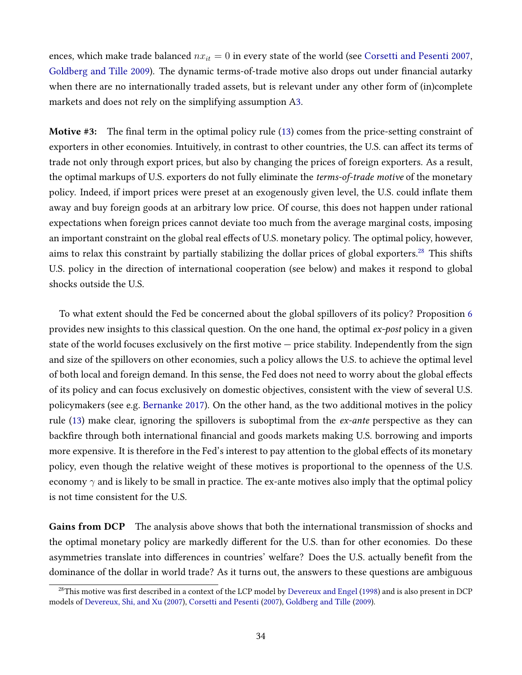ences, which make trade balanced  $nx_{it} = 0$  in every state of the world (see [Corsetti and Pesenti](#page-42-10) [2007,](#page-42-10) [Goldberg and Tille](#page-44-8) [2009\)](#page-44-8). The dynamic terms-of-trade motive also drops out under financial autarky when there are no internationally traded assets, but is relevant under any other form of (in)complete markets and does not rely on the simplifying assumption [A3.](#page-32-0)

**Motive**  $\#3$ **:** The final term in the optimal policy rule [\(13\)](#page-32-2) comes from the price-setting constraint of exporters in other economies. Intuitively, in contrast to other countries, the U.S. can affect its terms of trade not only through export prices, but also by changing the prices of foreign exporters. As a result, the optimal markups of U.S. exporters do not fully eliminate the *terms-of-trade motive* of the monetary policy. Indeed, if import prices were preset at an exogenously given level, the U.S. could inflate them away and buy foreign goods at an arbitrary low price. Of course, this does not happen under rational expectations when foreign prices cannot deviate too much from the average marginal costs, imposing an important constraint on the global real effects of U.S. monetary policy. The optimal policy, however, aims to relax this constraint by partially stabilizing the dollar prices of global exporters.<sup>[28](#page-34-0)</sup> This shifts U.S. policy in the direction of international cooperation (see below) and makes it respond to global shocks outside the U.S.

To what extent should the Fed be concerned about the global spillovers of its policy? Proposition [6](#page-32-3) provides new insights to this classical question. On the one hand, the optimal ex-post policy in a given state of the world focuses exclusively on the first motive  $-$  price stability. Independently from the sign and size of the spillovers on other economies, such a policy allows the U.S. to achieve the optimal level of both local and foreign demand. In this sense, the Fed does not need to worry about the global effects of its policy and can focus exclusively on domestic objectives, consistent with the view of several U.S. policymakers (see e.g. [Bernanke](#page-41-0) [2017\)](#page-41-0). On the other hand, as the two additional motives in the policy rule [\(13\)](#page-32-2) make clear, ignoring the spillovers is suboptimal from the ex-ante perspective as they can backfire through both international financial and goods markets making U.S. borrowing and imports more expensive. It is therefore in the Fed's interest to pay attention to the global effects of its monetary policy, even though the relative weight of these motives is proportional to the openness of the U.S. economy  $\gamma$  and is likely to be small in practice. The ex-ante motives also imply that the optimal policy is not time consistent for the U.S.

Gains from DCP The analysis above shows that both the international transmission of shocks and the optimal monetary policy are markedly different for the U.S. than for other economies. Do these asymmetries translate into differences in countries' welfare? Does the U.S. actually benefit from the dominance of the dollar in world trade? As it turns out, the answers to these questions are ambiguous

<span id="page-34-0"></span><sup>&</sup>lt;sup>28</sup>This motive was first described in a context of the LCP model by [Devereux and Engel](#page-42-1) [\(1998\)](#page-42-1) and is also present in DCP models of [Devereux, Shi, and Xu](#page-43-7) [\(2007\)](#page-43-7), [Corsetti and Pesenti](#page-42-10) [\(2007\)](#page-42-10), [Goldberg and Tille](#page-44-8) [\(2009\)](#page-44-8).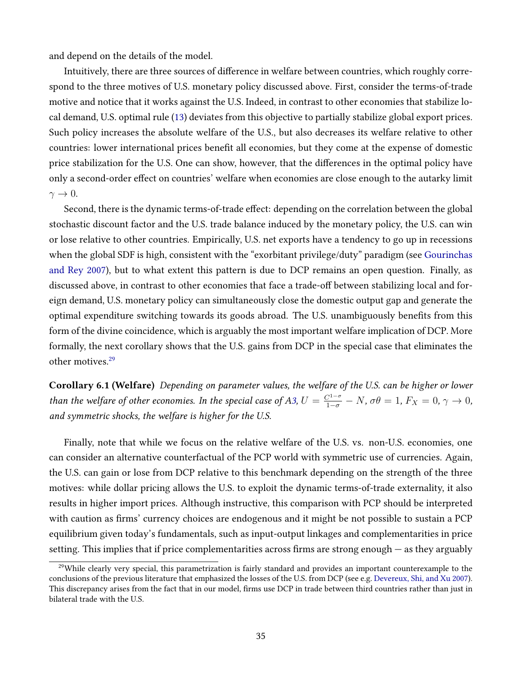and depend on the details of the model.

Intuitively, there are three sources of difference in welfare between countries, which roughly correspond to the three motives of U.S. monetary policy discussed above. First, consider the terms-of-trade motive and notice that it works against the U.S. Indeed, in contrast to other economies that stabilize local demand, U.S. optimal rule [\(13\)](#page-32-2) deviates from this objective to partially stabilize global export prices. Such policy increases the absolute welfare of the U.S., but also decreases its welfare relative to other countries: lower international prices benefit all economies, but they come at the expense of domestic price stabilization for the U.S. One can show, however, that the differences in the optimal policy have only a second-order effect on countries' welfare when economies are close enough to the autarky limit  $\gamma \rightarrow 0$ .

Second, there is the dynamic terms-of-trade effect: depending on the correlation between the global stochastic discount factor and the U.S. trade balance induced by the monetary policy, the U.S. can win or lose relative to other countries. Empirically, U.S. net exports have a tendency to go up in recessions when the global SDF is high, consistent with the "exorbitant privilege/duty" paradigm (see [Gourinchas](#page-44-7) [and Rey](#page-44-7) [2007\)](#page-44-7), but to what extent this pattern is due to DCP remains an open question. Finally, as discussed above, in contrast to other economies that face a trade-off between stabilizing local and foreign demand, U.S. monetary policy can simultaneously close the domestic output gap and generate the optimal expenditure switching towards its goods abroad. The U.S. unambiguously benefits from this form of the divine coincidence, which is arguably the most important welfare implication of DCP. More formally, the next corollary shows that the U.S. gains from DCP in the special case that eliminates the other motives.<sup>[29](#page-35-0)</sup>

Corollary 6.1 (Welfare) Depending on parameter values, the welfare of the U.S. can be higher or lower than the welfare of other economies. In the special case of [A3,](#page-32-0)  $U = \frac{C^{1-\sigma}}{1-\sigma} - N$ ,  $\sigma\theta = 1$ ,  $F_X = 0$ ,  $\gamma \to 0$ , and symmetric shocks, the welfare is higher for the U.S.

Finally, note that while we focus on the relative welfare of the U.S. vs. non-U.S. economies, one can consider an alternative counterfactual of the PCP world with symmetric use of currencies. Again, the U.S. can gain or lose from DCP relative to this benchmark depending on the strength of the three motives: while dollar pricing allows the U.S. to exploit the dynamic terms-of-trade externality, it also results in higher import prices. Although instructive, this comparison with PCP should be interpreted with caution as firms' currency choices are endogenous and it might be not possible to sustain a PCP equilibrium given today's fundamentals, such as input-output linkages and complementarities in price setting. This implies that if price complementarities across firms are strong enough  $-$  as they arguably

<span id="page-35-0"></span><sup>&</sup>lt;sup>29</sup>While clearly very special, this parametrization is fairly standard and provides an important counterexample to the conclusions of the previous literature that emphasized the losses of the U.S. from DCP (see e.g. [Devereux, Shi, and Xu](#page-43-7) [2007\)](#page-43-7). This discrepancy arises from the fact that in our model, firms use DCP in trade between third countries rather than just in bilateral trade with the U.S.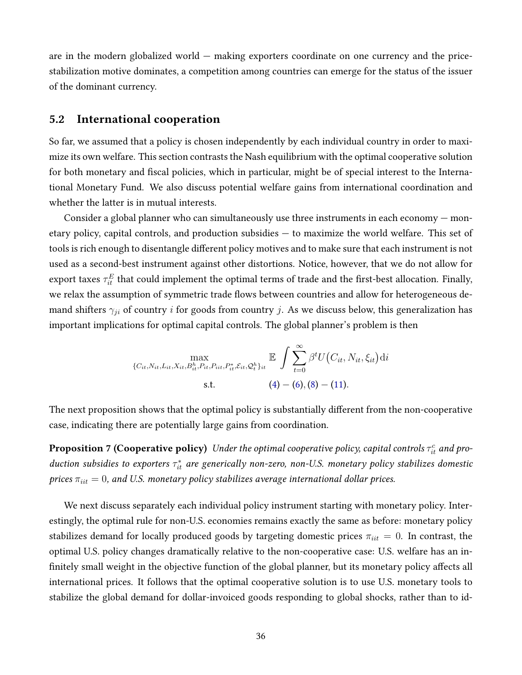are in the modern globalized world — making exporters coordinate on one currency and the pricestabilization motive dominates, a competition among countries can emerge for the status of the issuer of the dominant currency.

## 5.2 International cooperation

So far, we assumed that a policy is chosen independently by each individual country in order to maximize its own welfare. This section contrasts the Nash equilibrium with the optimal cooperative solution for both monetary and fiscal policies, which in particular, might be of special interest to the International Monetary Fund. We also discuss potential welfare gains from international coordination and whether the latter is in mutual interests.

Consider a global planner who can simultaneously use three instruments in each economy  $-$  monetary policy, capital controls, and production subsidies — to maximize the world welfare. This set of tools is rich enough to disentangle different policy motives and to make sure that each instrument is not used as a second-best instrument against other distortions. Notice, however, that we do not allow for export taxes  $\tau_{it}^E$  that could implement the optimal terms of trade and the first-best allocation. Finally, we relax the assumption of symmetric trade flows between countries and allow for heterogeneous demand shifters  $\gamma_{ji}$  of country *i* for goods from country *j*. As we discuss below, this generalization has important implications for optimal capital controls. The global planner's problem is then

<span id="page-36-0"></span>
$$
\max_{\{C_{it}, N_{it}, L_{it}, X_{it}, B_{it}^h, P_{it}, P_{it}, P_{it}, \mathcal{E}_{it}, \mathcal{Q}_t^h\}_{it}} \mathbb{E} \int \sum_{t=0}^{\infty} \beta^t U(C_{it}, N_{it}, \xi_{it}) dt
$$
s.t. (4) – (6), (8) – (11).

The next proposition shows that the optimal policy is substantially different from the non-cooperative case, indicating there are potentially large gains from coordination.

**Proposition 7 (Cooperative policy)** Under the optimal cooperative policy, capital controls  $\tau_{it}^c$  and production subsidies to exporters  $\tau_{it}^*$  are generically non-zero, non-U.S. monetary policy stabilizes domestic prices  $\pi_{iit} = 0$ , and U.S. monetary policy stabilizes average international dollar prices.

We next discuss separately each individual policy instrument starting with monetary policy. Interestingly, the optimal rule for non-U.S. economies remains exactly the same as before: monetary policy stabilizes demand for locally produced goods by targeting domestic prices  $\pi_{iit} = 0$ . In contrast, the optimal U.S. policy changes dramatically relative to the non-cooperative case: U.S. welfare has an in finitely small weight in the objective function of the global planner, but its monetary policy affects all international prices. It follows that the optimal cooperative solution is to use U.S. monetary tools to stabilize the global demand for dollar-invoiced goods responding to global shocks, rather than to id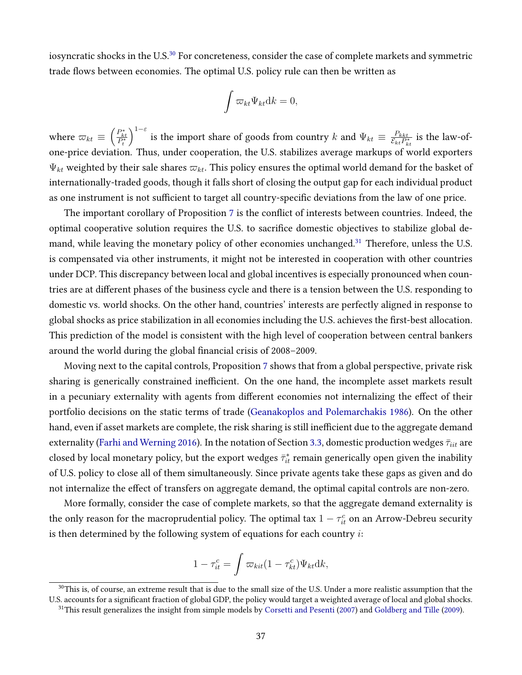iosyncratic shocks in the U.S.<sup>[30](#page-37-0)</sup> For concreteness, consider the case of complete markets and symmetric trade flows between economies. The optimal U.S. policy rule can then be written as

$$
\int \varpi_{kt} \Psi_{kt} \mathrm{d}k = 0,
$$

where  $\varpi_{kt} \equiv \left(\frac{P_{kt}^*}{P_t^*}\right)$  $\int_{0}^{1-\epsilon}$  is the import share of goods from country k and  $\Psi_{kt} \equiv \frac{P_{kkt}}{\mathcal{E}_{k}P_{k}^{2}}$  $\frac{P_{kkt}}{\mathcal{E}_{kt}P_{kt}^*}$  is the law-ofone-price deviation. Thus, under cooperation, the U.S. stabilizes average markups of world exporters  $\Psi_{kt}$  weighted by their sale shares  $\varpi_{kt}$ . This policy ensures the optimal world demand for the basket of internationally-traded goods, though it falls short of closing the output gap for each individual product as one instrument is not sufficient to target all country-specific deviations from the law of one price.

The important corollary of Proposition [7](#page-36-0) is the conflict of interests between countries. Indeed, the optimal cooperative solution requires the U.S. to sacrifice domestic objectives to stabilize global de-mand, while leaving the monetary policy of other economies unchanged.<sup>[31](#page-37-1)</sup> Therefore, unless the U.S. is compensated via other instruments, it might not be interested in cooperation with other countries under DCP. This discrepancy between local and global incentives is especially pronounced when countries are at different phases of the business cycle and there is a tension between the U.S. responding to domestic vs. world shocks. On the other hand, countries' interests are perfectly aligned in response to global shocks as price stabilization in all economies including the U.S. achieves the first-best allocation. This prediction of the model is consistent with the high level of cooperation between central bankers around the world during the global financial crisis of 2008-2009.

Moving next to the capital controls, Proposition [7](#page-36-0) shows that from a global perspective, private risk sharing is generically constrained inefficient. On the one hand, the incomplete asset markets result in a pecuniary externality with agents from different economies not internalizing the effect of their portfolio decisions on the static terms of trade [\(Geanakoplos and Polemarchakis](#page-44-0) [1986\)](#page-44-0). On the other hand, even if asset markets are complete, the risk sharing is still inefficient due to the aggregate demand externality [\(Farhi and Werning](#page-43-0) [2016\)](#page-43-0). In the notation of Section [3.3,](#page-21-0) domestic production wedges  $\bar{\tau}_{iit}$  are closed by local monetary policy, but the export wedges  $\bar{\tau}_{it}^*$  remain generically open given the inability of U.S. policy to close all of them simultaneously. Since private agents take these gaps as given and do not internalize the effect of transfers on aggregate demand, the optimal capital controls are non-zero.

More formally, consider the case of complete markets, so that the aggregate demand externality is the only reason for the macroprudential policy. The optimal tax  $1-\tau_{it}^c$  on an Arrow-Debreu security is then determined by the following system of equations for each country  $i$ :

$$
1 - \tau_{it}^c = \int \varpi_{kit} (1 - \tau_{kt}^c) \Psi_{kt} dk,
$$

<span id="page-37-0"></span> $30$ This is, of course, an extreme result that is due to the small size of the U.S. Under a more realistic assumption that the U.S. accounts for a significant fraction of global GDP, the policy would target a weighted average of local and global shocks.

<span id="page-37-1"></span><sup>&</sup>lt;sup>31</sup>This result generalizes the insight from simple models by [Corsetti and Pesenti](#page-42-0) [\(2007\)](#page-42-0) and [Goldberg and Tille](#page-44-1) [\(2009\)](#page-44-1).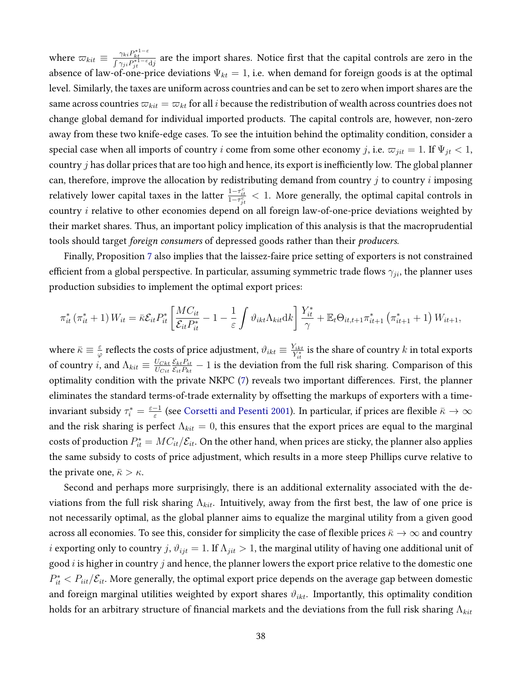where  $\varpi_{kit} \equiv \frac{\gamma_{ki}P_{kt}^{*1-\varepsilon}}{\int \gamma_{ji}P_{jt}^{*1-\varepsilon} \mathrm{d}j}$  are the import shares. Notice first that the capital controls are zero in the absence of law-of-one-price deviations  $\Psi_{kt} = 1$ , i.e. when demand for foreign goods is at the optimal level. Similarly, the taxes are uniform across countries and can be set to zero when import shares are the same across countries  $\varpi_{kit} = \varpi_{kt}$  for all *i* because the redistribution of wealth across countries does not change global demand for individual imported products. The capital controls are, however, non-zero away from these two knife-edge cases. To see the intuition behind the optimality condition, consider a special case when all imports of country i come from some other economy j, i.e.  $\varpi_{jit} = 1$ . If  $\Psi_{jt} < 1$ , country  $j$  has dollar prices that are too high and hence, its export is inefficiently low. The global planner can, therefore, improve the allocation by redistributing demand from country j to country i imposing relatively lower capital taxes in the latter  $\frac{1-\tau_{it}^c}{1-\tau_{jt}^c} < 1$ . More generally, the optimal capital controls in country  $i$  relative to other economies depend on all foreign law-of-one-price deviations weighted by their market shares. Thus, an important policy implication of this analysis is that the macroprudential tools should target foreign consumers of depressed goods rather than their producers.

Finally, Proposition [7](#page-36-0) also implies that the laissez-faire price setting of exporters is not constrained efficient from a global perspective. In particular, assuming symmetric trade flows  $\gamma_{ii}$ , the planner uses production subsidies to implement the optimal export prices:

$$
\pi_{it}^* \left( \pi_{it}^* + 1 \right) W_{it} = \bar{\kappa} \mathcal{E}_{it} P_{it}^* \left[ \frac{M C_{it}}{\mathcal{E}_{it} P_{it}^*} - 1 - \frac{1}{\varepsilon} \int \vartheta_{ikt} \Lambda_{kit} dk \right] \frac{Y_{it}^*}{\gamma} + \mathbb{E}_t \Theta_{it, t+1} \pi_{it+1}^* \left( \pi_{it+1}^* + 1 \right) W_{it+1},
$$

where  $\bar{\kappa} \equiv \frac{\varepsilon}{c}$  $\frac{\varepsilon}{\varphi}$  reflects the costs of price adjustment,  $\vartheta_{ikt} \equiv \frac{Y_{ikt}}{Y_{it}^*}$  $Y_{ikt}^{\overline{i}_{ikt}}$  is the share of country  $k$  in total exports of country *i*, and  $\Lambda_{kit} \equiv \frac{U_{Ckt}}{U_{Ckt}}$  $U_{Cit}$  $\frac{\mathcal{E}_{kt}P_{it}}{\mathcal{E}_{k}}$  $\frac{\mathcal{E}_{kt}P_{it}}{\mathcal{E}_{it}P_{kt}}-1$  is the deviation from the full risk sharing. Comparison of this optimality condition with the private NKPC [\(7\)](#page-11-1) reveals two important differences. First, the planner eliminates the standard terms-of-trade externality by offsetting the markups of exporters with a timeinvariant subsidy  $\tau_i^* = \frac{\varepsilon - 1}{\varepsilon}$  $\frac{-1}{\varepsilon}$  (see [Corsetti and Pesenti](#page-42-1) [2001\)](#page-42-1). In particular, if prices are flexible  $\bar{\kappa}\to\infty$ and the risk sharing is perfect  $\Lambda_{kit} = 0$ , this ensures that the export prices are equal to the marginal costs of production  $P_{it}^* = M C_{it}/\mathcal{E}_{it}$ . On the other hand, when prices are sticky, the planner also applies the same subsidy to costs of price adjustment, which results in a more steep Phillips curve relative to the private one,  $\bar{\kappa} > \kappa$ .

Second and perhaps more surprisingly, there is an additional externality associated with the deviations from the full risk sharing  $\Lambda_{kit}$ . Intuitively, away from the first best, the law of one price is not necessarily optimal, as the global planner aims to equalize the marginal utility from a given good across all economies. To see this, consider for simplicity the case of flexible prices  $\bar{\kappa} \to \infty$  and country *i* exporting only to country *j*,  $\vartheta_{ijt} = 1$ . If  $\Lambda_{jit} > 1$ , the marginal utility of having one additional unit of good  $i$  is higher in country  $j$  and hence, the planner lowers the export price relative to the domestic one  $P_{it}^* < P_{iit}/\mathcal{E}_{it}.$  More generally, the optimal export price depends on the average gap between domestic and foreign marginal utilities weighted by export shares  $\vartheta_{ikt}$ . Importantly, this optimality condition holds for an arbitrary structure of financial markets and the deviations from the full risk sharing  $\Lambda_{kit}$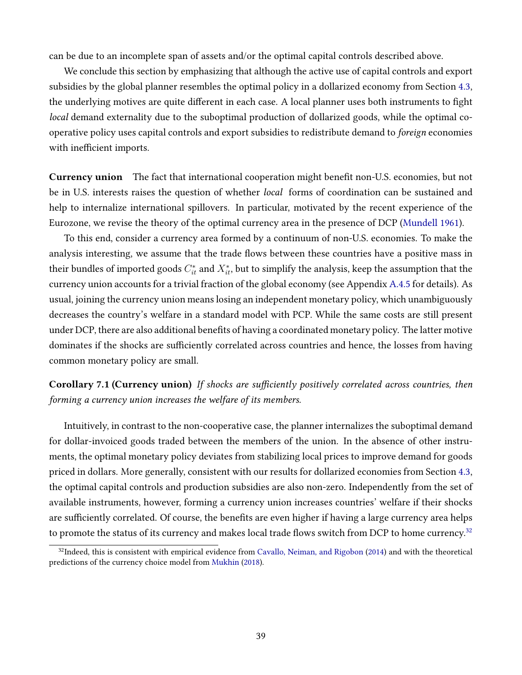can be due to an incomplete span of assets and/or the optimal capital controls described above.

We conclude this section by emphasizing that although the active use of capital controls and export subsidies by the global planner resembles the optimal policy in a dollarized economy from Section [4.3,](#page-29-0) the underlying motives are quite different in each case. A local planner uses both instruments to fight local demand externality due to the suboptimal production of dollarized goods, while the optimal cooperative policy uses capital controls and export subsidies to redistribute demand to foreign economies with inefficient imports.

**Currency union** The fact that international cooperation might benefit non-U.S. economies, but not be in U.S. interests raises the question of whether local forms of coordination can be sustained and help to internalize international spillovers. In particular, motivated by the recent experience of the Eurozone, we revise the theory of the optimal currency area in the presence of DCP [\(Mundell](#page-45-0) [1961\)](#page-45-0).

To this end, consider a currency area formed by a continuum of non-U.S. economies. To make the analysis interesting, we assume that the trade flows between these countries have a positive mass in their bundles of imported goods  $C_{it}^*$  and  $X_{it}^*$ , but to simplify the analysis, keep the assumption that the currency union accounts for a trivial fraction of the global economy (see Appendix [A.4.5](#page-75-0) for details). As usual, joining the currency union means losing an independent monetary policy, which unambiguously decreases the country's welfare in a standard model with PCP. While the same costs are still present under DCP, there are also additional benefits of having a coordinated monetary policy. The latter motive dominates if the shocks are sufficiently correlated across countries and hence, the losses from having common monetary policy are small.

Corollary 7.1 (Currency union) If shocks are sufficiently positively correlated across countries, then forming a currency union increases the welfare of its members.

Intuitively, in contrast to the non-cooperative case, the planner internalizes the suboptimal demand for dollar-invoiced goods traded between the members of the union. In the absence of other instruments, the optimal monetary policy deviates from stabilizing local prices to improve demand for goods priced in dollars. More generally, consistent with our results for dollarized economies from Section [4.3,](#page-29-0) the optimal capital controls and production subsidies are also non-zero. Independently from the set of available instruments, however, forming a currency union increases countries' welfare if their shocks are sufficiently correlated. Of course, the benefits are even higher if having a large currency area helps to promote the status of its currency and makes local trade flows switch from DCP to home currency.<sup>[32](#page-39-0)</sup>

<span id="page-39-0"></span><sup>&</sup>lt;sup>32</sup>Indeed, this is consistent with empirical evidence from [Cavallo, Neiman, and Rigobon](#page-41-0) [\(2014\)](#page-41-0) and with the theoretical predictions of the currency choice model from [Mukhin](#page-45-1) [\(2018\)](#page-45-1).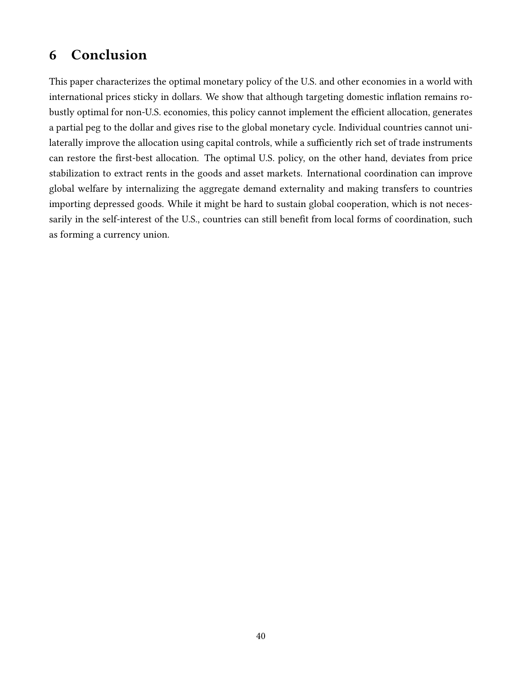# 6 Conclusion

This paper characterizes the optimal monetary policy of the U.S. and other economies in a world with international prices sticky in dollars. We show that although targeting domestic inflation remains robustly optimal for non-U.S. economies, this policy cannot implement the efficient allocation, generates a partial peg to the dollar and gives rise to the global monetary cycle. Individual countries cannot unilaterally improve the allocation using capital controls, while a sufficiently rich set of trade instruments can restore the first-best allocation. The optimal U.S. policy, on the other hand, deviates from price stabilization to extract rents in the goods and asset markets. International coordination can improve global welfare by internalizing the aggregate demand externality and making transfers to countries importing depressed goods. While it might be hard to sustain global cooperation, which is not necessarily in the self-interest of the U.S., countries can still benefit from local forms of coordination, such as forming a currency union.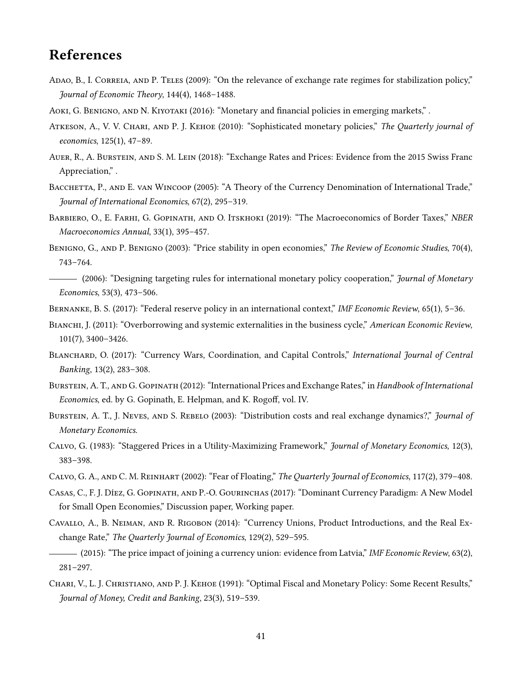## References

- ADAO, B., I. CORREIA, AND P. TELES (2009): "On the relevance of exchange rate regimes for stabilization policy," Journal of Economic Theory, 144(4), 1468–1488.
- AOKI, G. BENIGNO, AND N. KIYOTAKI (2016): "Monetary and financial policies in emerging markets,".
- ATKESON, A., V. V. CHARI, AND P. J. KEHOE (2010): "Sophisticated monetary policies," The Quarterly journal of economics, 125(1), 47–89.
- Auer, R., A. Burstein, and S. M. Lein (2018): "Exchange Rates and Prices: Evidence from the 2015 Swiss Franc Appreciation,".
- BACCHETTA, P., AND E. VAN WINCOOP (2005): "A Theory of the Currency Denomination of International Trade," Journal of International Economics, 67(2), 295–319.
- BARBIERO, O., E. FARHI, G. GOPINATH, AND O. ITSKHOKI (2019): "The Macroeconomics of Border Taxes," NBER Macroeconomics Annual, 33(1), 395–457.
- BENIGNO, G., AND P. BENIGNO (2003): "Price stability in open economies," The Review of Economic Studies, 70(4), 743–764.
- (2006): "Designing targeting rules for international monetary policy cooperation," Journal of Monetary Economics, 53(3), 473–506.
- Bernanke, B. S. (2017): "Federal reserve policy in an international context," IMF Economic Review, 65(1), 5–36.
- BIANCHI, J. (2011): "Overborrowing and systemic externalities in the business cycle," American Economic Review, 101(7), 3400–3426.
- BLANCHARD, O. (2017): "Currency Wars, Coordination, and Capital Controls," International Journal of Central Banking, 13(2), 283–308.
- BURSTEIN, A. T., AND G. GOPINATH (2012): "International Prices and Exchange Rates," in Handbook of International Economics, ed. by G. Gopinath, E. Helpman, and K. Rogoff, vol. IV.
- BURSTEIN, A. T., J. NEVES, AND S. REBELO (2003): "Distribution costs and real exchange dynamics?," *Journal of* Monetary Economics.
- Calvo, G. (1983): "Staggered Prices in a Utility-Maximizing Framework," Journal of Monetary Economics, 12(3), 383–398.
- Calvo, G. A., and C. M. Reinhart (2002): "Fear of Floating," The Quarterly Journal of Economics, 117(2), 379–408.
- Casas, C., F. J. Díez, G. Gopinath, and P.-O. Gourinchas (2017): "Dominant Currency Paradigm: A New Model for Small Open Economies," Discussion paper, Working paper.
- <span id="page-41-0"></span>Cavallo, A., B. Neiman, and R. Rigobon (2014): "Currency Unions, Product Introductions, and the Real Exchange Rate," The Quarterly Journal of Economics, 129(2), 529–595.
- (2015): "The price impact of joining a currency union: evidence from Latvia," IMF Economic Review, 63(2), 281–297.
- CHARI, V., L. J. CHRISTIANO, AND P. J. KEHOE (1991): "Optimal Fiscal and Monetary Policy: Some Recent Results," Journal of Money, Credit and Banking, 23(3), 519–539.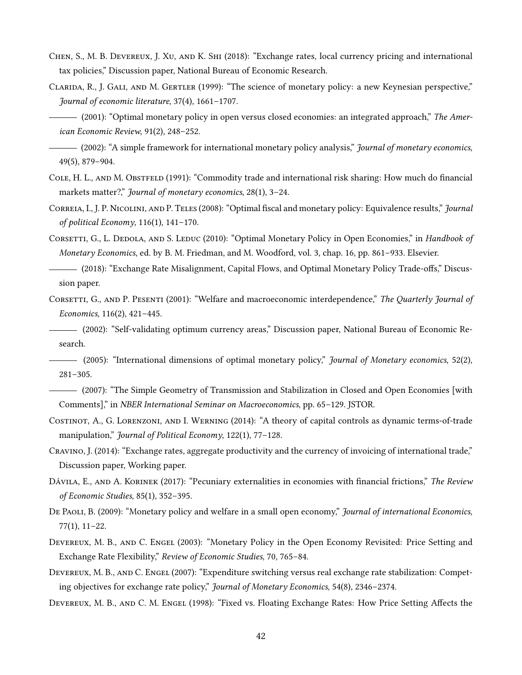- Chen, S., M. B. Devereux, J. Xu, and K. Shi (2018): "Exchange rates, local currency pricing and international tax policies," Discussion paper, National Bureau of Economic Research.
- Clarida, R., J. Gali, and M. Gertler (1999): "The science of monetary policy: a new Keynesian perspective," Journal of economic literature, 37(4), 1661–1707.
	- (2001): "Optimal monetary policy in open versus closed economies: an integrated approach," The American Economic Review, 91(2), 248–252.

(2002): "A simple framework for international monetary policy analysis," *Journal of monetary economics*, 49(5), 879–904.

- COLE, H. L., AND M. OBSTFELD (1991): "Commodity trade and international risk sharing: How much do financial markets matter?," Journal of monetary economics, 28(1), 3-24.
- CORREIA, I., J. P. NICOLINI, AND P. TELES (2008): "Optimal fiscal and monetary policy: Equivalence results," Journal of political Economy,  $116(1)$ ,  $141-170$ .
- CORSETTI, G., L. DEDOLA, AND S. LEDUC (2010): "Optimal Monetary Policy in Open Economies," in Handbook of Monetary Economics, ed. by B. M. Friedman, and M. Woodford, vol. 3, chap. 16, pp. 861–933. Elsevier.
- (2018): "Exchange Rate Misalignment, Capital Flows, and Optimal Monetary Policy Trade-offs," Discussion paper.
- <span id="page-42-1"></span>CORSETTI, G., AND P. PESENTI (2001): "Welfare and macroeconomic interdependence," The Quarterly Journal of Economics, 116(2), 421–445.
- (2002): "Self-validating optimum currency areas," Discussion paper, National Bureau of Economic Research.
- (2005): "International dimensions of optimal monetary policy," *Journal of Monetary economics*, 52(2), 281–305.
- <span id="page-42-0"></span>(2007): "The Simple Geometry of Transmission and Stabilization in Closed and Open Economies [with Comments]," in NBER International Seminar on Macroeconomics, pp. 65–129. JSTOR.
- Costinot, A., G. Lorenzoni, and I. Werning (2014): "A theory of capital controls as dynamic terms-of-trade manipulation," Journal of Political Economy, 122(1), 77-128.
- Cravino, J. (2014): "Exchange rates, aggregate productivity and the currency of invoicing of international trade," Discussion paper, Working paper.
- DÁVILA, E., AND A. KORINEK (2017): "Pecuniary externalities in economies with financial frictions," The Review of Economic Studies, 85(1), 352–395.
- DE PAOLI, B. (2009): "Monetary policy and welfare in a small open economy," *Journal of international Economics*, 77(1), 11–22.
- Devereux, M. B., and C. Engel (2003): "Monetary Policy in the Open Economy Revisited: Price Setting and Exchange Rate Flexibility," Review of Economic Studies, 70, 765–84.
- Devereux, M. B., and C. Engel (2007): "Expenditure switching versus real exchange rate stabilization: Competing objectives for exchange rate policy," Journal of Monetary Economics, 54(8), 2346–2374.
- DEVEREUX, M. B., AND C. M. ENGEL (1998): "Fixed vs. Floating Exchange Rates: How Price Setting Affects the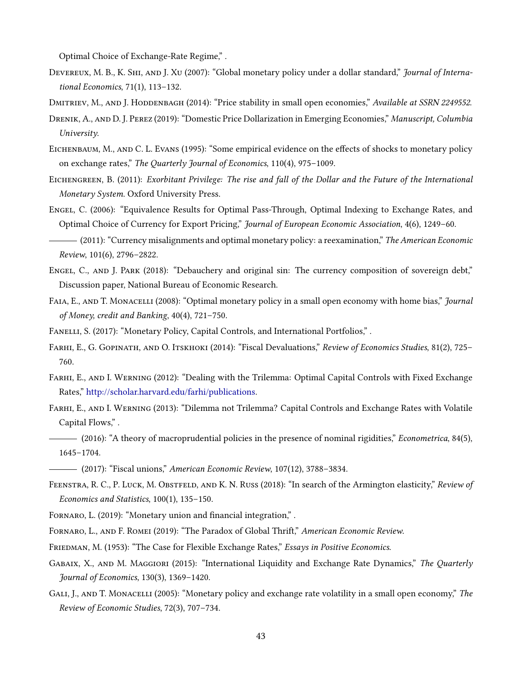Optimal Choice of Exchange-Rate Regime," .

- DEVEREUX, M. B., K. SHI, AND J. XU (2007): "Global monetary policy under a dollar standard," *Journal of Interna*tional Economics, 71(1), 113–132.
- DMITRIEV, M., AND J. HODDENBAGH (2014): "Price stability in small open economies," Available at SSRN 2249552.
- Drenik, A., and D. J. Perez (2019): "Domestic Price Dollarization in Emerging Economies," Manuscript, Columbia University.
- EICHENBAUM, M., AND C. L. EVANS (1995): "Some empirical evidence on the effects of shocks to monetary policy on exchange rates," The Quarterly Journal of Economics, 110(4), 975–1009.
- EICHENGREEN, B. (2011): Exorbitant Privilege: The rise and fall of the Dollar and the Future of the International Monetary System. Oxford University Press.
- Engel, C. (2006): "Equivalence Results for Optimal Pass-Through, Optimal Indexing to Exchange Rates, and Optimal Choice of Currency for Export Pricing," Journal of European Economic Association, 4(6), 1249–60.
- (2011): "Currency misalignments and optimal monetary policy: a reexamination," The American Economic Review, 101(6), 2796–2822.
- Engel, C., and J. Park (2018): "Debauchery and original sin: The currency composition of sovereign debt," Discussion paper, National Bureau of Economic Research.
- FAIA, E., AND T. MONACELLI (2008): "Optimal monetary policy in a small open economy with home bias," *Journal* of Money, credit and Banking, 40(4), 721–750.
- FANELLI, S. (2017): "Monetary Policy, Capital Controls, and International Portfolios,".
- FARHI, E., G. GOPINATH, AND O. ITSKHOKI (2014): "Fiscal Devaluations," Review of Economics Studies, 81(2), 725– 760.
- FARHI, E., AND I. WERNING (2012): "Dealing with the Trilemma: Optimal Capital Controls with Fixed Exchange Rates," [http://scholar.harvard.edu/farhi/publications.](http://scholar.harvard.edu/farhi/publications)
- FARHI, E., AND I. WERNING (2013): "Dilemma not Trilemma? Capital Controls and Exchange Rates with Volatile Capital Flows," .
- <span id="page-43-0"></span>(2016): "A theory of macroprudential policies in the presence of nominal rigidities," *Econometrica*, 84(5), 1645–1704.
- (2017): "Fiscal unions," American Economic Review, 107(12), 3788–3834.
- FEENSTRA, R. C., P. LUCK, M. OBSTFELD, AND K. N. RUSS (2018): "In search of the Armington elasticity," Review of Economics and Statistics, 100(1), 135–150.
- FORNARO, L. (2019): "Monetary union and financial integration,".
- FORNARO, L., AND F. ROMEI (2019): "The Paradox of Global Thrift," American Economic Review.
- FRIEDMAN, M. (1953): "The Case for Flexible Exchange Rates," Essays in Positive Economics.
- Gabaix, X., and M. Maggiori (2015): "International Liquidity and Exchange Rate Dynamics," The Quarterly Journal of Economics, 130(3), 1369–1420.
- GALI, J., AND T. MONACELLI (2005): "Monetary policy and exchange rate volatility in a small open economy," The Review of Economic Studies, 72(3), 707–734.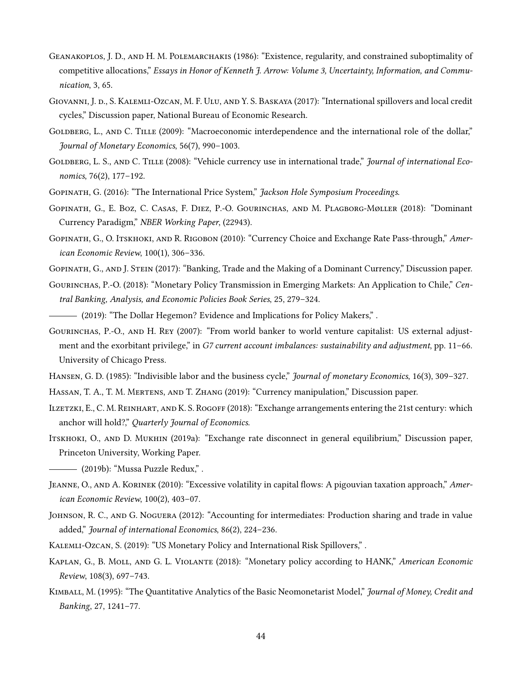- <span id="page-44-0"></span>Geanakoplos, J. D., and H. M. Polemarchakis (1986): "Existence, regularity, and constrained suboptimality of competitive allocations," Essays in Honor of Kenneth J. Arrow: Volume 3, Uncertainty, Information, and Communication, 3, 65.
- GIOVANNI, J. D., S. KALEMLI-OZCAN, M. F. ULU, AND Y. S. BASKAYA (2017): "International spillovers and local credit cycles," Discussion paper, National Bureau of Economic Research.
- <span id="page-44-1"></span>GOLDBERG, L., AND C. TILLE (2009): "Macroeconomic interdependence and the international role of the dollar," Journal of Monetary Economics, 56(7), 990–1003.
- GOLDBERG, L. S., AND C. TILLE (2008): "Vehicle currency use in international trade," Journal of international Economics, 76(2), 177–192.
- Gopinath, G. (2016): "The International Price System," Jackson Hole Symposium Proceedings.
- Gopinath, G., E. Boz, C. Casas, F. Diez, P.-O. Gourinchas, and M. Plagborg-Møller (2018): "Dominant Currency Paradigm," NBER Working Paper, (22943).
- GOPINATH, G., O. ITSKHOKI, AND R. RIGOBON (2010): "Currency Choice and Exchange Rate Pass-through," American Economic Review, 100(1), 306–336.
- Gopinath, G., and J. Stein (2017): "Banking, Trade and the Making of a Dominant Currency," Discussion paper.
- GOURINCHAS, P.-O. (2018): "Monetary Policy Transmission in Emerging Markets: An Application to Chile," Central Banking, Analysis, and Economic Policies Book Series, 25, 279–324.
- (2019): "The Dollar Hegemon? Evidence and Implications for Policy Makers," .
- Gourinchas, P.-O., and H. Rey (2007): "From world banker to world venture capitalist: US external adjustment and the exorbitant privilege," in G7 current account imbalances: sustainability and adjustment, pp. 11–66. University of Chicago Press.
- HANSEN, G. D. (1985): "Indivisible labor and the business cycle," *Journal of monetary Economics*, 16(3), 309–327.
- Hassan, T. A., T. M. Mertens, and T. Zhang (2019): "Currency manipulation," Discussion paper.
- ILZETZKI, E., C. M. REINHART, AND K. S. ROGOFF (2018): "Exchange arrangements entering the 21st century: which anchor will hold?," Quarterly Journal of Economics.
- <span id="page-44-2"></span>Itskhoki, O., and D. Mukhin (2019a): "Exchange rate disconnect in general equilibrium," Discussion paper, Princeton University, Working Paper.

(2019b): "Mussa Puzzle Redux," .

- JEANNE, O., AND A. KORINEK (2010): "Excessive volatility in capital flows: A pigouvian taxation approach," American Economic Review, 100(2), 403–07.
- Johnson, R. C., and G. Noguera (2012): "Accounting for intermediates: Production sharing and trade in value added," Journal of international Economics, 86(2), 224–236.
- KALEMLI-OZCAN, S. (2019): "US Monetary Policy and International Risk Spillovers,".
- Kaplan, G., B. Moll, and G. L. Violante (2018): "Monetary policy according to HANK," American Economic Review, 108(3), 697–743.
- KIMBALL, M. (1995): "The Quantitative Analytics of the Basic Neomonetarist Model," Journal of Money, Credit and Banking, 27, 1241–77.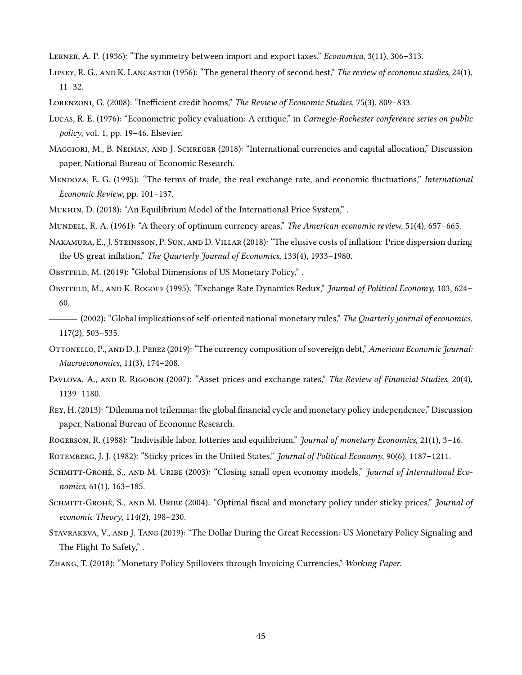Lerner, A. P. (1936): "The symmetry between import and export taxes," Economica, 3(11), 306–313.

- LIPSEY, R. G., AND K. LANCASTER (1956): "The general theory of second best," The review of economic studies, 24(1), 11–32.
- LORENZONI, G. (2008): "Inefficient credit booms," The Review of Economic Studies, 75(3), 809-833.
- Lucas, R. E. (1976): "Econometric policy evaluation: A critique," in Carnegie-Rochester conference series on public policy, vol. 1, pp. 19–46. Elsevier.
- Maggiori, M., B. Neiman, and J. Schreger (2018): "International currencies and capital allocation," Discussion paper, National Bureau of Economic Research.
- MENDOZA, E. G. (1995): "The terms of trade, the real exchange rate, and economic fluctuations," *International* Economic Review, pp. 101–137.
- <span id="page-45-1"></span>Mukhin, D. (2018): "An Equilibrium Model of the International Price System," .

<span id="page-45-0"></span>MUNDELL, R. A. (1961): "A theory of optimum currency areas," The American economic review, 51(4), 657–665.

- NAKAMURA, E., J. STEINSSON, P. SUN, AND D. VILLAR (2018): "The elusive costs of inflation: Price dispersion during the US great inflation," The Quarterly Journal of Economics, 133(4), 1933-1980.
- OBSTFELD, M. (2019): "Global Dimensions of US Monetary Policy,".
- OBSTFELD, M., AND K. ROGOFF (1995): "Exchange Rate Dynamics Redux," Journal of Political Economy, 103, 624– 60.
- (2002): "Global implications of self-oriented national monetary rules," The Quarterly journal of economics, 117(2), 503–535.
- Ottonello, P., and D. J. Perez (2019): "The currency composition of sovereign debt," American Economic Journal: Macroeconomics, 11(3), 174–208.
- PAVLOVA, A., AND R. RIGOBON (2007): "Asset prices and exchange rates," The Review of Financial Studies, 20(4), 1139–1180.
- Rey, H. (2013): "Dilemma not trilemma: the global financial cycle and monetary policy independence," Discussion paper, National Bureau of Economic Research.
- ROGERSON, R. (1988): "Indivisible labor, lotteries and equilibrium," Journal of monetary Economics, 21(1), 3-16.
- ROTEMBERG, J. J. (1982): "Sticky prices in the United States," *Journal of Political Economy*, 90(6), 1187–1211.
- <span id="page-45-2"></span>SCHMITT-GROHÉ, S., AND M. URIBE (2003): "Closing small open economy models," *Journal of International Eco*nomics, 61(1), 163–185.
- SCHMITT-GROHÉ, S., AND M. URIBE (2004): "Optimal fiscal and monetary policy under sticky prices," *Journal of* economic Theory, 114(2), 198–230.
- Stavrakeva, V., and J. Tang (2019): "The Dollar During the Great Recession: US Monetary Policy Signaling and The Flight To Safety,".
- Zhang, T. (2018): "Monetary Policy Spillovers through Invoicing Currencies," Working Paper.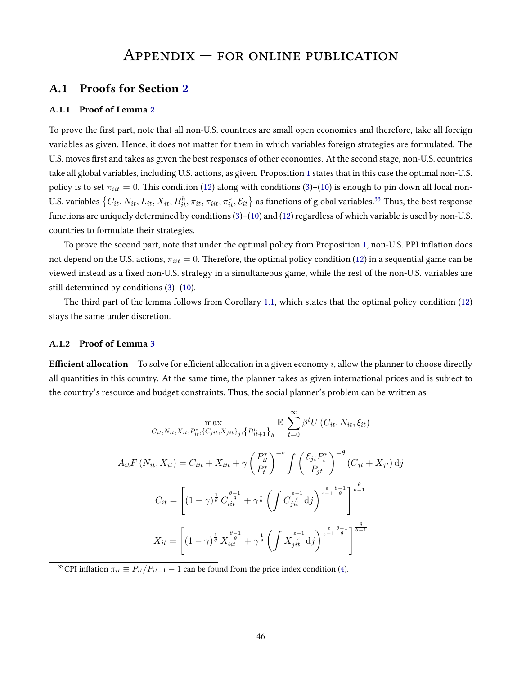## $APPENDIX - FORONLINE PUBLICATION$

### A.1 Proofs for Section [2](#page-7-0)

#### A.1.1 Proof of Lemma [2](#page-13-0)

To prove the first part, note that all non-U.S. countries are small open economies and therefore, take all foreign variables as given. Hence, it does not matter for them in which variables foreign strategies are formulated. The U.S. moves first and takes as given the best responses of other economies. At the second stage, non-U.S. countries take all global variables, including U.S. actions, as given. Proposition [1](#page-15-0) states that in this case the optimal non-U.S. policy is to set  $\pi_{iit} = 0$ . This condition [\(12\)](#page-16-0) along with conditions [\(3\)](#page-9-1)–[\(10\)](#page-11-2) is enough to pin down all local non-U.S. variables  $\{C_{it},N_{it},L_{it},X_{it},B_{it}^h,\pi_{it},\pi_{itt},\pi_{it}^*,\mathcal{E}_{it}\}$  as functions of global variables. $^{33}$  $^{33}$  $^{33}$  Thus, the best response functions are uniquely determined by conditions [\(3\)](#page-9-1)–[\(10\)](#page-11-2) and [\(12\)](#page-16-0) regardless of which variable is used by non-U.S. countries to formulate their strategies.

To prove the second part, note that under the optimal policy from Proposition [1,](#page-15-0) non-U.S. PPI inflation does not depend on the U.S. actions,  $\pi_{iit} = 0$ . Therefore, the optimal policy condition [\(12\)](#page-16-0) in a sequential game can be viewed instead as a fixed non-U.S. strategy in a simultaneous game, while the rest of the non-U.S. variables are still determined by conditions [\(3\)](#page-9-1)–[\(10\)](#page-11-2).

The third part of the lemma follows from Corollary [1.1,](#page-19-0) which states that the optimal policy condition [\(12\)](#page-16-0) stays the same under discretion.

#### <span id="page-46-1"></span>A.1.2 Proof of Lemma [3](#page-14-0)

**Efficient allocation** To solve for efficient allocation in a given economy i, allow the planner to choose directly all quantities in this country. At the same time, the planner takes as given international prices and is subject to the country's resource and budget constraints. Thus, the social planner's problem can be written as

$$
\max_{C_{it}, N_{it}, X_{it}, P_{it}^*, \{C_{jit}, X_{jit}\}_j, \{B_{it+1}^h\}_h} \mathbb{E} \sum_{t=0}^{\infty} \beta^t U(C_{it}, N_{it}, \xi_{it})
$$

$$
A_{it} F(N_{it}, X_{it}) = C_{itt} + X_{itt} + \gamma \left(\frac{P_{it}^*}{P_t^*}\right)^{-\varepsilon} \int \left(\frac{\mathcal{E}_{jt} P_t^*}{P_{jt}}\right)^{-\theta} (C_{jt} + X_{jt}) \, \mathrm{d}j
$$

$$
C_{it} = \left[ (1 - \gamma)^{\frac{1}{\theta}} C_{itt}^{\frac{\theta - 1}{\theta}} + \gamma^{\frac{1}{\theta}} \left( \int C_{jt}^{\frac{\varepsilon - 1}{\varepsilon}} \mathrm{d}j \right)^{\frac{\varepsilon}{\varepsilon - 1} \frac{\theta - 1}{\theta}} \right]^{\frac{\theta}{\theta - 1}}
$$

$$
X_{it} = \left[ (1 - \gamma)^{\frac{1}{\theta}} X_{itt}^{\frac{\theta - 1}{\theta}} + \gamma^{\frac{1}{\theta}} \left( \int X_{jt}^{\frac{\varepsilon - 1}{\varepsilon}} \mathrm{d}j \right)^{\frac{\varepsilon}{\varepsilon - 1} \frac{\theta - 1}{\theta}} \right]^{\frac{\theta}{\theta - 1}}
$$

<span id="page-46-0"></span><sup>33</sup>CPI inflation  $\pi_{it} \equiv P_{it}/P_{it-1} - 1$  can be found from the price index condition [\(4\)](#page-9-0).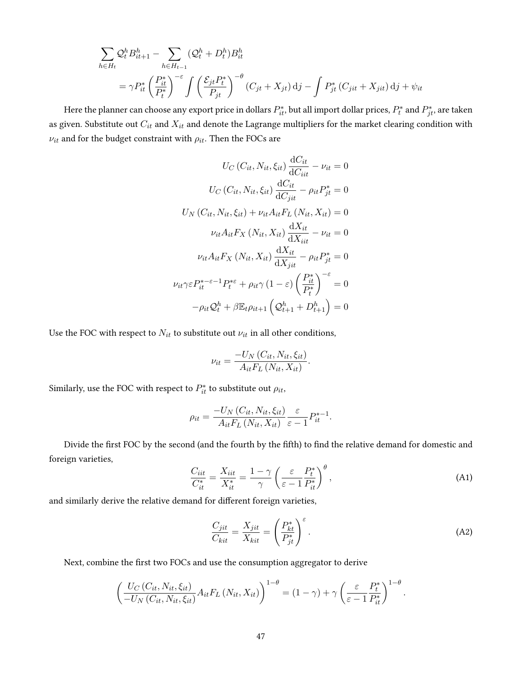$$
\sum_{h \in H_t} \mathcal{Q}_t^h B_{it+1}^h - \sum_{h \in H_{t-1}} (\mathcal{Q}_t^h + D_t^h) B_{it}^h
$$
\n
$$
= \gamma P_{it}^* \left(\frac{P_{it}^*}{P_t^*}\right)^{-\varepsilon} \int \left(\frac{\mathcal{E}_{jt} P_t^*}{P_{jt}}\right)^{-\theta} (C_{jt} + X_{jt}) \, \mathrm{d}j - \int P_{jt}^* (C_{jit} + X_{jit}) \, \mathrm{d}j + \psi_{it}
$$

Here the planner can choose any export price in dollars  $P_{it}^*$ , but all import dollar prices,  $P_t^*$  and  $P_{jt}^*$ , are taken as given. Substitute out  $C_{it}$  and  $X_{it}$  and denote the Lagrange multipliers for the market clearing condition with  $\nu_{it}$  and for the budget constraint with  $\rho_{it}$ . Then the FOCs are

$$
U_C(C_{it}, N_{it}, \xi_{it}) \frac{dC_{it}}{dC_{it}} - \nu_{it} = 0
$$

$$
U_C(C_{it}, N_{it}, \xi_{it}) \frac{dC_{it}}{dC_{jit}} - \rho_{it} P_{jt}^* = 0
$$

$$
U_N(C_{it}, N_{it}, \xi_{it}) + \nu_{it} A_{it} F_L(N_{it}, X_{it}) = 0
$$

$$
\nu_{it} A_{it} F_X(N_{it}, X_{it}) \frac{dX_{it}}{dX_{it}} - \nu_{it} = 0
$$

$$
\nu_{it} A_{it} F_X(N_{it}, X_{it}) \frac{dX_{it}}{dX_{jit}} - \rho_{it} P_{jt}^* = 0
$$

$$
\nu_{it} \gamma \varepsilon P_{it}^{* - \varepsilon - 1} P_{t}^{* \varepsilon} + \rho_{it} \gamma (1 - \varepsilon) \left(\frac{P_{it}^*}{P_{t}^*}\right)^{-\varepsilon} = 0
$$

$$
-\rho_{it} \mathcal{Q}_{t}^h + \beta \mathbb{E}_{t} \rho_{it+1} \left(\mathcal{Q}_{t+1}^h + D_{t+1}^h\right) = 0
$$

Use the FOC with respect to  $N_{it}$  to substitute out  $\nu_{it}$  in all other conditions,

$$
\nu_{it} = \frac{-U_N(C_{it}, N_{it}, \xi_{it})}{A_{it} F_L(N_{it}, X_{it})}.
$$

Similarly, use the FOC with respect to  $P_{it}^*$  to substitute out  $\rho_{it}$ ,

$$
\rho_{it} = \frac{-U_N(C_{it}, N_{it}, \xi_{it})}{A_{it} F_L(N_{it}, X_{it})} \frac{\varepsilon}{\varepsilon - 1} P_{it}^{*-1}.
$$

Divide the first FOC by the second (and the fourth by the fifth) to find the relative demand for domestic and foreign varieties,

<span id="page-47-0"></span>
$$
\frac{C_{iit}}{C_{it}^*} = \frac{X_{iit}}{X_{it}^*} = \frac{1 - \gamma}{\gamma} \left( \frac{\varepsilon}{\varepsilon - 1} \frac{P_t^*}{P_{it}^*} \right)^{\theta},\tag{A1}
$$

and similarly derive the relative demand for different foreign varieties,

<span id="page-47-1"></span>
$$
\frac{C_{jit}}{C_{kit}} = \frac{X_{jit}}{X_{kit}} = \left(\frac{P_{kt}^*}{P_{jt}^*}\right)^{\varepsilon}.
$$
\n(A2)

.

Next, combine the first two FOCs and use the consumption aggregator to derive

$$
\left(\frac{U_C(C_{it}, N_{it}, \xi_{it})}{-U_N(C_{it}, N_{it}, \xi_{it})} A_{it} F_L(N_{it}, X_{it})\right)^{1-\theta} = (1-\gamma) + \gamma \left(\frac{\varepsilon}{\varepsilon - 1} \frac{P_t^*}{P_{it}^*}\right)^{1-\theta}
$$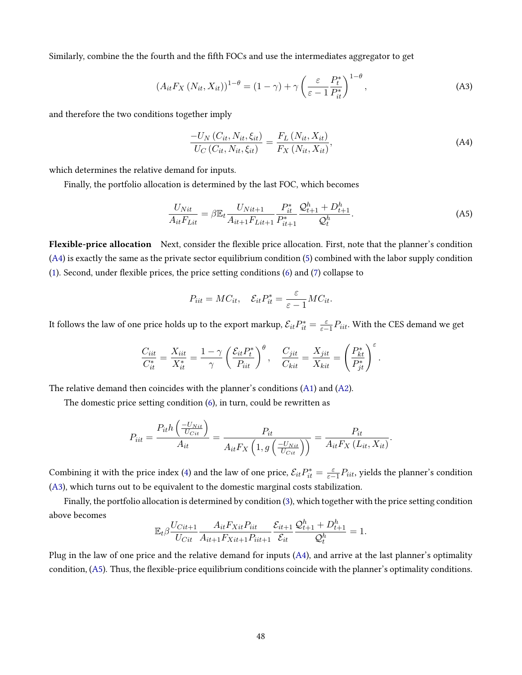Similarly, combine the the fourth and the fth FOCs and use the intermediates aggregator to get

<span id="page-48-1"></span>
$$
\left(A_{it}F_X\left(N_{it}, X_{it}\right)\right)^{1-\theta} = \left(1-\gamma\right) + \gamma \left(\frac{\varepsilon}{\varepsilon-1} \frac{P_t^*}{P_{it}^*}\right)^{1-\theta},\tag{A3}
$$

and therefore the two conditions together imply

<span id="page-48-0"></span>
$$
\frac{-U_N(C_{it}, N_{it}, \xi_{it})}{U_C(C_{it}, N_{it}, \xi_{it})} = \frac{F_L(N_{it}, X_{it})}{F_X(N_{it}, X_{it})},\tag{A4}
$$

which determines the relative demand for inputs.

Finally, the portfolio allocation is determined by the last FOC, which becomes

<span id="page-48-2"></span>
$$
\frac{U_{Nit}}{A_{it}F_{Lit}} = \beta \mathbb{E}_t \frac{U_{Nit+1}}{A_{it+1}F_{Lit+1}} \frac{P_{it}^*}{P_{it+1}^*} \frac{\mathcal{Q}_{t+1}^h + D_{t+1}^h}{\mathcal{Q}_t^h}.
$$
\n(A5)

Flexible-price allocation Next, consider the flexible price allocation. First, note that the planner's condition [\(A4\)](#page-48-0) is exactly the same as the private sector equilibrium condition [\(5\)](#page-9-2) combined with the labor supply condition [\(1\)](#page-8-0). Second, under flexible prices, the price setting conditions  $(6)$  and  $(7)$  collapse to

$$
P_{iit} = MC_{it}, \quad \mathcal{E}_{it} P_{it}^* = \frac{\varepsilon}{\varepsilon - 1} MC_{it}.
$$

It follows the law of one price holds up to the export markup,  $\mathcal{E}_{it}P^*_{it}=\frac{\varepsilon}{\varepsilon-1}P_{iit}$ . With the CES demand we get

$$
\frac{C_{iit}}{C_{it}^*} = \frac{X_{iit}}{X_{it}^*} = \frac{1 - \gamma}{\gamma} \left(\frac{\mathcal{E}_{it} P_t^*}{P_{iit}}\right)^{\theta}, \quad \frac{C_{jit}}{C_{kit}} = \frac{X_{jit}}{X_{kit}} = \left(\frac{P_{kt}^*}{P_{jt}^*}\right)^{\varepsilon}.
$$

The relative demand then coincides with the planner's conditions [\(A1\)](#page-47-0) and [\(A2\)](#page-47-1).

The domestic price setting condition [\(6\)](#page-10-0), in turn, could be rewritten as

$$
P_{iit} = \frac{P_{it}h\left(\frac{-U_{Nit}}{U_{Cit}}\right)}{A_{it}} = \frac{P_{it}}{A_{it}F_X\left(1, g\left(\frac{-U_{Nit}}{U_{Cit}}\right)\right)} = \frac{P_{it}}{A_{it}F_X\left(L_{it}, X_{it}\right)}.
$$

Combining it with the price index [\(4\)](#page-9-0) and the law of one price,  $\mathcal{E}_{it}P_{it}^* = \frac{\varepsilon}{\varepsilon-1}P_{iit}$ , yields the planner's condition [\(A3\)](#page-48-1), which turns out to be equivalent to the domestic marginal costs stabilization.

Finally, the portfolio allocation is determined by condition [\(3\)](#page-9-1), which together with the price setting condition above becomes

$$
\mathbb{E}_{t} \beta \frac{U_{Cit+1}}{U_{Cit}} \frac{A_{it} F_{Xit} P_{iit}}{A_{it+1} F_{Xit+1} P_{iit+1}} \frac{\mathcal{E}_{it+1}}{\mathcal{E}_{it}} \frac{\mathcal{Q}_{t+1}^{h} + D_{t+1}^{h}}{\mathcal{Q}_{t}^{h}} = 1.
$$

Plug in the law of one price and the relative demand for inputs [\(A4\)](#page-48-0), and arrive at the last planner's optimality condition, [\(A5\)](#page-48-2). Thus, the flexible-price equilibrium conditions coincide with the planner's optimality conditions.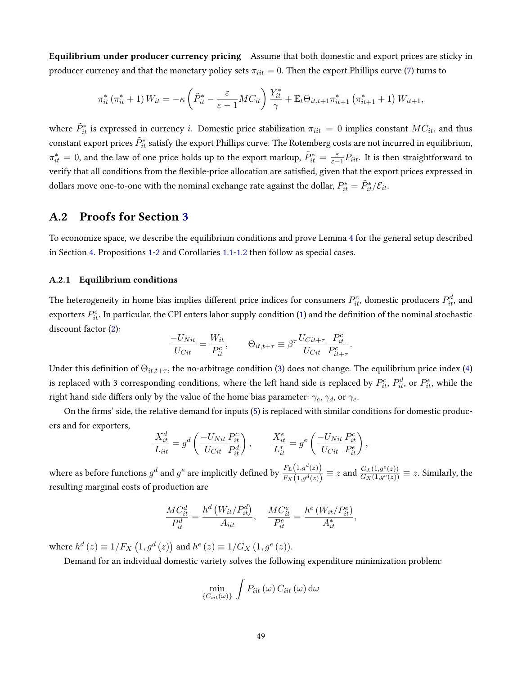Equilibrium under producer currency pricing Assume that both domestic and export prices are sticky in producer currency and that the monetary policy sets  $\pi_{iit} = 0$ . Then the export Phillips curve [\(7\)](#page-11-1) turns to

$$
\pi_{it}^* \left( \pi_{it}^* + 1 \right) W_{it} = -\kappa \left( \tilde{P}_{it}^* - \frac{\varepsilon}{\varepsilon - 1} MC_{it} \right) \frac{Y_{it}^*}{\gamma} + \mathbb{E}_t \Theta_{it, t+1} \pi_{it+1}^* \left( \pi_{it+1}^* + 1 \right) W_{it+1},
$$

where  $\tilde{P}^*_{it}$  is expressed in currency  $i.$  Domestic price stabilization  $\pi_{iit} \,=\, 0$  implies constant  $MC_{it},$  and thus constant export prices  $\tilde{P}_{it}^*$  satisfy the export Phillips curve. The Rotemberg costs are not incurred in equilibrium,  $\pi^*_{it}=0$ , and the law of one price holds up to the export markup,  $\tilde{P}^*_{it}=\frac{\varepsilon}{\varepsilon-1}P_{iit}.$  It is then straightforward to verify that all conditions from the flexible-price allocation are satisfied, given that the export prices expressed in dollars move one-to-one with the nominal exchange rate against the dollar,  $P^*_{it} = \tilde{P}^*_{it}/\mathcal{E}_{it}.$ 

## A.2 Proofs for Section [3](#page-15-1)

To economize space, we describe the equilibrium conditions and prove Lemma [4](#page-27-0) for the general setup described in Section [4.](#page-25-0) Propositions [1-](#page-15-0)[2](#page-22-0) and Corollaries [1.1](#page-19-0)[-1.2](#page-21-1) then follow as special cases.

#### A.2.1 Equilibrium conditions

The heterogeneity in home bias implies different price indices for consumers  $P^c_{it}$ , domestic producers  $P^d_{it}$ , and exporters  $P_{it}^e$ . In particular, the CPI enters labor supply condition [\(1\)](#page-8-0) and the definition of the nominal stochastic discount factor [\(2\)](#page-9-3):

$$
\frac{-U_{Nit}}{U_{Cit}} = \frac{W_{it}}{P_{it}^c}, \qquad \Theta_{it,t+\tau} \equiv \beta^{\tau} \frac{U_{Cit+\tau}}{U_{Cit}} \frac{P_{it}^c}{P_{it+\tau}^c}.
$$

Under this definition of  $\Theta_{it,t+\tau}$ , the no-arbitrage condition [\(3\)](#page-9-1) does not change. The equilibrium price index [\(4\)](#page-9-0) is replaced with 3 corresponding conditions, where the left hand side is replaced by  $P^c_{it},\,P^d_{it},$  or  $P^e_{it},$  while the right hand side differs only by the value of the home bias parameter:  $\gamma_c$ ,  $\gamma_d$ , or  $\gamma_e$ .

On the firms' side, the relative demand for inputs [\(5\)](#page-9-2) is replaced with similar conditions for domestic producers and for exporters,

$$
\frac{X_{it}^d}{L_{iit}} = g^d \left( \frac{-U_{Nit}}{U_{Cit}} \frac{P_{it}^c}{P_{it}^d} \right), \qquad \frac{X_{it}^e}{L_{it}^*} = g^e \left( \frac{-U_{Nit}}{U_{Cit}} \frac{P_{it}^c}{P_{it}^e} \right),
$$

where as before functions  $g^d$  and  $g^e$  are implicitly defined by  $\frac{F_L\left(1,g^d(z)\right)}{F_X\left(1,g^d(z)\right)}\equiv z$  and  $\frac{G_L\left(1,g^e(z)\right)}{G_X\left(1,g^e(z)\right)}\equiv z.$  Similarly, the resulting marginal costs of production are

$$
\frac{MC_{it}^d}{P_{it}^d} = \frac{h^d\left(W_{it}/P_{it}^d\right)}{A_{itt}}, \quad \frac{MC_{it}^e}{P_{it}^e} = \frac{h^e\left(W_{it}/P_{it}^e\right)}{A_{it}^*},
$$

where  $h^d\left(z\right) \equiv 1/F_X\left(1,g^d\left(z\right)\right)$  and  $h^e\left(z\right) \equiv 1/G_X\left(1,g^e\left(z\right)\right)$ .

Demand for an individual domestic variety solves the following expenditure minimization problem:

$$
\min_{\{C_{iit}(\omega)\}} \int P_{iit}(\omega) C_{iit}(\omega) d\omega
$$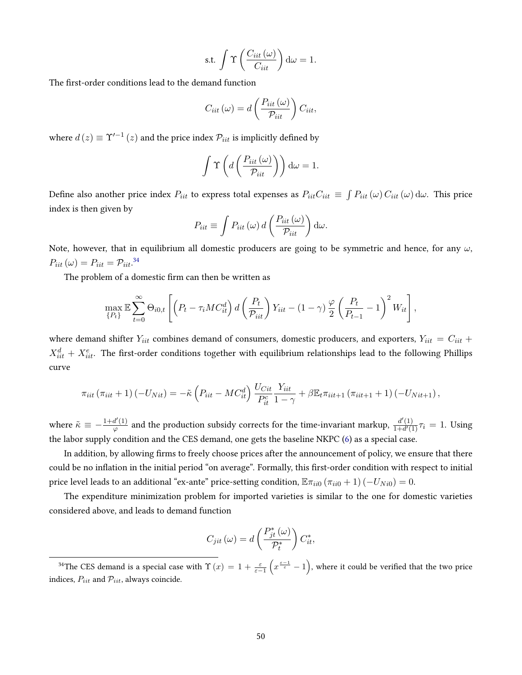$$
\text{s.t.} \int \Upsilon \left( \frac{C_{iit}(\omega)}{C_{iit}} \right) d\omega = 1.
$$

The first-order conditions lead to the demand function

$$
C_{iit}(\omega) = d\left(\frac{P_{iit}(\omega)}{P_{iit}}\right)C_{iit},
$$

where  $d(z) \equiv \Upsilon'^{-1}(z)$  and the price index  $\mathcal{P}_{iit}$  is implicitly defined by

$$
\int \Upsilon \left( d \left( \frac{P_{iit}(\omega)}{\mathcal{P}_{iit}} \right) \right) d\omega = 1.
$$

Define also another price index  $P_{iit}$  to express total expenses as  $P_{iit}C_{iit}\equiv\int P_{iit}\left(\omega\right)C_{iit}\left(\omega\right)\mathrm{d}\omega.$  This price index is then given by

$$
P_{iit} \equiv \int P_{iit}(\omega) d\left(\frac{P_{iit}(\omega)}{P_{iit}}\right) d\omega.
$$

Note, however, that in equilibrium all domestic producers are going to be symmetric and hence, for any  $\omega$ ,  $P_{iit}(\omega) = P_{iit} = \mathcal{P}_{iit}.^{34}$  $P_{iit}(\omega) = P_{iit} = \mathcal{P}_{iit}.^{34}$  $P_{iit}(\omega) = P_{iit} = \mathcal{P}_{iit}.^{34}$ 

The problem of a domestic firm can then be written as

$$
\max_{\{P_t\}} \mathbb{E} \sum_{t=0}^{\infty} \Theta_{i0,t} \left[ \left( P_t - \tau_i M C_{it}^d \right) d \left( \frac{P_t}{\mathcal{P}_{iit}} \right) Y_{iit} - (1 - \gamma) \frac{\varphi}{2} \left( \frac{P_t}{P_{t-1}} - 1 \right)^2 W_{it} \right],
$$

where demand shifter  $Y_{iit}$  combines demand of consumers, domestic producers, and exporters,  $Y_{iit} = C_{iit} +$  $X_{iit}^d + X_{iit}^e$ . The first-order conditions together with equilibrium relationships lead to the following Phillips curve

$$
\pi_{iit}(\pi_{iit}+1)(-U_{Nit})=-\tilde{\kappa}\left(P_{iit}-MC_{it}^d\right)\frac{U_{Cit}}{P_{it}^c}\frac{Y_{iit}}{1-\gamma}+\beta\mathbb{E}_t\pi_{iit+1}(\pi_{iit+1}+1)(-U_{Nit+1}),
$$

where  $\tilde{\kappa} \equiv -\frac{1+d'(1)}{2}$  $\frac{d'(1)}{\varphi}$  and the production subsidy corrects for the time-invariant markup,  $\frac{d'(1)}{1+d'(1)}$  $\frac{d(1)}{1+d'(1)}$   $\tau_i = 1$ . Using the labor supply condition and the CES demand, one gets the baseline NKPC [\(6\)](#page-10-0) as a special case.

In addition, by allowing firms to freely choose prices after the announcement of policy, we ensure that there could be no inflation in the initial period "on average". Formally, this first-order condition with respect to initial price level leads to an additional "ex-ante" price-setting condition,  $\mathbb{E} \pi_{ii0} (\pi_{ii0} + 1) (-U_{Ni0}) = 0.$ 

The expenditure minimization problem for imported varieties is similar to the one for domestic varieties considered above, and leads to demand function

$$
C_{jit}(\omega) = d\left(\frac{P_{jt}^*(\omega)}{\mathcal{P}_t^*}\right) C_{it}^*,
$$

<span id="page-50-0"></span><sup>&</sup>lt;sup>34</sup>The CES demand is a special case with  $\Upsilon\left(x\right)=1+\frac{\varepsilon}{\varepsilon-1}\left(x^{\frac{\varepsilon-1}{\varepsilon}}-1\right)$ , where it could be verified that the two price indices,  $P_{iit}$  and  $P_{iit}$ , always coincide.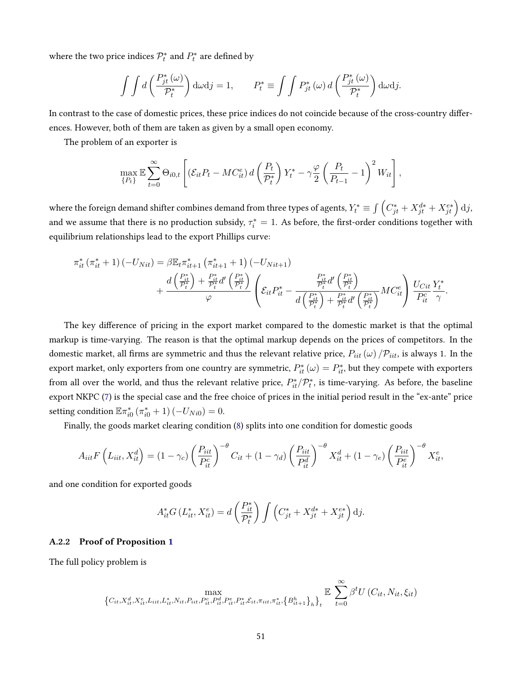where the two price indices  $\mathcal{P}^*_t$  and  $P^*_t$  are defined by

$$
\int \int d\left(\frac{P_{jt}^*(\omega)}{\mathcal{P}_t^*}\right) d\omega \mathrm{d}j = 1, \qquad P_t^* \equiv \int \int P_{jt}^*(\omega) d\left(\frac{P_{jt}^*(\omega)}{\mathcal{P}_t^*}\right) d\omega \mathrm{d}j.
$$

In contrast to the case of domestic prices, these price indices do not coincide because of the cross-country differences. However, both of them are taken as given by a small open economy.

The problem of an exporter is

$$
\max_{\{P_t\}} \mathbb{E} \sum_{t=0}^{\infty} \Theta_{i0,t} \left[ \left( \mathcal{E}_{it} P_t - MC_{it}^e \right) d \left( \frac{P_t}{P_t^*} \right) Y_t^* - \gamma \frac{\varphi}{2} \left( \frac{P_t}{P_{t-1}} - 1 \right)^2 W_{it} \right],
$$

where the foreign demand shifter combines demand from three types of agents,  $Y^*_t\equiv\int\left(C^*_{jt}+X^{d*}_{jt}+X^{e*}_{jt}\right)\mathrm{d}j,$ and we assume that there is no production subsidy,  $\tau_i^*=1$ . As before, the first-order conditions together with equilibrium relationships lead to the export Phillips curve:

$$
\pi_{it}^{*}(\pi_{it}^{*}+1)(-U_{Nit}) = \beta \mathbb{E}_{t} \pi_{it+1}^{*}(\pi_{it+1}^{*}+1)(-U_{Nit+1}) + \frac{d\left(\frac{P_{it}^{*}}{\mathcal{P}_{t}^{*}}\right) + \frac{P_{it}^{*}}{\mathcal{P}_{t}^{*}}d'\left(\frac{P_{it}^{*}}{\mathcal{P}_{t}^{*}}\right)}{\varphi} \left(\mathcal{E}_{it} P_{it}^{*} - \frac{\frac{P_{it}^{*}}{\mathcal{P}_{t}^{*}}d'\left(\frac{P_{it}^{*}}{\mathcal{P}_{t}^{*}}\right)}{d\left(\frac{P_{it}^{*}}{\mathcal{P}_{t}^{*}}\right) + \frac{P_{it}^{*}}{\mathcal{P}_{t}^{*}}d'\left(\frac{P_{it}^{*}}{\mathcal{P}_{t}^{*}}\right)}} MC_{it}^{e}\right) \frac{U_{Cit}}{P_{it}^{c}} \frac{Y_{t}^{*}}{\gamma}.
$$

The key difference of pricing in the export market compared to the domestic market is that the optimal markup is time-varying. The reason is that the optimal markup depends on the prices of competitors. In the domestic market, all firms are symmetric and thus the relevant relative price,  $P_{iit}(\omega)/P_{iit}$ , is always 1. In the export market, only exporters from one country are symmetric,  $P_{it}^*(\omega) = P_{it}^*$ , but they compete with exporters from all over the world, and thus the relevant relative price,  $P_{it}^*/\mathcal{P}_t^*$ , is time-varying. As before, the baseline export NKPC [\(7\)](#page-11-1) is the special case and the free choice of prices in the initial period result in the "ex-ante" price setting condition  $\mathbb{E} \pi_{i0}^* (\pi_{i0}^* + 1) (-U_{Ni0}) = 0.$ 

Finally, the goods market clearing condition [\(8\)](#page-11-0) splits into one condition for domestic goods

$$
A_{iit}F\left(L_{iit}, X_{it}^d\right) = (1 - \gamma_c) \left(\frac{P_{iit}}{P_{it}^c}\right)^{-\theta} C_{it} + (1 - \gamma_d) \left(\frac{P_{iit}}{P_{it}^d}\right)^{-\theta} X_{it}^d + (1 - \gamma_e) \left(\frac{P_{iit}}{P_{it}^e}\right)^{-\theta} X_{it}^e,
$$

and one condition for exported goods

$$
A_{it}^* G\left(L_{it}^*, X_{it}^e\right) = d\left(\frac{P_{it}^*}{\mathcal{P}_t^*}\right) \int \left(C_{jt}^* + X_{jt}^{d*} + X_{jt}^{e*}\right) \mathrm{d}j.
$$

#### <span id="page-51-0"></span>A.2.2 Proof of Proposition [1](#page-15-0)

The full policy problem is

$$
\max_{\{C_{it}, X_{it}^d, X_{it}^e, L_{it}, L_{it}^*, N_{it}, P_{it}, P_{it}^c, P_{it}^d, P_{it}^e, P_{it}^*, \mathcal{E}_{it}, \pi_{it}, \pi_{it}^*, \{B_{it+1}^h\}_h\}_t} \mathbb{E} \sum_{t=0}^{\infty} \beta^t U(C_{it}, N_{it}, \xi_{it})
$$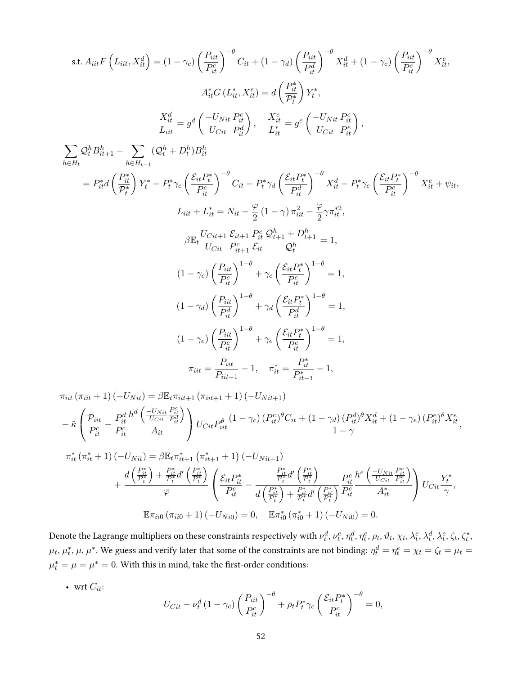s.t. 
$$
A_{iil}F\left(L_{iit}, X_{it}^{d}\right) = (1 - \gamma_c) \left(\frac{P_{it}}{P_{it}^{c}}\right)^{-\theta} C_{it} + (1 - \gamma_d) \left(\frac{P_{it}}{P_{it}^{d}}\right)^{-\theta} X_{it}^{d} + (1 - \gamma_e) \left(\frac{P_{it}}{P_{it}^{e}}\right)^{-\theta} X_{it}^{e},
$$
  
\n
$$
A_{it}^{*}G\left(L_{it}^{*}, X_{it}^{e}\right) = d\left(\frac{P_{it}^{*}}{P_{it}^{i}}\right) Y_{t}^{*},
$$
\n
$$
\frac{X_{it}^{d}}{L_{it}} = g^{d}\left(\frac{-U_{Nit}}{C_{iit}}\frac{P_{it}^{c}}{P_{it}^{d}}\right), \quad \frac{X_{it}^{e}}{L_{it}^{*}} = g^{e}\left(\frac{-U_{Nit}}{C_{iit}}\frac{P_{it}^{e}}{P_{it}^{e}}\right),
$$
\n
$$
\sum_{h \in H_{t}} Q_{i}^{h} B_{it+1}^{h} - \sum_{h \in H_{t-1}} (Q_{t}^{h} + D_{t}^{h}) B_{it}^{h}
$$
\n
$$
= P_{it}^{*}d\left(\frac{P_{it}^{*}}{P_{t}^{*}}\right) Y_{t}^{*} - P_{t}^{*} \gamma_c \left(\frac{\mathcal{E}_{it} P_{t}^{*}}{P_{it}^{a}}\right)^{-\theta} C_{it} - P_{t}^{*} \gamma_d \left(\frac{\mathcal{E}_{it} P_{t}^{*}}{P_{it}^{d}}\right)^{-\theta} X_{it}^{d} - P_{t}^{*} \gamma_c \left(\frac{\mathcal{E}_{it} P_{t}^{*}}{P_{it}^{a}}\right)^{-\theta} X_{it}^{e} + \psi_{it},
$$
\n
$$
L_{iit} + L_{it}^{*} = N_{it} - \frac{\varphi}{2} (1 - \gamma) \pi_{it}^{2} - \frac{\varphi}{2} \gamma \pi_{it}^{*},
$$
\n
$$
\beta \mathbb{E}_{t} \frac{U_{Cit+1}}{U_{Cit}} \frac{\mathcal{E}_{it+1}}{\mathcal{E}_{it}} \frac{\mathcal{E}_{it}}{\mathcal{E}_{it}} \frac{Q_{t}
$$

 $\pi_{iit} (\pi_{iit} + 1) (-U_{Nit}) = \beta \mathbb{E}_t \pi_{iit+1} (\pi_{iit+1} + 1) (-U_{Nit+1})$  $-\tilde{\kappa}$  $\sqrt{ }$  $\overline{1}$  $\mathcal{P}_{iit}$  $P_{it}^c$  $-\frac{P_{it}^d}{P_s^c}$  $P_{it}^c$  $h^d\left(\frac{-U_{Nit}}{U_{GII}}\right)$  $U_{Cit}$  $\frac{P_{it}^c}{P_{it}^d}$  $\setminus$  $A_{it}$  $\setminus$  $U_{Cit}P_{iit}^{\theta}$  $(1-\gamma_c)(P_{it}^c)^{\theta}C_{it} + (1-\gamma_d)(P_{it}^d)^{\theta}X_{it}^d + (1-\gamma_e)(P_{it}^e)^{\theta}X_{it}^e$  $\frac{a_1 \left(x_{it}\right) x_{it} + \left(x_{it}\right) x_{it}}{1 - \gamma},$ 

$$
\pi_{it}^{*}(\pi_{it}^{*}+1)(-U_{Nit}) = \beta \mathbb{E}_{t} \pi_{it+1}^{*}(\pi_{it+1}^{*}+1)(-U_{Nit+1})
$$
\n
$$
+ \frac{d\left(\frac{P_{it}^{*}}{\mathcal{P}_{t}^{*}}\right) + \frac{P_{it}^{*}}{\mathcal{P}_{t}^{*}}d'\left(\frac{P_{it}^{*}}{\mathcal{P}_{t}^{*}}\right)}{\varphi} \left(\frac{\mathcal{E}_{it}P_{it}^{*}}{P_{it}^{*}} - \frac{\frac{P_{it}^{*}}{\mathcal{P}_{t}^{*}}d'\left(\frac{P_{it}^{*}}{\mathcal{P}_{t}^{*}}\right)}{d\left(\frac{P_{it}^{*}}{\mathcal{P}_{t}^{*}}\right) + \frac{P_{it}^{*}}{\mathcal{P}_{t}^{*}}d'\left(\frac{P_{it}^{*}}{\mathcal{P}_{t}^{*}}\right)}{\varphi}}\right) U_{Cit} \frac{Y_{t}^{*}}{\gamma},
$$
\n
$$
\mathbb{E} \pi_{ii0}(\pi_{ii0}+1)(-U_{Ni0}) = 0, \quad \mathbb{E} \pi_{i0}^{*}(\pi_{i0}^{*}+1)(-U_{Ni0}) = 0.
$$

Denote the Lagrange multipliers on these constraints respectively with  $\nu^d_t$ ,  $\nu^e_t$ ,  $\eta^d_t$ ,  $\eta^e_t$ ,  $\rho_t$ ,  $\vartheta_t$ ,  $\chi_t$ ,  $\lambda^d_t$ ,  $\lambda^d_t$ ,  $\lambda^e_t$ ,  $\zeta^*_t$ ,  $\zeta^*_t$ ,  $\mu_t$ ,  $\mu^*_t$ ,  $\mu$ ,  $\mu^*$ . We guess and verify later that some of the constraints are not binding:  $\eta^d_t=\eta^e_t=\chi_t=\zeta_t=\mu_t=0$  $\mu_t^* = \mu = \mu^* = 0$ . With this in mind, take the first-order conditions:

• wrt  $C_{it}$ :

$$
U_{Cit} - \nu_t^d \left(1 - \gamma_c\right) \left(\frac{P_{iit}}{P_{it}^c}\right)^{-\theta} + \rho_t P_t^* \gamma_c \left(\frac{\mathcal{E}_{it} P_t^*}{P_{it}^c}\right)^{-\theta} = 0,
$$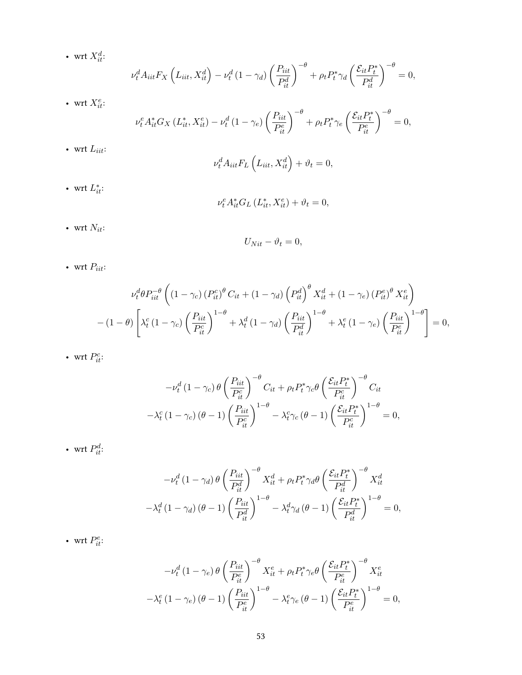• wrt 
$$
X_{it}^d
$$
:

$$
\nu_t^d A_{iit} F_X \left( L_{iit}, X_{it}^d \right) - \nu_t^d \left( 1 - \gamma_d \right) \left( \frac{P_{iit}}{P_{it}^d} \right)^{-\theta} + \rho_t P_t^* \gamma_d \left( \frac{\mathcal{E}_{it} P_t^*}{P_{it}^d} \right)^{-\theta} = 0,
$$

• wrt  $X_{it}^e$ :

$$
\nu_t^e A_{it}^* G_X \left( L_{it}^*, X_{it}^e \right) - \nu_t^d \left( 1 - \gamma_e \right) \left( \frac{P_{itt}}{P_{it}^e} \right)^{-\theta} + \rho_t P_t^* \gamma_e \left( \frac{\mathcal{E}_{it} P_t^*}{P_{it}^e} \right)^{-\theta} = 0,
$$

- wrt $\mathcal{L}_{iit}$ :

$$
\nu_t^d A_{iit} F_L \left( L_{iit}, X_{it}^d \right) + \vartheta_t = 0,
$$

• wrt  $L_{it}^*$ :

$$
\nu_t^e A_{it}^* G_L \left( L_{it}^*, X_{it}^e \right) + \vartheta_t = 0,
$$

- wrt $N_{it}{:}$ 

$$
U_{Nit} - \vartheta_t = 0,
$$

- wrt $P_{iit}$ :

$$
\nu_t^d \theta P_{iit}^{-\theta} \left( \left(1 - \gamma_c\right) \left(P_{it}^c\right)^{\theta} C_{it} + \left(1 - \gamma_d\right) \left(P_{it}^d\right)^{\theta} X_{it}^d + \left(1 - \gamma_e\right) \left(P_{it}^e\right)^{\theta} X_{it}^e \right) - \left(1 - \theta\right) \left[\lambda_t^c \left(1 - \gamma_c\right) \left(\frac{P_{iit}}{P_{it}^c}\right)^{1 - \theta} + \lambda_t^d \left(1 - \gamma_d\right) \left(\frac{P_{iit}}{P_{it}^d}\right)^{1 - \theta} + \lambda_t^e \left(1 - \gamma_e\right) \left(\frac{P_{iit}}{P_{it}^e}\right)^{1 - \theta} \right] = 0,
$$

• wrt  $P_{it}^c$ :

$$
-\nu_t^d (1 - \gamma_c) \theta \left(\frac{P_{iit}}{P_{it}^c}\right)^{-\theta} C_{it} + \rho_t P_t^* \gamma_c \theta \left(\frac{\mathcal{E}_{it} P_t^*}{P_{it}^c}\right)^{-\theta} C_{it}
$$

$$
-\lambda_t^c (1 - \gamma_c) (\theta - 1) \left(\frac{P_{iit}}{P_{it}^c}\right)^{1-\theta} - \lambda_t^c \gamma_c (\theta - 1) \left(\frac{\mathcal{E}_{it} P_t^*}{P_{it}^c}\right)^{1-\theta} = 0,
$$

• wrt  $P_{it}^d$ :

$$
-\nu_t^d (1 - \gamma_d) \theta \left(\frac{P_{iit}}{P_{it}^d}\right)^{-\theta} X_{it}^d + \rho_t P_t^* \gamma_d \theta \left(\frac{\mathcal{E}_{it} P_t^*}{P_{it}^d}\right)^{-\theta} X_{it}^d
$$

$$
-\lambda_t^d (1 - \gamma_d) (\theta - 1) \left(\frac{P_{iit}}{P_{it}^d}\right)^{1-\theta} - \lambda_t^d \gamma_d (\theta - 1) \left(\frac{\mathcal{E}_{it} P_t^*}{P_{it}^d}\right)^{1-\theta} = 0,
$$

• wrt  $P_{it}^e$ :

$$
-\nu_t^d (1 - \gamma_e) \theta \left(\frac{P_{iit}}{P_{it}^e}\right)^{-\theta} X_{it}^e + \rho_t P_t^* \gamma_e \theta \left(\frac{\mathcal{E}_{it} P_t^*}{P_{it}^e}\right)^{-\theta} X_{it}^e
$$

$$
-\lambda_t^e (1 - \gamma_e) (\theta - 1) \left(\frac{P_{iit}}{P_{it}^e}\right)^{1-\theta} - \lambda_t^e \gamma_e (\theta - 1) \left(\frac{\mathcal{E}_{it} P_t^*}{P_{it}^e}\right)^{1-\theta} = 0,
$$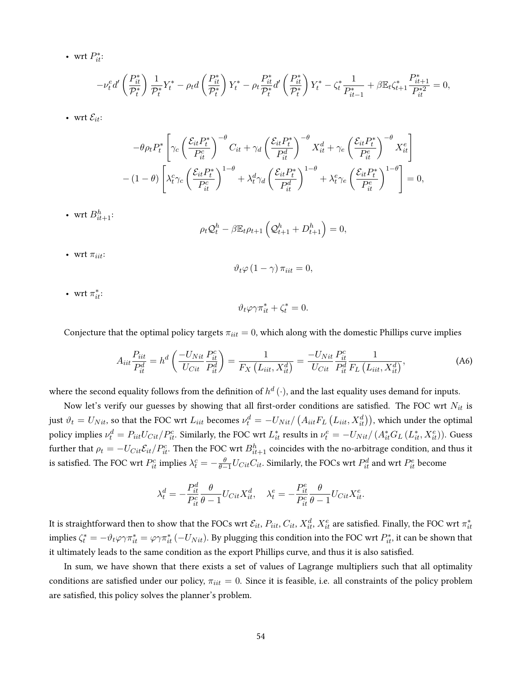• wrt  $P_{it}^*$ :

$$
-\nu_t^e d' \left(\frac{P_{it}^*}{\mathcal{P}_t^*}\right) \frac{1}{\mathcal{P}_t^*} Y_t^* - \rho_t d \left(\frac{P_{it}^*}{\mathcal{P}_t^*}\right) Y_t^* - \rho_t \frac{P_{it}^*}{\mathcal{P}_t^*} d' \left(\frac{P_{it}^*}{\mathcal{P}_t^*}\right) Y_t^* - \zeta_t^* \frac{1}{P_{it-1}^*} + \beta \mathbb{E}_t \zeta_{t+1}^* \frac{P_{it+1}^*}{P_{it}^*} = 0,
$$

• wrt  $\mathcal{E}_{it}$ :

$$
-\theta \rho_t P_t^* \left[ \gamma_c \left( \frac{\mathcal{E}_{it} P_t^*}{P_{it}^c} \right)^{-\theta} C_{it} + \gamma_d \left( \frac{\mathcal{E}_{it} P_t^*}{P_{it}^d} \right)^{-\theta} X_{it}^d + \gamma_e \left( \frac{\mathcal{E}_{it} P_t^*}{P_{it}^e} \right)^{-\theta} X_{it}^e \right] - (1 - \theta) \left[ \lambda_t^c \gamma_c \left( \frac{\mathcal{E}_{it} P_t^*}{P_{it}^c} \right)^{1 - \theta} + \lambda_t^d \gamma_d \left( \frac{\mathcal{E}_{it} P_t^*}{P_{it}^d} \right)^{1 - \theta} + \lambda_t^e \gamma_e \left( \frac{\mathcal{E}_{it} P_t^*}{P_{it}^e} \right)^{1 - \theta} \right] = 0,
$$

• wrt  $B_{it+1}^h$ :

$$
\rho_t \mathcal{Q}_t^h - \beta \mathbb{E}_t \rho_{t+1} \left( \mathcal{Q}_{t+1}^h + D_{t+1}^h \right) = 0,
$$

• wrt  $\pi_{iit}$ :

$$
\vartheta_t \varphi (1 - \gamma) \pi_{iit} = 0,
$$

• wrt  $\pi_{it}^*$ :

$$
\vartheta_t \varphi \gamma \pi_{it}^* + \zeta_t^* = 0.
$$

Conjecture that the optimal policy targets  $\pi_{iit} = 0$ , which along with the domestic Phillips curve implies

<span id="page-54-0"></span>
$$
A_{iit} \frac{P_{iit}}{P_{it}^d} = h^d \left( \frac{-U_{Nit}}{U_{Cit}} \frac{P_{it}^c}{P_{it}^d} \right) = \frac{1}{F_X \left( L_{iit}, X_{it}^d \right)} = \frac{-U_{Nit}}{U_{Cit}} \frac{P_{it}^c}{P_{it}^d} \frac{1}{F_L \left( L_{iit}, X_{it}^d \right)},
$$
(A6)

where the second equality follows from the definition of  $h^d\left(\cdot\right)$ , and the last equality uses demand for inputs.

Now let's verify our guesses by showing that all first-order conditions are satisfied. The FOC wrt  $N_{it}$  is just  $\vartheta_t=U_{Nit}$ , so that the FOC wrt  $L_{iit}$  becomes  $\nu^d_t=-U_{Nit}/\left(A_{iit}F_L\left(L_{iit},X^d_{it}\right)\right)$ , which under the optimal policy implies  $\nu_t^d = P_{iit} U_{Cit}/P_{it}^c$ . Similarly, the FOC wrt  $L_{it}^*$  results in  $\nu_t^e = -U_{Nit}/\left(A_{it}^* G_L\left(L_{it}^*,X_{it}^e\right)\right)$ . Guess further that  $\rho_t=-U_{Cit}\mathcal{E}_{it}/P^c_{it}.$  Then the FOC wrt  $B^h_{it+1}$  coincides with the no-arbitrage condition, and thus it is satisfied. The FOC wrt  $P^c_{it}$  implies  $\lambda^c_t=-\frac{\theta}{\theta-1}U_{Cit}C_{it}.$  Similarly, the FOCs wrt  $P^d_{it}$  and wrt  $P^e_{it}$  become

$$
\lambda_t^d = -\frac{P_{it}^d}{P_{it}^c} \frac{\theta}{\theta - 1} U_{Cit} X_{it}^d, \quad \lambda_t^e = -\frac{P_{it}^e}{P_{it}^c} \frac{\theta}{\theta - 1} U_{Cit} X_{it}^e.
$$

It is straightforward then to show that the FOCs wrt  $\mathcal{E}_{it},$   $P_{iit},$   $C_{it},$   $X^d_{it},$   $X^e_{it}$  are satisfied. Finally, the FOC wrt  $\pi^*_{it}$ implies  $\zeta_t^*=-\vartheta_t\varphi\gamma\pi_{it}^* =\varphi\gamma\pi_{it}^*(-U_{Nit})$ . By plugging this condition into the FOC wrt  $P_{it}^*$ , it can be shown that it ultimately leads to the same condition as the export Phillips curve, and thus it is also satisfied.

In sum, we have shown that there exists a set of values of Lagrange multipliers such that all optimality conditions are satisfied under our policy,  $\pi_{iit} = 0$ . Since it is feasible, i.e. all constraints of the policy problem are satisfied, this policy solves the planner's problem.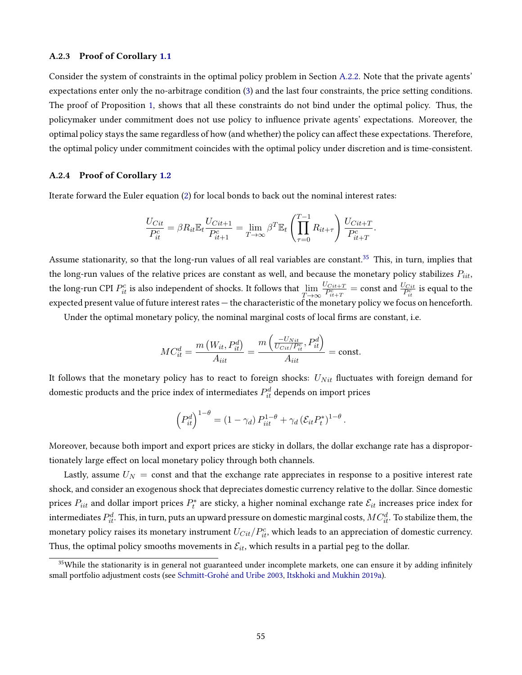#### A.2.3 Proof of Corollary [1.1](#page-19-0)

Consider the system of constraints in the optimal policy problem in Section [A.2.2.](#page-51-0) Note that the private agents' expectations enter only the no-arbitrage condition [\(3\)](#page-9-1) and the last four constraints, the price setting conditions. The proof of Proposition [1,](#page-15-0) shows that all these constraints do not bind under the optimal policy. Thus, the policymaker under commitment does not use policy to influence private agents' expectations. Moreover, the optimal policy stays the same regardless of how (and whether) the policy can affect these expectations. Therefore, the optimal policy under commitment coincides with the optimal policy under discretion and is time-consistent.

#### A.2.4 Proof of Corollary [1.2](#page-21-1)

Iterate forward the Euler equation [\(2\)](#page-9-3) for local bonds to back out the nominal interest rates:

$$
\frac{U_{Cit}}{P_{it}^c} = \beta R_{it} \mathbb{E}_t \frac{U_{Cit+1}}{P_{it+1}^c} = \lim_{T \to \infty} \beta^T \mathbb{E}_t \left( \prod_{\tau=0}^{T-1} R_{it+\tau} \right) \frac{U_{Cit+T}}{P_{it+T}^c}.
$$

Assume stationarity, so that the long-run values of all real variables are constant.<sup>[35](#page-55-0)</sup> This, in turn, implies that the long-run values of the relative prices are constant as well, and because the monetary policy stabilizes  $P_{iit}$ , the long-run CPI  $P^c_{it}$  is also independent of shocks. It follows that  $\lim_{T\to\infty}$  $U_{Cit+T}$  $\frac{U_{Cit+T}}{P_{it+T}^c}$  = const and  $\frac{U_{Cit}}{P_{it}^c}$  is equal to the expected present value of future interest rates — the characteristic of the monetary policy we focus on henceforth.

Under the optimal monetary policy, the nominal marginal costs of local firms are constant, i.e.

$$
MC_{it}^d = \frac{m\left(W_{it}, P_{it}^d\right)}{A_{it}} = \frac{m\left(\frac{-U_{Nit}}{U_{Cit}/P_{it}^c}, P_{it}^d\right)}{A_{itt}} = \text{const.}
$$

It follows that the monetary policy has to react to foreign shocks:  $U_{Nit}$  fluctuates with foreign demand for domestic products and the price index of intermediates  $P_{it}^d$  depends on import prices

$$
\left(P_{it}^d\right)^{1-\theta} = \left(1 - \gamma_d\right) P_{it}^{1-\theta} + \gamma_d \left(\mathcal{E}_{it} P_t^*\right)^{1-\theta}.
$$

Moreover, because both import and export prices are sticky in dollars, the dollar exchange rate has a disproportionately large effect on local monetary policy through both channels.

Lastly, assume  $U_N = \text{const}$  and that the exchange rate appreciates in response to a positive interest rate shock, and consider an exogenous shock that depreciates domestic currency relative to the dollar. Since domestic prices  $P_{iit}$  and dollar import prices  $P_t^*$  are sticky, a higher nominal exchange rate  $\mathcal{E}_{it}$  increases price index for intermediates  $P^d_{it}.$  This, in turn, puts an upward pressure on domestic marginal costs,  $MC^d_{it}.$  To stabilize them, the monetary policy raises its monetary instrument  $U_{Cit}/P^c_{it}$ , which leads to an appreciation of domestic currency. Thus, the optimal policy smooths movements in  $\mathcal{E}_{it}$ , which results in a partial peg to the dollar.

<span id="page-55-0"></span> $35$ While the stationarity is in general not guaranteed under incomplete markets, one can ensure it by adding infinitely small portfolio adjustment costs (see [Schmitt-Grohé and Uribe](#page-45-2) [2003,](#page-45-2) [Itskhoki and Mukhin](#page-44-2) [2019a\)](#page-44-2).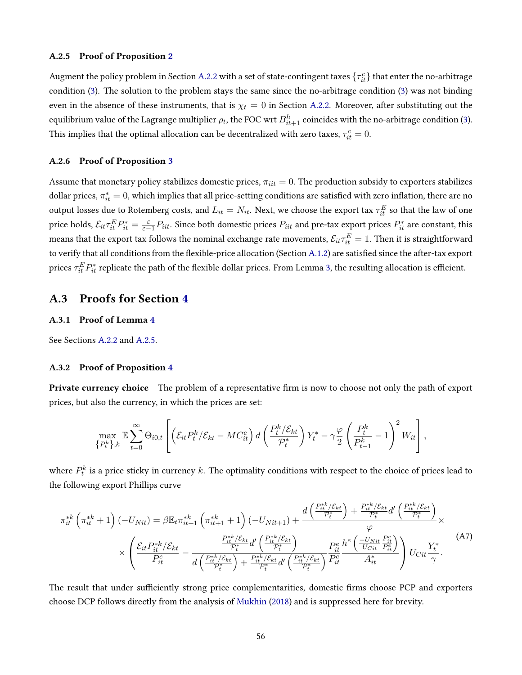#### <span id="page-56-0"></span>A.2.5 Proof of Proposition [2](#page-22-0)

Augment the policy problem in Section [A.2.2](#page-51-0) with a set of state-contingent taxes  $\{\tau_{it}^c\}$  that enter the no-arbitrage condition [\(3\)](#page-9-1). The solution to the problem stays the same since the no-arbitrage condition [\(3\)](#page-9-1) was not binding even in the absence of these instruments, that is  $\chi_t = 0$  in Section [A.2.2.](#page-51-0) Moreover, after substituting out the equilibrium value of the Lagrange multiplier  $\rho_t$ , the FOC wrt  $B^h_{it+1}$  coincides with the no-arbitrage condition [\(3\)](#page-9-1). This implies that the optimal allocation can be decentralized with zero taxes,  $\tau_{it}^c=0.$ 

#### A.2.6 Proof of Proposition [3](#page-24-0)

Assume that monetary policy stabilizes domestic prices,  $\pi_{iit} = 0$ . The production subsidy to exporters stabilizes dollar prices,  $\pi_{it}^*=0$ , which implies that all price-setting conditions are satisfied with zero inflation, there are no output losses due to Rotemberg costs, and  $L_{it}=N_{it}.$  Next, we choose the export tax  $\tau^E_{it}$  so that the law of one price holds,  $\mathcal{E}_{it}\tau_{it}^E P_{it}^*=\frac{\varepsilon}{\varepsilon-1}P_{iit}.$  Since both domestic prices  $P_{it}$  and pre-tax export prices  $P_{it}^*$  are constant, this means that the export tax follows the nominal exchange rate movements,  $\mathcal{E}_{it}\tau^E_{it}=1.$  Then it is straightforward to verify that all conditions from the flexible-price allocation (Section [A.1.2\)](#page-46-1) are satisfied since the after-tax export prices  $\tau_{it}^EP_{it}^*$  replicate the path of the flexible dollar prices. From Lemma [3,](#page-14-0) the resulting allocation is efficient.

## A.3 Proofs for Section [4](#page-25-0)

#### A.3.1 Proof of Lemma [4](#page-27-0)

See Sections [A.2.2](#page-51-0) and [A.2.5.](#page-56-0)

#### A.3.2 Proof of Proposition [4](#page-28-0)

**Private currency choice** The problem of a representative firm is now to choose not only the path of export prices, but also the currency, in which the prices are set:

$$
\max_{\{P_t^k\},k} \mathbb{E}\sum_{t=0}^{\infty} \Theta_{i0,t} \left[ \left( \mathcal{E}_{it} P_t^k / \mathcal{E}_{kt} - MC_{it}^e \right) d \left( \frac{P_t^k / \mathcal{E}_{kt}}{\mathcal{P}_t^*} \right) Y_t^* - \gamma \frac{\varphi}{2} \left( \frac{P_t^k}{P_{t-1}^k} - 1 \right)^2 W_{it} \right],
$$

where  $P_t^k$  is a price sticky in currency  $k.$  The optimality conditions with respect to the choice of prices lead to the following export Phillips curve

<span id="page-56-1"></span>
$$
\pi_{it}^{*k}\left(\pi_{it}^{*k}+1\right)(-U_{Nit}) = \beta \mathbb{E}_{t}\pi_{it+1}^{*k}\left(\pi_{it+1}^{*k}+1\right)(-U_{Nit+1}) + \frac{d\left(\frac{P_{it}^{*k}/\mathcal{E}_{kt}}{\mathcal{P}_{t}^{*}}\right) + \frac{P_{it}^{*k}/\mathcal{E}_{kt}}{\mathcal{P}_{t}^{*}}d'\left(\frac{P_{it}^{*k}/\mathcal{E}_{kt}}{\mathcal{P}_{t}^{*}}\right)}{\varphi} \times \left(\frac{\mathcal{E}_{it}P_{it}^{*k}/\mathcal{E}_{kt}}{P_{it}^{*}} - \frac{\frac{P_{it}^{*k}/\mathcal{E}_{kt}}{\mathcal{P}_{t}^{*}}d'\left(\frac{P_{it}^{*k}/\mathcal{E}_{kt}}{\mathcal{P}_{t}^{*}}\right)}{\frac{P_{it}^{*k}/\mathcal{E}_{kt}}{\mathcal{P}_{t}^{*}}d'\left(\frac{P_{it}^{*k}/\mathcal{E}_{kt}}{\mathcal{P}_{t}^{*}}\right)}\frac{P_{it}^{e}}{P_{it}^{e}}\frac{h^{e}\left(\frac{-U_{Nit}P_{it}^{e}}{U_{Cit}P_{it}^{e}}\right)}{A_{it}^{*}}\right)U_{Cit}\frac{Y_{t}^{*}}{\gamma}.\tag{A7}
$$

The result that under sufficiently strong price complementarities, domestic firms choose PCP and exporters choose DCP follows directly from the analysis of [Mukhin](#page-45-1) [\(2018\)](#page-45-1) and is suppressed here for brevity.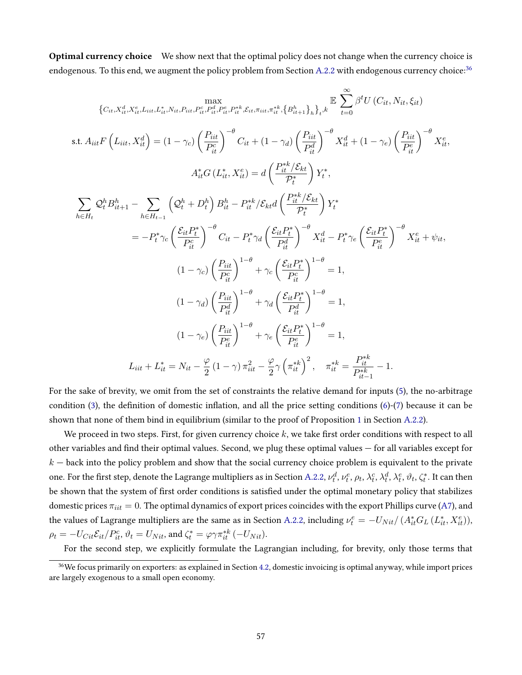Optimal currency choice We show next that the optimal policy does not change when the currency choice is endogenous. To this end, we augment the policy problem from Section [A.2.2](#page-51-0) with endogenous currency choice:<sup>[36](#page-57-0)</sup>

$$
\{C_{it}, X_{it}^{d}, X_{it}^{e}, L_{it1}, L_{it}^{*}, N_{it}, P_{it1}, P_{it1}^{e}, P_{it1}^{*k}, P_{it1}^{*k}, E_{it, \pi_{it1}, \pi_{it}^{*k}}, \{B_{it+1}^{h}\}_h\}_t \} \xrightarrow{\mathbb{E}} \sum_{t=0}^{\infty} \beta^{t} U \left(C_{it}, N_{it}, \xi_{it}\right)
$$
\n
$$
\text{s.t. } A_{iit} F \left(L_{iit}, X_{it}^{d}\right) = (1 - \gamma_{c}) \left(\frac{P_{iit}}{P_{it}^{c}}\right)^{-\theta} C_{it} + (1 - \gamma_{d}) \left(\frac{P_{iit}}{P_{it}^{d}}\right)^{-\theta} X_{it}^{d} + (1 - \gamma_{e}) \left(\frac{P_{iit}}{P_{it}^{e}}\right)^{-\theta} X_{it}^{e},
$$
\n
$$
A_{it}^{*} G \left(L_{it}^{*}, X_{it}^{e}\right) = d \left(\frac{P_{it}^{*k} / \mathcal{E}_{kt}}{P_{t}^{*}}\right) Y_{t}^{*},
$$
\n
$$
\sum_{h \in H_{t}} Q_{t}^{h} B_{it+1}^{h} - \sum_{h \in H_{t-1}} \left(Q_{t}^{h} + D_{t}^{h}\right) B_{it}^{h} - P_{it}^{*k} / \mathcal{E}_{kt} d \left(\frac{P_{it}^{*k} / \mathcal{E}_{kt}}{P_{t}^{*}}\right) Y_{t}^{*}
$$
\n
$$
= -P_{t}^{*} \gamma_{c} \left(\frac{\mathcal{E}_{it} P_{t}^{*}}{P_{it}^{c}}\right)^{-\theta} C_{it} - P_{t}^{*} \gamma_{d} \left(\frac{\mathcal{E}_{it} P_{t}^{*}}{P_{it}^{d}}\right)^{-\theta} X_{it}^{d} - P_{t}^{*} \gamma_{e} \left(\frac{\mathcal{E}_{it} P_{t}^{*}}{P_{it}^{e}}\right)^{-\theta} X_{it}^{e} + \psi_{it},
$$
\n
$$
(1 - \gamma_{c}) \left(\frac{P_{iit}}{P_{it}^{c}}\right)^{1-\theta} + \gamma_{c} \left(\frac{\mathcal{E}_{it} P_{t}^{*}}{P
$$

For the sake of brevity, we omit from the set of constraints the relative demand for inputs [\(5\)](#page-9-2), the no-arbitrage condition [\(3\)](#page-9-1), the definition of domestic inflation, and all the price setting conditions  $(6)-(7)$  $(6)-(7)$  $(6)-(7)$  because it can be shown that none of them bind in equilibrium (similar to the proof of Proposition [1](#page-15-0) in Section [A.2.2\)](#page-51-0).

We proceed in two steps. First, for given currency choice  $k$ , we take first order conditions with respect to all other variables and find their optimal values. Second, we plug these optimal values  $-$  for all variables except for  $k$  — back into the policy problem and show that the social currency choice problem is equivalent to the private one. For the first step, denote the Lagrange multipliers as in Section [A.2.2,](#page-51-0)  $\nu^d_t$ ,  $\nu^e_t$ ,  $\rho_t$ ,  $\lambda^e_t$ ,  $\lambda^d_t$ ,  $\lambda^e_t$ ,  $\vartheta_t$ ,  $\zeta^*_t$ . It can then be shown that the system of first order conditions is satisfied under the optimal monetary policy that stabilizes domestic prices  $\pi_{iit} = 0$ . The optimal dynamics of export prices coincides with the export Phillips curve [\(A7\)](#page-56-1), and the values of Lagrange multipliers are the same as in Section [A.2.2,](#page-51-0) including  $\nu_t^e = -U_{Nit}/(A_{it}^* G_L(L_{it}^*,X_{it}^e)),$  $\rho_t = -U_{Cit} \mathcal{E}_{it} / P_{it}^c, \vartheta_t = U_{Nit}$ , and  $\zeta_t^* = \varphi \gamma \pi_{it}^{*k} (-U_{Nit})$ .

For the second step, we explicitly formulate the Lagrangian including, for brevity, only those terms that

<span id="page-57-0"></span><sup>&</sup>lt;sup>36</sup>We focus primarily on exporters: as explained in Section [4.2,](#page-27-1) domestic invoicing is optimal anyway, while import prices are largely exogenous to a small open economy.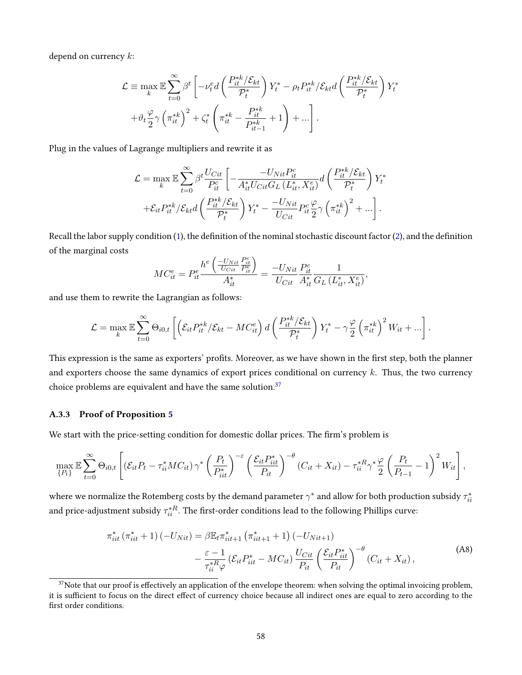depend on currency k:

$$
\mathcal{L} \equiv \max_{k} \mathbb{E} \sum_{t=0}^{\infty} \beta^{t} \left[ -\nu_{t}^{e} d\left(\frac{P_{it}^{*k} / \mathcal{E}_{kt}}{\mathcal{P}_{t}^{*}}\right) Y_{t}^{*} - \rho_{t} P_{it}^{*k} / \mathcal{E}_{kt} d\left(\frac{P_{it}^{*k} / \mathcal{E}_{kt}}{\mathcal{P}_{t}^{*}}\right) Y_{t}^{*} \right] + \vartheta_{t} \frac{\varphi}{2} \gamma \left(\pi_{it}^{*k}\right)^{2} + \zeta_{t}^{*} \left(\pi_{it}^{*k} - \frac{P_{it}^{*k}}{P_{it-1}^{*k}} + 1\right) + \dots \right].
$$

Plug in the values of Lagrange multipliers and rewrite it as

$$
\mathcal{L} = \max_{k} \mathbb{E} \sum_{t=0}^{\infty} \beta^{t} \frac{U_{Cit}}{P_{it}^{c}} \left[ -\frac{-U_{Nit} P_{it}^{c}}{A_{it}^{*} U_{Cit} G_{L} \left( L_{it}^{*}, X_{it}^{e} \right)} d \left( \frac{P_{it}^{*k} / \mathcal{E}_{kt}}{P_{t}^{*}} \right) Y_{t}^{*} \right. \left. + \mathcal{E}_{it} P_{it}^{*k} / \mathcal{E}_{kt} d \left( \frac{P_{it}^{*k} / \mathcal{E}_{kt}}{P_{t}^{*}} \right) Y_{t}^{*} - \frac{-U_{Nit}}{U_{Cit}} P_{it}^{c} \frac{\varphi}{2} \gamma \left( \pi_{it}^{*k} \right)^{2} + \ldots \right].
$$

Recall the labor supply condition  $(1)$ , the definition of the nominal stochastic discount factor  $(2)$ , and the definition of the marginal costs

$$
MC_{it}^{e} = P_{it}^{e} \frac{\int_{U_{Cit}}^{U_{Cit}} \frac{P_{it}^{c}}{P_{it}^{e}}}{A_{it}^{*}} = \frac{-U_{Nit}}{U_{Cit}} \frac{P_{it}^{c}}{A_{it}^{*}} \frac{1}{G_{L}(L_{it}^{*}, X_{it}^{e})},
$$

and use them to rewrite the Lagrangian as follows:

$$
\mathcal{L} = \max_{k} \mathbb{E} \sum_{t=0}^{\infty} \Theta_{i0,t} \left[ \left( \mathcal{E}_{it} P_{it}^{*k} / \mathcal{E}_{kt} - MC_{it}^e \right) d \left( \frac{P_{it}^{*k} / \mathcal{E}_{kt}}{\mathcal{P}_{t}^*} \right) Y_t^* - \gamma \frac{\varphi}{2} \left( \pi_{it}^{*k} \right)^2 W_{it} + \ldots \right].
$$

This expression is the same as exporters' profits. Moreover, as we have shown in the first step, both the planner and exporters choose the same dynamics of export prices conditional on currency  $k$ . Thus, the two currency choice problems are equivalent and have the same solution. $37$ 

#### A.3.3 Proof of Proposition [5](#page-30-0)

We start with the price-setting condition for domestic dollar prices. The firm's problem is

$$
\max_{\{P_t\}} \mathbb{E} \sum_{t=0}^{\infty} \Theta_{i0,t} \left[ \left( \mathcal{E}_{it} P_t - \tau_{ii}^* M C_{it} \right) \gamma^* \left( \frac{P_t}{P_{it}^*} \right)^{-\varepsilon} \left( \frac{\mathcal{E}_{it} P_{iit}^*}{P_{it}} \right)^{-\theta} \left( C_{it} + X_{it} \right) - \tau_{ii}^{*R} \gamma^* \frac{\varphi}{2} \left( \frac{P_t}{P_{t-1}} - 1 \right)^2 W_{it} \right],
$$

where we normalize the Rotemberg costs by the demand parameter  $\gamma^*$  and allow for both production subsidy  $\tau^*_{ii}$ and price-adjustment subsidy  $\tau^{*R}_{ii}$ . The first-order conditions lead to the following Phillips curve:

$$
\pi_{iit}^* \left(\pi_{iit}^* + 1\right) \left(-U_{Nit}\right) = \beta \mathbb{E}_t \pi_{iit+1}^* \left(\pi_{iit+1}^* + 1\right) \left(-U_{Nit+1}\right) \n- \frac{\varepsilon - 1}{\tau_{ii}^* \varphi} \left(\mathcal{E}_{it} P_{iit}^* - MC_{it}\right) \frac{U_{Cit}}{P_{it}} \left(\frac{\mathcal{E}_{it} P_{iit}^*}{P_{it}}\right)^{-\theta} \left(C_{it} + X_{it}\right),
$$
\n(A8)

<span id="page-58-1"></span><span id="page-58-0"></span> $37$ Note that our proof is effectively an application of the envelope theorem: when solving the optimal invoicing problem, it is sufficient to focus on the direct effect of currency choice because all indirect ones are equal to zero according to the first order conditions.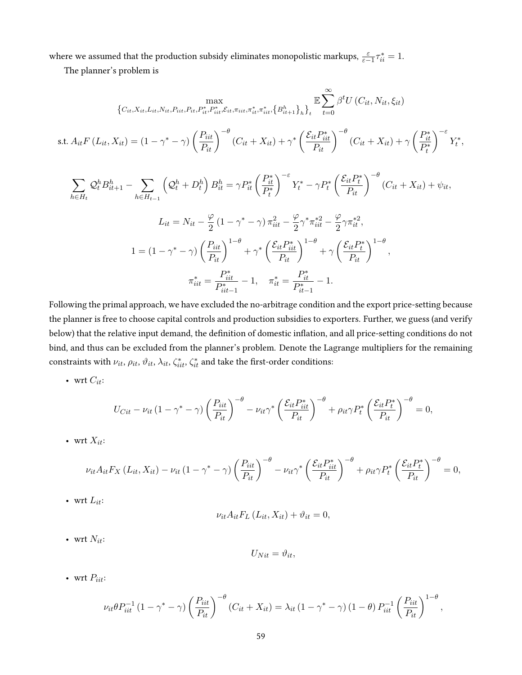where we assumed that the production subsidy eliminates monopolistic markups,  $\frac{\varepsilon}{\varepsilon-1}\tau_{ii}^*=1$ .

The planner's problem is

$$
\max_{\{C_{it}, X_{it}, L_{it}, N_{it}, P_{it}, P_{it}, P_{it}^*, P_{it}^*, \mathcal{E}_{it}, \pi_{it}, \pi_{it}^*, \pi_{it}^*, \{B_{it+1}^h\}_h\}_t} \mathbb{E} \sum_{t=0}^{\infty} \beta^t U(C_{it}, N_{it}, \xi_{it})
$$

$$
\text{s.t. } A_{it}F\left(L_{it}, X_{it}\right) = \left(1 - \gamma^* - \gamma\right) \left(\frac{P_{iit}}{P_{it}}\right)^{-\theta} \left(C_{it} + X_{it}\right) + \gamma^* \left(\frac{\mathcal{E}_{it}P_{iit}^*}{P_{it}}\right)^{-\theta} \left(C_{it} + X_{it}\right) + \gamma \left(\frac{P_{it}^*}{P_t^*}\right)^{-\epsilon} Y_t^*,
$$

$$
\sum_{h \in H_t} \mathcal{Q}_t^h B_{it+1}^h - \sum_{h \in H_{t-1}} \left( \mathcal{Q}_t^h + D_t^h \right) B_{it}^h = \gamma P_{it}^* \left( \frac{P_{it}^*}{P_t^*} \right)^{-\varepsilon} Y_t^* - \gamma P_t^* \left( \frac{\mathcal{E}_{it} P_t^*}{P_{it}} \right)^{-\theta} (C_{it} + X_{it}) + \psi_{it},
$$

$$
L_{it} = N_{it} - \frac{\varphi}{2} (1 - \gamma^* - \gamma) \pi_{it}^2 - \frac{\varphi}{2} \gamma^* \pi_{it}^{*2} - \frac{\varphi}{2} \gamma \pi_{it}^{*2},
$$
  

$$
1 = (1 - \gamma^* - \gamma) \left(\frac{P_{iit}}{P_{it}}\right)^{1-\theta} + \gamma^* \left(\frac{\mathcal{E}_{it} P_{iit}^*}{P_{it}}\right)^{1-\theta} + \gamma \left(\frac{\mathcal{E}_{it} P_t^*}{P_{it}}\right)^{1-\theta}
$$
  

$$
\pi_{it}^* = \frac{P_{iit}^*}{P_{iit-1}^*} - 1, \quad \pi_{it}^* = \frac{P_{it}^*}{P_{it-1}^*} - 1.
$$

,

Following the primal approach, we have excluded the no-arbitrage condition and the export price-setting because the planner is free to choose capital controls and production subsidies to exporters. Further, we guess (and verify below) that the relative input demand, the definition of domestic inflation, and all price-setting conditions do not bind, and thus can be excluded from the planner's problem. Denote the Lagrange multipliers for the remaining constraints with  $\nu_{it}$ ,  $\rho_{it}$ ,  $\vartheta_{it}$ ,  $\lambda_{it}$ ,  $\zeta_{it}^*$ ,  $\zeta_{it}^*$  and take the first-order conditions:

• wrt  $C_{it}$ :

$$
U_{Cit} - \nu_{it} \left(1 - \gamma^* - \gamma\right) \left(\frac{P_{iit}}{P_{it}}\right)^{-\theta} - \nu_{it} \gamma^* \left(\frac{\mathcal{E}_{it} P_{iit}^*}{P_{it}}\right)^{-\theta} + \rho_{it} \gamma P_t^* \left(\frac{\mathcal{E}_{it} P_t^*}{P_{it}}\right)^{-\theta} = 0,
$$

• wrt  $X_{it}$ :

$$
\nu_{it} A_{it} F_X \left( L_{it}, X_{it} \right) - \nu_{it} \left( 1 - \gamma^* - \gamma \right) \left( \frac{P_{iit}}{P_{it}} \right)^{-\theta} - \nu_{it} \gamma^* \left( \frac{\mathcal{E}_{it} P_{iit}^*}{P_{it}} \right)^{-\theta} + \rho_{it} \gamma P_t^* \left( \frac{\mathcal{E}_{it} P_t^*}{P_{it}} \right)^{-\theta} = 0,
$$

• wrt  $L_{it}$ :

$$
\nu_{it} A_{it} F_L(L_{it}, X_{it}) + \vartheta_{it} = 0,
$$

• wrt  $N_{it}$ :

$$
U_{Nit} = \vartheta_{it},
$$

• wrt  $P_{ijt}$ :

$$
\nu_{it}\theta P_{iit}^{-1} (1 - \gamma^* - \gamma) \left(\frac{P_{iit}}{P_{it}}\right)^{-\theta} (C_{it} + X_{it}) = \lambda_{it} (1 - \gamma^* - \gamma) (1 - \theta) P_{iit}^{-1} \left(\frac{P_{iit}}{P_{it}}\right)^{1-\theta},
$$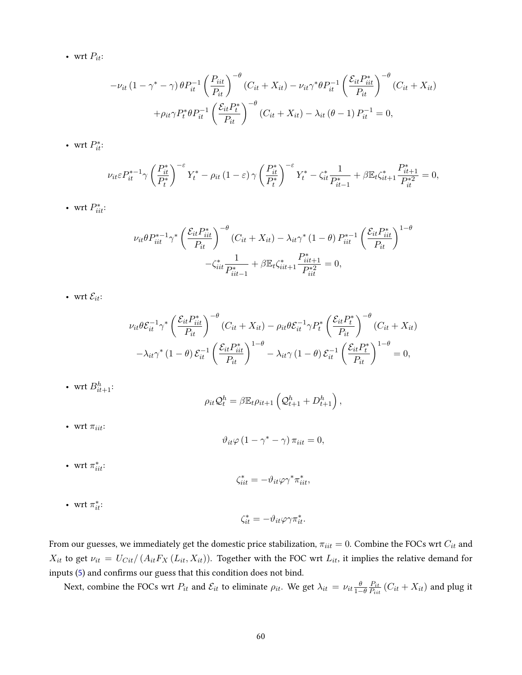• wrt  $P_{it}$ :

$$
-\nu_{it} \left(1 - \gamma^* - \gamma\right) \theta P_{it}^{-1} \left(\frac{P_{it}}{P_{it}}\right)^{-\theta} \left(C_{it} + X_{it}\right) - \nu_{it} \gamma^* \theta P_{it}^{-1} \left(\frac{\mathcal{E}_{it} P_{it}^*}{P_{it}}\right)^{-\theta} \left(C_{it} + X_{it}\right)
$$

$$
+\rho_{it} \gamma P_t^* \theta P_{it}^{-1} \left(\frac{\mathcal{E}_{it} P_t^*}{P_{it}}\right)^{-\theta} \left(C_{it} + X_{it}\right) - \lambda_{it} \left(\theta - 1\right) P_{it}^{-1} = 0,
$$

• wrt  $P_{it}^*$ :

$$
\nu_{it} \varepsilon P_{it}^{*-1} \gamma \left(\frac{P_{it}^*}{P_t^*}\right)^{-\varepsilon} Y_t^* - \rho_{it} \left(1 - \varepsilon\right) \gamma \left(\frac{P_{it}^*}{P_t^*}\right)^{-\varepsilon} Y_t^* - \zeta_{it}^* \frac{1}{P_{it-1}^*} + \beta \mathbb{E}_t \zeta_{it+1}^* \frac{P_{it+1}^*}{P_{it}^{*2}} = 0,
$$

• wrt  $P_{iit}^*$ :

$$
\nu_{it} \theta P_{iit}^{* - 1} \gamma^* \left( \frac{\mathcal{E}_{it} P_{iit}^*}{P_{it}} \right)^{-\theta} (C_{it} + X_{it}) - \lambda_{it} \gamma^* (1 - \theta) P_{iit}^{* - 1} \left( \frac{\mathcal{E}_{it} P_{iit}^*}{P_{it}} \right)^{1 - \theta} -\zeta_{it}^* \frac{1}{P_{iit - 1}^*} + \beta \mathbb{E}_t \zeta_{iit + 1}^* \frac{P_{iit + 1}^*}{P_{iit}^{*2}} = 0,
$$

• wrt  $\mathcal{E}_{it}$ :

$$
\nu_{it}\theta \mathcal{E}_{it}^{-1}\gamma^* \left(\frac{\mathcal{E}_{it}P_{it}^*}{P_{it}}\right)^{-\theta} (C_{it} + X_{it}) - \rho_{it}\theta \mathcal{E}_{it}^{-1}\gamma P_t^* \left(\frac{\mathcal{E}_{it}P_t^*}{P_{it}}\right)^{-\theta} (C_{it} + X_{it})
$$

$$
-\lambda_{it}\gamma^* (1-\theta) \mathcal{E}_{it}^{-1} \left(\frac{\mathcal{E}_{it}P_{it}^*}{P_{it}}\right)^{1-\theta} - \lambda_{it}\gamma (1-\theta) \mathcal{E}_{it}^{-1} \left(\frac{\mathcal{E}_{it}P_t^*}{P_{it}}\right)^{1-\theta} = 0,
$$

• wrt  $B_{it+1}^h$ :

$$
\rho_{it} \mathcal{Q}_t^h = \beta \mathbb{E}_t \rho_{it+1} \left( \mathcal{Q}_{t+1}^h + D_{t+1}^h \right),
$$

• wrt $\pi_{iit} \colon$ 

$$
\vartheta_{it}\varphi\left(1-\gamma^*-\gamma\right)\pi_{iit}=0,
$$

• wrt  $\pi_{iit}^*$ :

$$
\zeta_{iit}^* = -\vartheta_{it}\varphi\gamma^*\pi_{iit}^*,
$$

• wrt  $\pi_{it}^*$ :

$$
\zeta_{it}^* = -\vartheta_{it}\varphi\gamma\pi_{it}^*.
$$

From our guesses, we immediately get the domestic price stabilization,  $\pi_{iit} = 0$ . Combine the FOCs wrt  $C_{it}$  and  $X_{it}$  to get  $\nu_{it} = U_{Cit}/(A_{it}F_X(L_{it}, X_{it}))$ . Together with the FOC wrt  $L_{it}$ , it implies the relative demand for inputs [\(5\)](#page-9-2) and confirms our guess that this condition does not bind.

Next, combine the FOCs wrt  $P_{it}$  and  $\mathcal{E}_{it}$  to eliminate  $\rho_{it}$ . We get  $\lambda_{it} = \nu_{it} \frac{\theta}{1-\theta} \frac{P_{it}}{P_{it}}$  $\frac{P_{it}}{P_{iit}}\left(C_{it}+X_{it}\right)$  and plug it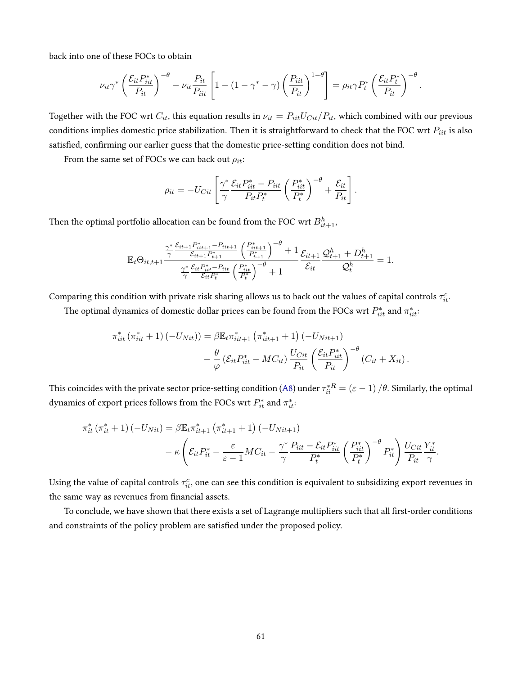back into one of these FOCs to obtain

$$
\nu_{it}\gamma^* \left(\frac{\mathcal{E}_{it}P_{it}^*}{P_{it}}\right)^{-\theta} - \nu_{it}\frac{P_{it}}{P_{itt}} \left[1 - (1 - \gamma^* - \gamma)\left(\frac{P_{itt}}{P_{it}}\right)^{1-\theta}\right] = \rho_{it}\gamma P_t^* \left(\frac{\mathcal{E}_{it}P_t^*}{P_{it}}\right)^{-\theta}.
$$

Together with the FOC wrt  $C_{it}$ , this equation results in  $\nu_{it} = P_{it}U_{Cit}/P_{it}$ , which combined with our previous conditions implies domestic price stabilization. Then it is straightforward to check that the FOC wrt  $P_{iit}$  is also satisfied, confirming our earlier guess that the domestic price-setting condition does not bind.

From the same set of FOCs we can back out  $\rho_{it}$ :

$$
\rho_{it} = -U_{Cit} \left[ \frac{\gamma^*}{\gamma} \frac{\mathcal{E}_{it} P_{iit}^* - P_{iit}}{P_{it} P_t^*} \left( \frac{P_{iit}^*}{P_t^*} \right)^{-\theta} + \frac{\mathcal{E}_{it}}{P_{it}} \right].
$$

Then the optimal portfolio allocation can be found from the FOC wrt  $B_{it+1}^h,$ 

$$
\mathbb{E}_{t}\Theta_{it,t+1} \frac{\frac{\gamma^{*}}{\gamma} \frac{\mathcal{E}_{it+1}P_{it+1}^{*}-P_{iit+1}}{\mathcal{E}_{it+1}P_{t+1}^{*}} \left(\frac{P_{it+1}^{*}}{P_{t+1}^{*}}\right)^{-\theta} + 1}{\frac{\gamma^{*}}{\gamma} \frac{\mathcal{E}_{it}P_{it}^{*}-P_{iit}}{\mathcal{E}_{it}P_{t}^{*}} \left(\frac{P_{iit}^{*}}{P_{t}^{*}}\right)^{-\theta} + 1} \mathcal{E}_{it} \frac{\mathcal{Q}_{t+1}^{h} + D_{t+1}^{h}}{\mathcal{Q}_{t}^{h}} = 1.
$$

Comparing this condition with private risk sharing allows us to back out the values of capital controls  $\tau^c_{it}.$ 

The optimal dynamics of domestic dollar prices can be found from the FOCs wrt  $P_{iit}^*$  and  $\pi_{iit}^*$ :

$$
\pi_{iit}^* \left( \pi_{iit}^* + 1 \right) \left( -U_{Nit} \right) = \beta \mathbb{E}_t \pi_{iit+1}^* \left( \pi_{iit+1}^* + 1 \right) \left( -U_{Nit+1} \right) \n- \frac{\theta}{\varphi} \left( \mathcal{E}_{it} P_{iit}^* - MC_{it} \right) \frac{U_{Cit}}{P_{it}} \left( \frac{\mathcal{E}_{it} P_{iit}^*}{P_{it}} \right)^{-\theta} \left( C_{it} + X_{it} \right).
$$

This coincides with the private sector price-setting condition [\(A8\)](#page-58-1) under  $\tau_{ii}^{*R}=(\varepsilon-1)$  / $\theta.$  Similarly, the optimal dynamics of export prices follows from the FOCs wrt $P_{it}^*$  and  $\pi_{it}^*.$ 

$$
\pi_{it}^* \left( \pi_{it}^* + 1 \right) \left( -U_{Nit} \right) = \beta \mathbb{E}_t \pi_{it+1}^* \left( \pi_{it+1}^* + 1 \right) \left( -U_{Nit+1} \right) \n- \kappa \left( \mathcal{E}_{it} P_{it}^* - \frac{\varepsilon}{\varepsilon - 1} M C_{it} - \frac{\gamma^*}{\gamma} \frac{P_{iit} - \mathcal{E}_{it} P_{iit}^*}{P_t^*} \left( \frac{P_{iit}^*}{P_t^*} \right)^{-\theta} P_{it}^* \right) \frac{U_{Cit}}{P_{it}} \frac{Y_{it}^*}{\gamma}.
$$

Using the value of capital controls  $\tau^c_{it}$ , one can see this condition is equivalent to subsidizing export revenues in the same way as revenues from financial assets.

To conclude, we have shown that there exists a set of Lagrange multipliers such that all first-order conditions and constraints of the policy problem are satisfied under the proposed policy.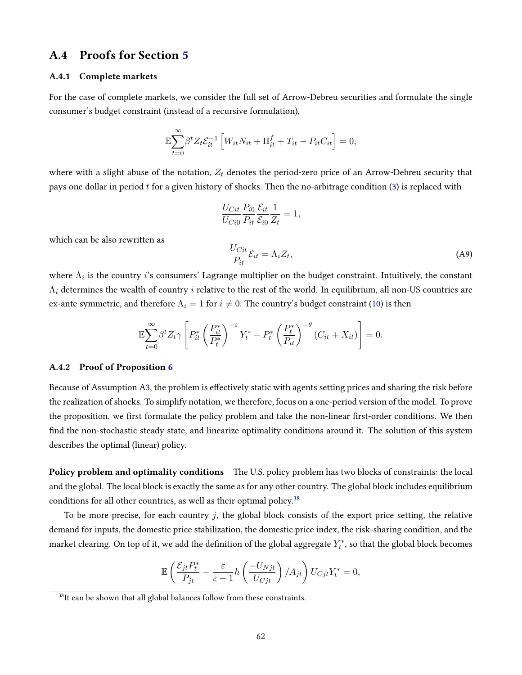### A.4 Proofs for Section [5](#page-31-0)

#### A.4.1 Complete markets

For the case of complete markets, we consider the full set of Arrow-Debreu securities and formulate the single consumer's budget constraint (instead of a recursive formulation),

$$
\mathbb{E}\sum_{t=0}^{\infty}\beta^{t}Z_{t}\mathcal{E}_{it}^{-1}\left[W_{it}N_{it}+\Pi_{it}^{f}+T_{it}-P_{it}C_{it}\right]=0,
$$

where with a slight abuse of the notation,  $Z_t$  denotes the period-zero price of an Arrow-Debreu security that pays one dollar in period  $t$  for a given history of shocks. Then the no-arbitrage condition  $(3)$  is replaced with

$$
\frac{U_{Cit}}{U_{Ci0}} \frac{P_{i0}}{P_{it}} \frac{\mathcal{E}_{it}}{\mathcal{E}_{i0}} \frac{1}{Z_t} = 1,
$$
\n
$$
\frac{U_{Cit}}{P_{it}} \mathcal{E}_{it} = \Lambda_i Z_t,
$$
\n(A9)

which can be also rewritten as

where  $\Lambda_i$  is the country  $i$ 's consumers' Lagrange multiplier on the budget constraint. Intuitively, the constant  $\Lambda_i$  determines the wealth of country i relative to the rest of the world. In equilibrium, all non-US countries are ex-ante symmetric, and therefore  $\Lambda_i = 1$  for  $i \neq 0$ . The country's budget constraint [\(10\)](#page-11-2) is then

$$
\mathbb{E}\sum_{t=0}^{\infty}\beta^{t}Z_{t}\gamma\left[P_{it}^{*}\left(\frac{P_{it}^{*}}{P_{t}^{*}}\right)^{-\varepsilon}Y_{t}^{*}-P_{t}^{*}\left(\frac{P_{t}^{*}}{P_{it}}\right)^{-\theta}(C_{it}+X_{it})\right]=0.
$$

#### <span id="page-62-1"></span>A.4.2 Proof of Proposition [6](#page-32-0)

Because of Assumption [A3,](#page-32-1) the problem is effectively static with agents setting prices and sharing the risk before the realization of shocks. To simplify notation, we therefore, focus on a one-period version of the model. To prove the proposition, we first formulate the policy problem and take the non-linear first-order conditions. We then find the non-stochastic steady state, and linearize optimality conditions around it. The solution of this system describes the optimal (linear) policy.

Policy problem and optimality conditions The U.S. policy problem has two blocks of constraints: the local and the global. The local block is exactly the same as for any other country. The global block includes equilibrium conditions for all other countries, as well as their optimal policy.<sup>[38](#page-62-0)</sup>

To be more precise, for each country  $j$ , the global block consists of the export price setting, the relative demand for inputs, the domestic price stabilization, the domestic price index, the risk-sharing condition, and the market clearing. On top of it, we add the definition of the global aggregate  $Y_t^*$ , so that the global block becomes

$$
\mathbb{E}\left(\frac{\mathcal{E}_{jt}P_t^*}{P_{jt}} - \frac{\varepsilon}{\varepsilon - 1}h\left(\frac{-U_{Njt}}{U_{Cjt}}\right)/A_{jt}\right)U_{Cjt}Y_t^* = 0,
$$

<span id="page-62-0"></span> $38$ It can be shown that all global balances follow from these constraints.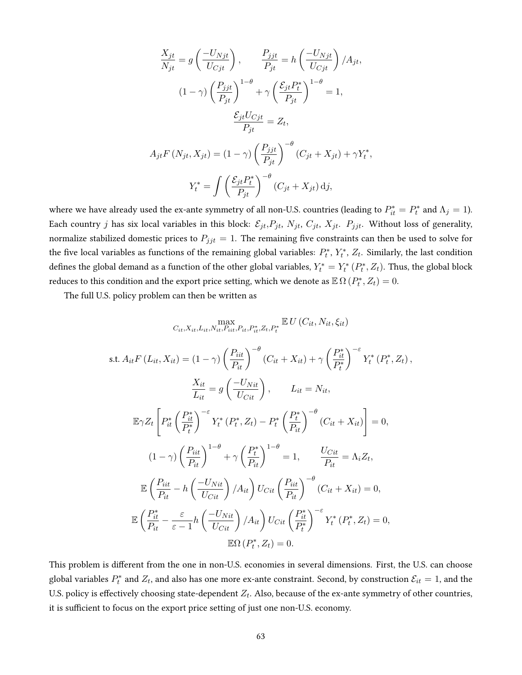$$
\frac{X_{jt}}{N_{jt}} = g\left(\frac{-U_{Njt}}{U_{Cjt}}\right), \qquad \frac{P_{jjt}}{P_{jt}} = h\left(\frac{-U_{Njt}}{U_{Cjt}}\right) / A_{jt},
$$

$$
(1 - \gamma) \left(\frac{P_{jjt}}{P_{jt}}\right)^{1-\theta} + \gamma \left(\frac{\mathcal{E}_{jt} P_t^*}{P_{jt}}\right)^{1-\theta} = 1,
$$

$$
\frac{\mathcal{E}_{jt} U_{Cjt}}{P_{jt}} = Z_t,
$$

$$
A_{jt} F\left(N_{jt}, X_{jt}\right) = (1 - \gamma) \left(\frac{P_{jjt}}{P_{jt}}\right)^{-\theta} \left(C_{jt} + X_{jt}\right) + \gamma Y_t^*,
$$

$$
Y_t^* = \int \left(\frac{\mathcal{E}_{jt} P_t^*}{P_{jt}}\right)^{-\theta} \left(C_{jt} + X_{jt}\right) dj,
$$

where we have already used the ex-ante symmetry of all non-U.S. countries (leading to  $P_{it}^* = P_t^*$  and  $\Lambda_j = 1$ ). Each country j has six local variables in this block:  $\mathcal{E}_{jt}P_{jt}$ ,  $N_{jt}$ ,  $C_{jt}$ ,  $X_{jt}$ .  $P_{jjt}$ . Without loss of generality, normalize stabilized domestic prices to  $P_{jjt} = 1$ . The remaining five constraints can then be used to solve for the five local variables as functions of the remaining global variables:  $P_t^*$ ,  $Y_t^*$ ,  $Z_t$ . Similarly, the last condition defines the global demand as a function of the other global variables,  $Y_t^* = Y_t^*$   $(P_t^*, Z_t)$ . Thus, the global block reduces to this condition and the export price setting, which we denote as  $\mathbb{E}\,\Omega\left(P_{t}^{*},Z_{t}\right)=0.$ 

The full U.S. policy problem can then be written as

$$
\max_{C_{it}, X_{it}, L_{it}, N_{it}, P_{it}, P_{it}, P_{it}, Z_t, P_t^*} \mathbb{E} U(C_{it}, N_{it}, \xi_{it})
$$

s.t. 
$$
A_{it}F(L_{it}, X_{it}) = (1 - \gamma) \left(\frac{P_{iit}}{P_{it}}\right)^{-\theta} (C_{it} + X_{it}) + \gamma \left(\frac{P_{it}^{*}}{P_{t}^{*}}\right)^{-\varepsilon} Y_{t}^{*}(P_{t}^{*}, Z_{t}),
$$
  
\n
$$
\frac{X_{it}}{L_{it}} = g\left(\frac{-U_{Nit}}{U_{Cit}}\right), \qquad L_{it} = N_{it},
$$
\n
$$
\mathbb{E}\gamma Z_{t} \left[P_{it}^{*}\left(\frac{P_{it}^{*}}{P_{t}^{*}}\right)^{-\varepsilon} Y_{t}^{*}(P_{t}^{*}, Z_{t}) - P_{t}^{*}\left(\frac{P_{t}^{*}}{P_{it}}\right)^{-\theta} (C_{it} + X_{it})\right] = 0,
$$
\n
$$
(1 - \gamma) \left(\frac{P_{iit}}{P_{it}}\right)^{1-\theta} + \gamma \left(\frac{P_{t}^{*}}{P_{it}}\right)^{1-\theta} = 1, \qquad \frac{U_{Cit}}{P_{it}} = \Lambda_{i} Z_{t},
$$
\n
$$
\mathbb{E}\left(\frac{P_{iit}}{P_{it}} - h\left(\frac{-U_{Nit}}{U_{Cit}}\right)/A_{it}\right)U_{Cit}\left(\frac{P_{iit}}{P_{it}}\right)^{-\theta} (C_{it} + X_{it}) = 0,
$$
\n
$$
\mathbb{E}\left(\frac{P_{it}}{P_{it}} - \frac{\varepsilon}{\varepsilon - 1} h\left(\frac{-U_{Nit}}{U_{Cit}}\right)/A_{it}\right)U_{Cit}\left(\frac{P_{it}}{P_{t}^{*}}\right)^{-\varepsilon} Y_{t}^{*}(P_{t}^{*}, Z_{t}) = 0,
$$
\n
$$
\mathbb{E}\Omega(P_{t}^{*}, Z_{t}) = 0.
$$

This problem is different from the one in non-U.S. economies in several dimensions. First, the U.S. can choose global variables  $P_t^*$  and  $Z_t$ , and also has one more ex-ante constraint. Second, by construction  $\mathcal{E}_{it}=1$ , and the U.S. policy is effectively choosing state-dependent  $Z_t$ . Also, because of the ex-ante symmetry of other countries, it is sufficient to focus on the export price setting of just one non-U.S. economy.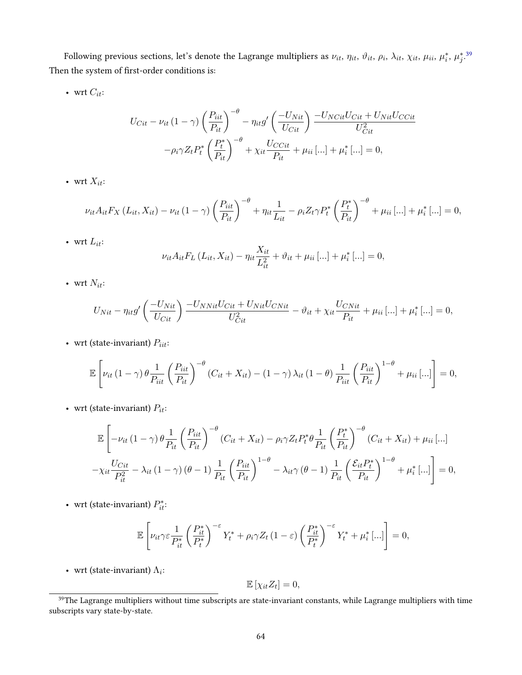Following previous sections, let's denote the Lagrange multipliers as  $\nu_{it},\,\eta_{it},\,\vartheta_{it},\,\rho_i,\,\lambda_{it},\,\chi_{it},\,\mu_{ii},\,\mu_i^*,\,\mu_j^*,^{39}$  $\nu_{it},\,\eta_{it},\,\vartheta_{it},\,\rho_i,\,\lambda_{it},\,\chi_{it},\,\mu_{ii},\,\mu_i^*,\,\mu_j^*,^{39}$  $\nu_{it},\,\eta_{it},\,\vartheta_{it},\,\rho_i,\,\lambda_{it},\,\chi_{it},\,\mu_{ii},\,\mu_i^*,\,\mu_j^*,^{39}$ Then the system of first-order conditions is:  $% \mathcal{N}$ 

• wrt $C_{it}$ :

$$
U_{Cit} - \nu_{it} (1 - \gamma) \left(\frac{P_{iit}}{P_{it}}\right)^{-\theta} - \eta_{it} g' \left(\frac{-U_{Nit}}{U_{Cit}}\right) \frac{-U_{NCit} U_{Cit} + U_{Nit} U_{CCit}}{U_{Cit}^2}
$$

$$
-\rho_i \gamma Z_t P_t^* \left(\frac{P_t^*}{P_{it}}\right)^{-\theta} + \chi_{it} \frac{U_{CCit}}{P_{it}} + \mu_{ii} \left[\ldots\right] + \mu_i^* \left[\ldots\right] = 0,
$$

• wrt  $X_{it}$ :

$$
\nu_{it} A_{it} F_X (L_{it}, X_{it}) - \nu_{it} (1 - \gamma) \left( \frac{P_{it}}{P_{it}} \right)^{-\theta} + \eta_{it} \frac{1}{L_{it}} - \rho_i Z_t \gamma P_t^* \left( \frac{P_t^*}{P_{it}} \right)^{-\theta} + \mu_{ii} \left[ ... \right] + \mu_i^* \left[ ... \right] = 0,
$$

• wrt  $L_{it}$ :

$$
\nu_{it} A_{it} F_L (L_{it}, X_{it}) - \eta_{it} \frac{X_{it}}{L_{it}^2} + \vartheta_{it} + \mu_{ii} [\ldots] + \mu_i^* [\ldots] = 0,
$$

• wrt  $N_{it}$ :

$$
U_{Nit} - \eta_{it} g' \left( \frac{-U_{Nit}}{U_{Cit}} \right) \frac{-U_{NNit} U_{Cit} + U_{Nit} U_{CNit}}{U_{Cit}^2} - \vartheta_{it} + \chi_{it} \frac{U_{CNit}}{P_{it}} + \mu_{ii} \left[ ... \right] + \mu_i^* \left[ ... \right] = 0,
$$

• wrt (state-invariant)  $P_{iit}$ :

$$
\mathbb{E}\left[\nu_{it}\left(1-\gamma\right)\theta\frac{1}{P_{it}}\left(\frac{P_{iit}}{P_{it}}\right)^{-\theta}\left(C_{it}+X_{it}\right)-\left(1-\gamma\right)\lambda_{it}\left(1-\theta\right)\frac{1}{P_{it}}\left(\frac{P_{iit}}{P_{it}}\right)^{1-\theta}+\mu_{ii}\left[\ldots\right]\right]=0,
$$

• wrt (state-invariant)  $P_{it}$ :

$$
\mathbb{E}\left[-\nu_{it}\left(1-\gamma\right)\theta\frac{1}{P_{it}}\left(\frac{P_{iit}}{P_{it}}\right)^{-\theta}\left(C_{it}+X_{it}\right)-\rho_{i}\gamma Z_{t}P_{t}^{*}\theta\frac{1}{P_{it}}\left(\frac{P_{t}^{*}}{P_{it}}\right)^{-\theta}\left(C_{it}+X_{it}\right)+\mu_{ii}\left[...\right]\right]
$$

$$
-\chi_{it}\frac{U_{Cit}}{P_{it}^{2}}-\lambda_{it}\left(1-\gamma\right)\left(\theta-1\right)\frac{1}{P_{it}}\left(\frac{P_{iit}}{P_{it}}\right)^{1-\theta}-\lambda_{it}\gamma\left(\theta-1\right)\frac{1}{P_{it}}\left(\frac{\mathcal{E}_{it}P_{t}^{*}}{P_{it}}\right)^{1-\theta}+\mu_{i}^{*}\left[...\right]\right]=0,
$$

• wrt (state-invariant)  $P_{it}^*$ :

$$
\mathbb{E}\left[\nu_{it}\gamma\varepsilon\frac{1}{P_{it}^*}\left(\frac{P_{it}^*}{P_t^*}\right)^{-\varepsilon}Y_t^* + \rho_i\gamma Z_t\left(1-\varepsilon\right)\left(\frac{P_{it}^*}{P_t^*}\right)^{-\varepsilon}Y_t^* + \mu_i^*\left[\ldots\right]\right] = 0,
$$

• wrt (state-invariant)  $\Lambda_i$ :

$$
\mathbb{E}\left[\chi_{it}Z_t\right]=0,
$$

<span id="page-64-0"></span><sup>&</sup>lt;sup>39</sup>The Lagrange multipliers without time subscripts are state-invariant constants, while Lagrange multipliers with time subscripts vary state-by-state.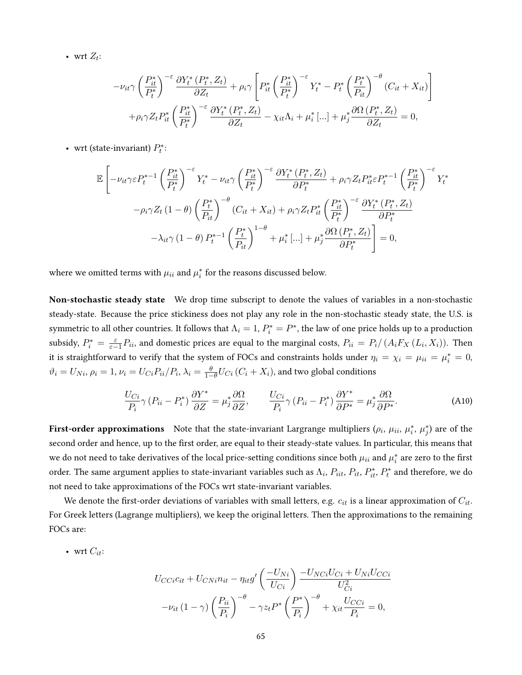• wrt  $Z_t$ :

$$
-\nu_{it}\gamma \left(\frac{P_{it}^*}{P_t^*}\right)^{-\varepsilon} \frac{\partial Y_t^* \left(P_t^*, Z_t\right)}{\partial Z_t} + \rho_i \gamma \left[P_{it}^* \left(\frac{P_{it}^*}{P_t^*}\right)^{-\varepsilon} Y_t^* - P_t^* \left(\frac{P_{t}^*}{P_{it}}\right)^{-\theta} \left(C_{it} + X_{it}\right)\right]
$$

$$
+\rho_i \gamma Z_t P_{it}^* \left(\frac{P_{it}^*}{P_t^*}\right)^{-\varepsilon} \frac{\partial Y_t^* \left(P_t^*, Z_t\right)}{\partial Z_t} - \chi_{it}\Lambda_i + \mu_i^* \left[\ldots\right] + \mu_j^* \frac{\partial \Omega \left(P_t^*, Z_t\right)}{\partial Z_t} = 0,
$$

• wrt (state-invariant)  $P_t^*$ :

$$
\mathbb{E}\left[-\nu_{it}\gamma\varepsilon P_t^{*-1}\left(\frac{P_{it}^*}{P_t^*}\right)^{-\varepsilon}Y_t^* - \nu_{it}\gamma\left(\frac{P_{it}^*}{P_t^*}\right)^{-\varepsilon}\frac{\partial Y_t^*\left(P_t^*, Z_t\right)}{\partial P_t^*} + \rho_i\gamma Z_t P_{it}^*\varepsilon P_t^{*-1}\left(\frac{P_{it}^*}{P_t^*}\right)^{-\varepsilon}Y_t^*\right) - \rho_i\gamma Z_t \left(1-\theta\right)\left(\frac{P_t^*}{P_{it}}\right)^{-\theta}\left(C_{it}+X_{it}\right) + \rho_i\gamma Z_t P_{it}^*\left(\frac{P_{it}^*}{P_t^*}\right)^{-\varepsilon}\frac{\partial Y_t^*\left(P_t^*, Z_t\right)}{\partial P_t^*} - \lambda_{it}\gamma\left(1-\theta\right)P_t^{*-1}\left(\frac{P_t^*}{P_{it}}\right)^{1-\theta} + \mu_i^*\left[...\right] + \mu_j^*\frac{\partial\Omega\left(P_t^*, Z_t\right)}{\partial P_t^*}\right] = 0,
$$

where we omitted terms with  $\mu_{ii}$  and  $\mu_i^*$  for the reasons discussed below.

Non-stochastic steady state We drop time subscript to denote the values of variables in a non-stochastic steady-state. Because the price stickiness does not play any role in the non-stochastic steady state, the U.S. is symmetric to all other countries. It follows that  $\Lambda_i=1$ ,  $P_i^*=P^*$ , the law of one price holds up to a production subsidy,  $P_i^* = \frac{\varepsilon}{\varepsilon - 1} P_{ii}$ , and domestic prices are equal to the marginal costs,  $P_{ii} = P_i/(A_i F_X(L_i, X_i))$ . Then it is straightforward to verify that the system of FOCs and constraints holds under  $\eta_i = \chi_i = \mu_{ii} = \mu_i^* = 0$ ,  $\vartheta_i=U_{Ni},$   $\rho_i=1$ ,  $\nu_i=U_{Ci}P_{ii}/P_i,$   $\lambda_i=\frac{\theta}{1-\theta}U_{Ci}\left(C_i+X_i\right),$  and two global conditions

<span id="page-65-0"></span>
$$
\frac{U_{Ci}}{P_i} \gamma (P_{ii} - P_i^*) \frac{\partial Y^*}{\partial Z} = \mu_j^* \frac{\partial \Omega}{\partial Z}, \qquad \frac{U_{Ci}}{P_i} \gamma (P_{ii} - P_i^*) \frac{\partial Y^*}{\partial P^*} = \mu_j^* \frac{\partial \Omega}{\partial P^*}.
$$
 (A10)

First-order approximations Note that the state-invariant Largrange multipliers  $(\rho_i, \mu_{ii}, \mu_i^*, \mu_j^*)$  are of the second order and hence, up to the first order, are equal to their steady-state values. In particular, this means that we do not need to take derivatives of the local price-setting conditions since both  $\mu_{ii}$  and  $\mu_i^*$  are zero to the first order. The same argument applies to state-invariant variables such as  $\Lambda_i$ ,  $P_{it}$ ,  $P_{it}$ ,  $P_t^*$ ,  $P_t^*$  and therefore, we do not need to take approximations of the FOCs wrt state-invariant variables.

We denote the first-order deviations of variables with small letters, e.g.  $c_{it}$  is a linear approximation of  $C_{it}$ . For Greek letters (Lagrange multipliers), we keep the original letters. Then the approximations to the remaining FOCs are:

• wrt  $C_{it}$ :

$$
U_{CCi}c_{it} + U_{CNi}n_{it} - \eta_{it}g' \left(\frac{-U_{Ni}}{U_{Ci}}\right) \frac{-U_{NCi}U_{Ci} + U_{Ni}U_{CCi}}{U_{Ci}^2}
$$

$$
-\nu_{it} (1 - \gamma) \left(\frac{P_{ii}}{P_i}\right)^{-\theta} - \gamma z_t P^* \left(\frac{P^*}{P_i}\right)^{-\theta} + \chi_{it} \frac{U_{CCi}}{P_i} = 0,
$$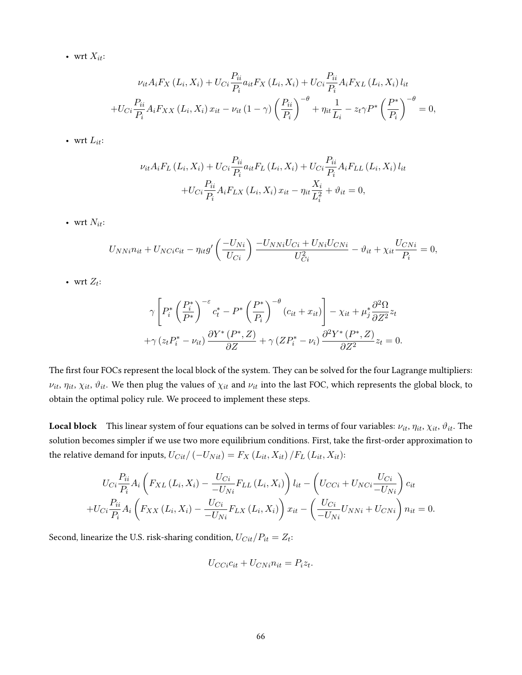• wrt  $X_{it}$ :

$$
\nu_{it} A_i F_X \left( L_i, X_i \right) + U_{Ci} \frac{P_{ii}}{P_i} a_{it} F_X \left( L_i, X_i \right) + U_{Ci} \frac{P_{ii}}{P_i} A_i F_{XL} \left( L_i, X_i \right) l_{it}
$$

$$
+ U_{Ci} \frac{P_{ii}}{P_i} A_i F_{XX} \left( L_i, X_i \right) x_{it} - \nu_{it} \left( 1 - \gamma \right) \left( \frac{P_{ii}}{P_i} \right)^{-\theta} + \eta_{it} \frac{1}{L_i} - z_t \gamma P^* \left( \frac{P^*}{P_i} \right)^{-\theta} = 0,
$$

• wrt  $L_{it}$ :

$$
\nu_{it} A_i F_L (L_i, X_i) + U_{Ci} \frac{P_{ii}}{P_i} a_{it} F_L (L_i, X_i) + U_{Ci} \frac{P_{ii}}{P_i} A_i F_{LL} (L_i, X_i) l_{it}
$$

$$
+ U_{Ci} \frac{P_{ii}}{P_i} A_i F_{LX} (L_i, X_i) x_{it} - \eta_{it} \frac{X_i}{L_i^2} + \vartheta_{it} = 0,
$$

- wrt $N_{it}$ :

$$
U_{NNi}n_{it} + U_{NCi}c_{it} - \eta_{it}g'\left(\frac{-U_{Ni}}{U_{Ci}}\right)\frac{-U_{NNi}U_{Ci} + U_{Ni}U_{CNi}}{U_{Ci}^2} - \vartheta_{it} + \chi_{it}\frac{U_{CNi}}{P_i} = 0,
$$

• wrt  $Z_t$ :

$$
\gamma \left[ P_i^* \left( \frac{P_i^*}{P^*} \right)^{-\varepsilon} c_t^* - P^* \left( \frac{P^*}{P_i} \right)^{-\theta} (c_{it} + x_{it}) \right] - \chi_{it} + \mu_j^* \frac{\partial^2 \Omega}{\partial Z^2} z_t
$$
  
+
$$
\gamma (z_t P_i^* - \nu_{it}) \frac{\partial Y^* (P^*, Z)}{\partial Z} + \gamma (Z P_i^* - \nu_i) \frac{\partial^2 Y^* (P^*, Z)}{\partial Z^2} z_t = 0.
$$

The first four FOCs represent the local block of the system. They can be solved for the four Lagrange multipliers:  $\nu_{it}$ ,  $\eta_{it}$ ,  $\chi_{it}$ ,  $\vartheta_{it}$ . We then plug the values of  $\chi_{it}$  and  $\nu_{it}$  into the last FOC, which represents the global block, to obtain the optimal policy rule. We proceed to implement these steps.

**Local block** This linear system of four equations can be solved in terms of four variables:  $v_{it}$ ,  $\eta_{it}$ ,  $\chi_{it}$ ,  $\vartheta_{it}$ . The solution becomes simpler if we use two more equilibrium conditions. First, take the first-order approximation to the relative demand for inputs,  $U_{Cit}/(-U_{Nit}) = F_X(L_{it}, X_{it})/F_L(L_{it}, X_{it})$ :

$$
U_{Ci} \frac{P_{ii}}{P_i} A_i \left( F_{XL} (L_i, X_i) - \frac{U_{Ci}}{-U_{Ni}} F_{LL} (L_i, X_i) \right) l_{it} - \left( U_{CCi} + U_{NCi} \frac{U_{Ci}}{-U_{Ni}} \right) c_{it}
$$
  
+ 
$$
U_{Ci} \frac{P_{ii}}{P_i} A_i \left( F_{XX} (L_i, X_i) - \frac{U_{Ci}}{-U_{Ni}} F_{LX} (L_i, X_i) \right) x_{it} - \left( \frac{U_{Ci}}{-U_{Ni}} U_{NNi} + U_{CNi} \right) n_{it} = 0.
$$

Second, linearize the U.S. risk-sharing condition,  $U_{Cit}/P_{it} = Z_t$ :

$$
U_{CCi}c_{it} + U_{CNi}n_{it} = P_iz_t.
$$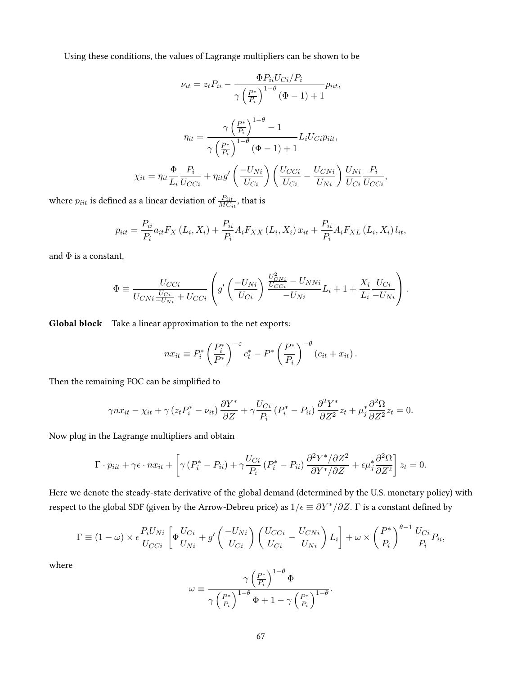Using these conditions, the values of Lagrange multipliers can be shown to be

$$
\nu_{it} = z_t P_{ii} - \frac{\Phi P_{ii} U_{Ci} / P_i}{\gamma \left(\frac{P^*}{P_i}\right)^{1-\theta} (\Phi - 1) + 1} p_{iit},
$$

$$
\eta_{it} = \frac{\gamma \left(\frac{P^*}{P_i}\right)^{1-\theta} - 1}{\gamma \left(\frac{P^*}{P_i}\right)^{1-\theta} (\Phi - 1) + 1} L_i U_{Ci} p_{iit},
$$

$$
\chi_{it} = \eta_{it} \frac{\Phi}{L_i} \frac{P_i}{U_{CGi}} + \eta_{it} g' \left(\frac{-U_{Ni}}{U_{Ci}}\right) \left(\frac{U_{CCi}}{U_{Ci}} - \frac{U_{CNi}}{U_{Ni}}\right) \frac{U_{Ni}}{U_{Ci}} \frac{P_i}{U_{CCi}},
$$

where  $p_{iit}$  is defined as a linear deviation of  $\frac{P_{iit}}{MC_{it}}$ , that is

$$
p_{iit} = \frac{P_{ii}}{P_i} a_{it} F_X (L_i, X_i) + \frac{P_{ii}}{P_i} A_i F_{XX} (L_i, X_i) x_{it} + \frac{P_{ii}}{P_i} A_i F_{XL} (L_i, X_i) l_{it},
$$

and  $\Phi$  is a constant,

$$
\Phi \equiv \frac{U_{CCi}}{U_{CNi}\frac{U_{Ci}}{-U_{Ni}} + U_{CCi}} \left( g' \left( \frac{-U_{Ni}}{U_{Ci}} \right) \frac{\frac{U_{CNi}^2}{U_{CCi}} - U_{NNi}}{-U_{Ni}} L_i + 1 + \frac{X_i}{L_i} \frac{U_{Ci}}{-U_{Ni}} \right).
$$

Global block Take a linear approximation to the net exports:

$$
nx_{it} \equiv P_i^* \left(\frac{P_i^*}{P^*}\right)^{-\varepsilon} c_t^* - P^* \left(\frac{P^*}{P_i}\right)^{-\theta} \left(c_{it} + x_{it}\right).
$$

Then the remaining FOC can be simplified to

$$
\gamma nx_{it} - \chi_{it} + \gamma (z_t P_i^* - \nu_{it}) \frac{\partial Y^*}{\partial Z} + \gamma \frac{U_{Ci}}{P_i} (P_i^* - P_{ii}) \frac{\partial^2 Y^*}{\partial Z^2} z_t + \mu_j^* \frac{\partial^2 \Omega}{\partial Z^2} z_t = 0.
$$

Now plug in the Lagrange multipliers and obtain

$$
\Gamma \cdot p_{iit} + \gamma \epsilon \cdot nx_{it} + \left[ \gamma \left( P_i^* - P_{ii} \right) + \gamma \frac{U_{Ci}}{P_i} \left( P_i^* - P_{ii} \right) \frac{\partial^2 Y^* / \partial Z^2}{\partial Y^* / \partial Z} + \epsilon \mu_j^* \frac{\partial^2 \Omega}{\partial Z^2} \right] z_t = 0.
$$

Here we denote the steady-state derivative of the global demand (determined by the U.S. monetary policy) with respect to the global SDF (given by the Arrow-Debreu price) as  $1/\epsilon \equiv \partial Y^*/\partial Z.$   $\Gamma$  is a constant defined by

$$
\Gamma \equiv (1 - \omega) \times \epsilon \frac{P_i U_{Ni}}{U_{CCi}} \left[ \Phi \frac{U_{Ci}}{U_{Ni}} + g' \left( \frac{-U_{Ni}}{U_{Ci}} \right) \left( \frac{U_{CCi}}{U_{Ci}} - \frac{U_{CNi}}{U_{Ni}} \right) L_i \right] + \omega \times \left( \frac{P^*}{P_i} \right)^{\theta - 1} \frac{U_{Ci}}{P_i} P_{ii},
$$

where

$$
\omega \equiv \frac{\gamma \left(\frac{P^*}{P_i}\right)^{1-\theta} \Phi}{\gamma \left(\frac{P^*}{P_i}\right)^{1-\theta} \Phi + 1 - \gamma \left(\frac{P^*}{P_i}\right)^{1-\theta}}.
$$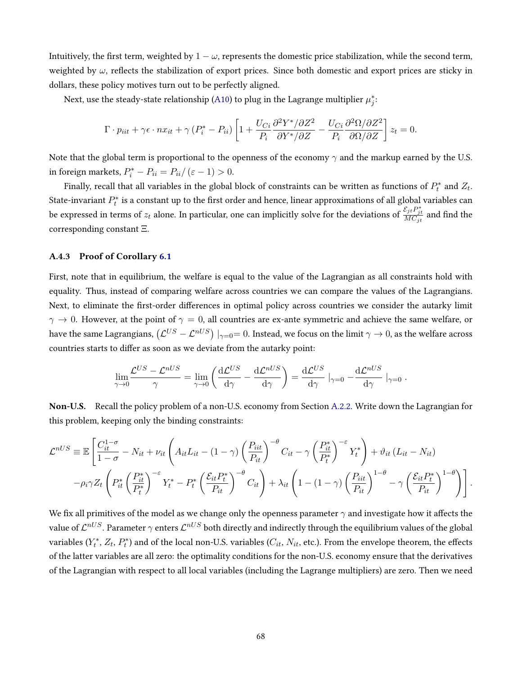Intuitively, the first term, weighted by  $1 - \omega$ , represents the domestic price stabilization, while the second term, weighted by  $\omega$ , reflects the stabilization of export prices. Since both domestic and export prices are sticky in dollars, these policy motives turn out to be perfectly aligned.

Next, use the steady-state relationship [\(A10\)](#page-65-0) to plug in the Lagrange multiplier  $\mu^*_j$ :

$$
\Gamma \cdot p_{iit} + \gamma \epsilon \cdot nx_{it} + \gamma (P_i^* - P_{ii}) \left[ 1 + \frac{U_{Ci}}{P_i} \frac{\partial^2 Y^* / \partial Z^2}{\partial Y^* / \partial Z} - \frac{U_{Ci}}{P_i} \frac{\partial^2 \Omega / \partial Z^2}{\partial \Omega / \partial Z} \right] z_t = 0.
$$

Note that the global term is proportional to the openness of the economy  $\gamma$  and the markup earned by the U.S. in foreign markets,  $P_i^* - P_{ii} = P_{ii}/(\varepsilon - 1) > 0$ .

Finally, recall that all variables in the global block of constraints can be written as functions of  $P_t^*$  and  $Z_t$ . State-invariant  $P_t^*$  is a constant up to the first order and hence, linear approximations of all global variables can be expressed in terms of  $z_t$  alone. In particular, one can implicitly solve for the deviations of  $\frac{\varepsilon_{jt}P_{jt}^*}{MC_{jt}}$  and find the corresponding constant Ξ.

#### A.4.3 Proof of Corollary [6.1](#page-35-0)

First, note that in equilibrium, the welfare is equal to the value of the Lagrangian as all constraints hold with equality. Thus, instead of comparing welfare across countries we can compare the values of the Lagrangians. Next, to eliminate the first-order differences in optimal policy across countries we consider the autarky limit  $\gamma \to 0$ . However, at the point of  $\gamma = 0$ , all countries are ex-ante symmetric and achieve the same welfare, or have the same Lagrangians,  $\left(\mathcal{L}^{US}-\mathcal{L}^{nUS}\right)\mid_{\gamma=0}=0.$  Instead, we focus on the limit  $\gamma\to0,$  as the welfare across countries starts to differ as soon as we deviate from the autarky point:

$$
\lim_{\gamma \to 0} \frac{\mathcal{L}^{US} - \mathcal{L}^{nUS}}{\gamma} = \lim_{\gamma \to 0} \left( \frac{\mathrm{d}\mathcal{L}^{US}}{\mathrm{d}\gamma} - \frac{\mathrm{d}\mathcal{L}^{nUS}}{\mathrm{d}\gamma} \right) = \frac{\mathrm{d}\mathcal{L}^{US}}{\mathrm{d}\gamma} \mid_{\gamma = 0} - \frac{\mathrm{d}\mathcal{L}^{nUS}}{\mathrm{d}\gamma} \mid_{\gamma = 0} .
$$

Non-U.S. Recall the policy problem of a non-U.S. economy from Section [A.2.2.](#page-51-0) Write down the Lagrangian for this problem, keeping only the binding constraints:

$$
\mathcal{L}^{nUS} \equiv \mathbb{E} \left[ \frac{C_{it}^{1-\sigma}}{1-\sigma} - N_{it} + \nu_{it} \left( A_{it} L_{it} - (1-\gamma) \left( \frac{P_{it}}{P_{it}} \right)^{-\theta} C_{it} - \gamma \left( \frac{P_{it}^*}{P_t^*} \right)^{-\epsilon} Y_t^* \right) + \vartheta_{it} \left( L_{it} - N_{it} \right) -\rho_i \gamma Z_t \left( P_{it}^* \left( \frac{P_{it}^*}{P_t^*} \right)^{-\epsilon} Y_t^* - P_t^* \left( \frac{\mathcal{E}_{it} P_t^*}{P_{it}} \right)^{-\theta} C_{it} \right) + \lambda_{it} \left( 1 - (1-\gamma) \left( \frac{P_{itt}}{P_{it}} \right)^{1-\theta} - \gamma \left( \frac{\mathcal{E}_{it} P_t^*}{P_{it}} \right)^{1-\theta} \right) \right].
$$

We fix all primitives of the model as we change only the openness parameter  $\gamma$  and investigate how it affects the value of  ${\cal L}^{nUS}$ . Parameter  $\gamma$  enters  ${\cal L}^{nUS}$  both directly and indirectly through the equilibrium values of the global variables  $(Y_t^*, Z_t, P_t^*)$  and of the local non-U.S. variables  $(C_{it}, N_{it}, \text{etc.})$ . From the envelope theorem, the effects of the latter variables are all zero: the optimality conditions for the non-U.S. economy ensure that the derivatives of the Lagrangian with respect to all local variables (including the Lagrange multipliers) are zero. Then we need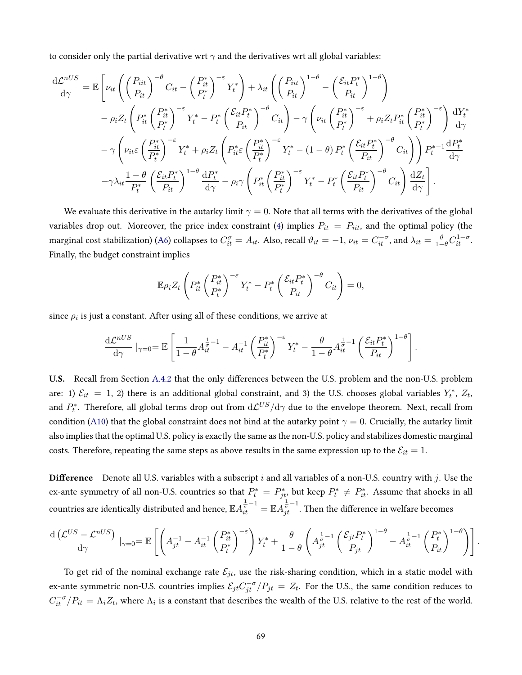to consider only the partial derivative wrt  $\gamma$  and the derivatives wrt all global variables:

$$
\frac{d\mathcal{L}^{nUS}}{d\gamma} = \mathbb{E}\left[\nu_{it}\left(\left(\frac{P_{iit}}{P_{it}}\right)^{-\theta}C_{it} - \left(\frac{P_{it}^{*}}{P_{t}^{*}}\right)^{-\varepsilon}Y_{t}^{*}\right) + \lambda_{it}\left(\left(\frac{P_{iit}}{P_{it}}\right)^{1-\theta} - \left(\frac{\mathcal{E}_{it}P_{t}^{*}}{P_{it}}\right)^{1-\theta}\right) \right] \n- \rho_{i}Z_{t}\left(P_{it}^{*}\left(\frac{P_{it}^{*}}{P_{t}^{*}}\right)^{-\varepsilon}Y_{t}^{*} - P_{t}^{*}\left(\frac{\mathcal{E}_{it}P_{t}^{*}}{P_{it}}\right)^{-\theta}C_{it}\right) - \gamma\left(\nu_{it}\left(\frac{P_{it}^{*}}{P_{t}^{*}}\right)^{-\varepsilon} + \rho_{i}Z_{t}P_{it}^{*}\left(\frac{P_{it}^{*}}{P_{t}^{*}}\right)^{-\varepsilon}\right)\frac{dY_{t}^{*}}{d\gamma} \n- \gamma\left(\nu_{it}\varepsilon\left(\frac{P_{it}^{*}}{P_{t}^{*}}\right)^{-\varepsilon}Y_{t}^{*} + \rho_{i}Z_{t}\left(P_{it}\varepsilon\left(\frac{P_{it}^{*}}{P_{t}^{*}}\right)^{-\varepsilon}Y_{t}^{*} - (1-\theta)P_{t}^{*}\left(\frac{\mathcal{E}_{it}P_{t}^{*}}{P_{it}}\right)^{-\theta}C_{it}\right)\right)P_{t}^{*-1}\frac{dP_{t}^{*}}{d\gamma} \n- \gamma\lambda_{it}\frac{1-\theta}{P_{t}^{*}}\left(\frac{\mathcal{E}_{it}P_{t}^{*}}{P_{it}}\right)^{1-\theta}\frac{dP_{t}^{*}}{d\gamma} - \rho_{i}\gamma\left(P_{it}^{*}\left(\frac{P_{it}^{*}}{P_{t}^{*}}\right)^{-\varepsilon}Y_{t}^{*} - P_{t}^{*}\left(\frac{\mathcal{E}_{it}P_{t}^{*}}{P_{it}}\right)^{-\theta}C_{it}\right)\frac{dZ_{t}}{d\gamma}\right].
$$

We evaluate this derivative in the autarky limit  $\gamma = 0$ . Note that all terms with the derivatives of the global variables drop out. Moreover, the price index constraint [\(4\)](#page-9-0) implies  $P_{it} = P_{iit}$ , and the optimal policy (the marginal cost stabilization) [\(A6\)](#page-54-0) collapses to  $C_{it}^{\sigma}=A_{it}$ . Also, recall  $\vartheta_{it}=-1$ ,  $\nu_{it}=C_{it}^{-\sigma}$ , and  $\lambda_{it}=\frac{\theta}{1-\theta}C_{it}^{1-\sigma}$ . Finally, the budget constraint implies

$$
\mathbb{E}\rho_i Z_t \left( P_{it}^* \left( \frac{P_{it}^*}{P_t^*} \right)^{-\varepsilon} Y_t^* - P_t^* \left( \frac{\mathcal{E}_{it} P_t^*}{P_{it}} \right)^{-\theta} C_{it} \right) = 0,
$$

since  $\rho_i$  is just a constant. After using all of these conditions, we arrive at

$$
\frac{\mathrm{d}\mathcal{L}^{nUS}}{\mathrm{d}\gamma}\mid_{\gamma=0}=\mathbb{E}\left[\frac{1}{1-\theta}A_{it}^{\frac{1}{\sigma}-1}-A_{it}^{-1}\left(\frac{P_{it}^*}{P_t^*}\right)^{-\varepsilon}Y_t^*-\frac{\theta}{1-\theta}A_{it}^{\frac{1}{\sigma}-1}\left(\frac{\mathcal{E}_{it}P_t^*}{P_{it}}\right)^{1-\theta}\right].
$$

U.S. Recall from Section [A.4.2](#page-62-1) that the only differences between the U.S. problem and the non-U.S. problem are: 1)  $\mathcal{E}_{it} = 1$ , 2) there is an additional global constraint, and 3) the U.S. chooses global variables  $Y_t^*$ ,  $Z_t$ , and  $P_t^*.$  Therefore, all global terms drop out from  ${\rm d}{\cal L}^{US}/{\rm d}\gamma$  due to the envelope theorem. Next, recall from condition [\(A10\)](#page-65-0) that the global constraint does not bind at the autarky point  $\gamma = 0$ . Crucially, the autarky limit also implies that the optimal U.S. policy is exactly the same as the non-U.S. policy and stabilizes domestic marginal costs. Therefore, repeating the same steps as above results in the same expression up to the  $\mathcal{E}_{it} = 1$ .

**Difference** Denote all U.S. variables with a subscript  $i$  and all variables of a non-U.S. country with  $j$ . Use the ex-ante symmetry of all non-U.S. countries so that  $P_t^* = P_{jt}^*$ , but keep  $P_t^* \neq P_{it}^*$ . Assume that shocks in all countries are identically distributed and hence,  $\mathbb{E} A^{\frac{1}{\sigma}-1}_{it}=\mathbb{E} A^{\frac{1}{\sigma}-1}_{jt}.$  Then the difference in welfare becomes

$$
\frac{\mathrm{d}\left(\mathcal{L}^{US}-\mathcal{L}^{nUS}\right)}{\mathrm{d}\gamma}\mid_{\gamma=0}=\mathbb{E}\left[\left(A_{jt}^{-1}-A_{it}^{-1}\left(\frac{P_{it}^*}{P_t^*}\right)^{-\varepsilon}\right)Y_t^*+\frac{\theta}{1-\theta}\left(A_{jt}^{\frac{1}{\sigma}-1}\left(\frac{\mathcal{E}_{jt}P_t^*}{P_{jt}}\right)^{1-\theta}-A_{it}^{\frac{1}{\sigma}-1}\left(\frac{P_t^*}{P_{it}}\right)^{1-\theta}\right)\right].
$$

To get rid of the nominal exchange rate  $\mathcal{E}_{jt}$ , use the risk-sharing condition, which in a static model with ex-ante symmetric non-U.S. countries implies  $\mathcal{E}_{jt}C_{jt}^{-\sigma}/P_{jt} = Z_t$ . For the U.S., the same condition reduces to  $C_{it}^{-\sigma}/P_{it} = \Lambda_i Z_t$ , where  $\Lambda_i$  is a constant that describes the wealth of the U.S. relative to the rest of the world.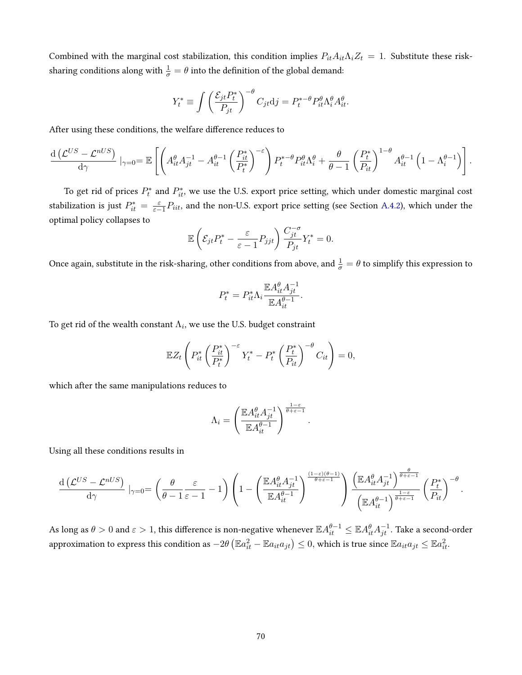Combined with the marginal cost stabilization, this condition implies  $P_{it}A_{it}\Lambda_iZ_t = 1$ . Substitute these risksharing conditions along with  $\frac{1}{\sigma} = \theta$  into the definition of the global demand:

$$
Y_t^* \equiv \int \left(\frac{\mathcal{E}_{jt} P_t^*}{P_{jt}}\right)^{-\theta} C_{jt} \mathrm{d}j = P_t^{*-\theta} P_{it}^{\theta} \Lambda_i^{\theta} A_{it}^{\theta}.
$$

After using these conditions, the welfare difference reduces to

$$
\frac{\mathrm{d}\left(\mathcal{L}^{US}-\mathcal{L}^{nUS}\right)}{\mathrm{d}\gamma}\mid_{\gamma=0}=\mathbb{E}\left[\left(A_{it}^{\theta}A_{jt}^{-1}-A_{it}^{\theta-1}\left(\frac{P_{it}^{*}}{P_{t}^{*}}\right)^{-\varepsilon}\right)P_{t}^{*-\theta}P_{it}^{\theta}\Lambda_{t}^{\theta}+\frac{\theta}{\theta-1}\left(\frac{P_{t}^{*}}{P_{it}}\right)^{1-\theta}A_{it}^{\theta-1}\left(1-\Lambda_{i}^{\theta-1}\right)\right].
$$

To get rid of prices  $P_t^*$  and  $P_{it}^*$ , we use the U.S. export price setting, which under domestic marginal cost stabilization is just  $P_{it}^* = \frac{\varepsilon}{\varepsilon - 1} P_{itt}$ , and the non-U.S. export price setting (see Section [A.4.2\)](#page-62-1), which under the optimal policy collapses to

$$
\mathbb{E}\left(\mathcal{E}_{jt}P_t^* - \frac{\varepsilon}{\varepsilon - 1}P_{jjt}\right)\frac{C_{jt}^{-\sigma}}{P_{jt}}Y_t^* = 0.
$$

Once again, substitute in the risk-sharing, other conditions from above, and  $\frac{1}{\sigma}=\theta$  to simplify this expression to

$$
P_t^* = P_{it}^* \Lambda_i \frac{\mathbb{E} A_{it}^{\theta} A_{jt}^{-1}}{\mathbb{E} A_{it}^{\theta - 1}}.
$$

To get rid of the wealth constant  $\Lambda_i$ , we use the U.S. budget constraint

$$
\mathbb{E}Z_t\left(P_{it}^*\left(\frac{P_{it}^*}{P_t^*}\right)^{-\varepsilon}Y_t^*-P_t^*\left(\frac{P_t^*}{P_{it}}\right)^{-\theta}C_{it}\right)=0,
$$

which after the same manipulations reduces to

$$
\Lambda_i = \left(\frac{\mathbb{E}A_{it}^{\theta}A_{jt}^{-1}}{\mathbb{E}A_{it}^{\theta-1}}\right)^{\frac{1-\varepsilon}{\theta+\varepsilon-1}}
$$

.

Using all these conditions results in

$$
\frac{\mathrm{d}\left(\mathcal{L}^{US}-\mathcal{L}^{nUS}\right)}{\mathrm{d}\gamma}\mid_{\gamma=0}=\left(\frac{\theta}{\theta-1}\frac{\varepsilon}{\varepsilon-1}-1\right)\left(1-\left(\frac{\mathbb{E} A_{it}^{\theta}A_{jt}^{-1}}{\mathbb{E} A_{it}^{\theta-1}}\right)\frac{\frac{(1-\varepsilon)(\theta-1)}{\theta+\varepsilon-1}}{\left(\mathbb{E} A_{it}^{\theta-1}\right)^{\frac{1-\varepsilon}{\theta+\varepsilon-1}}}\left(\frac{P_{t}^{*}}{P_{it}}\right)^{-\theta}.
$$

As long as  $\theta>0$  and  $\varepsilon>1$ , this difference is non-negative whenever  $\mathbb{E} A^{\theta-1}_{it}\leq \mathbb{E} A^{\theta}_{it}A^{-1}_{jt}$ . Take a second-order approximation to express this condition as  $-2\theta\left(\mathbb{E}a_{it}^2-\mathbb{E}a_{it}a_{jt}\right)\leq 0,$  which is true since  $\mathbb{E}a_{it}a_{jt}\leq \mathbb{E}a_{it}^2.$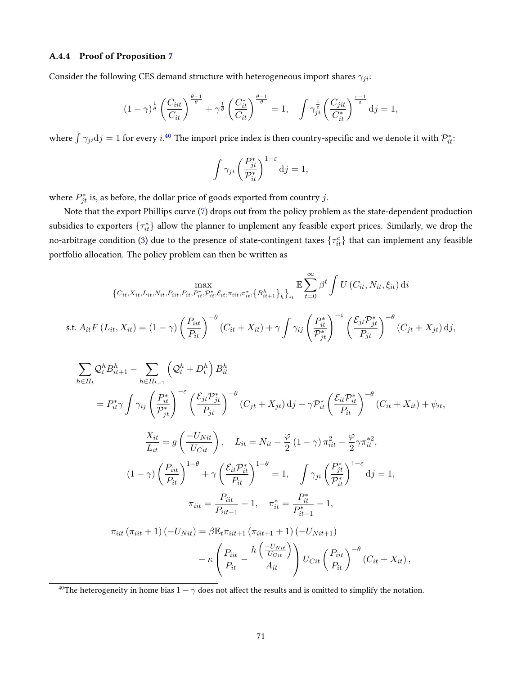#### A.4.4 Proof of Proposition [7](#page-36-0)

Consider the following CES demand structure with heterogeneous import shares  $\gamma_{ji}$ :

$$
(1-\gamma)^{\frac{1}{\theta}}\left(\frac{C_{i\dot{i}t}}{C_{i\dot{t}}}\right)^{\frac{\theta-1}{\theta}}+\gamma^{\frac{1}{\theta}}\left(\frac{C_{i\dot{t}}^*}{C_{i\dot{t}}}\right)^{\frac{\theta-1}{\theta}}=1, \quad \int \gamma^{\frac{1}{\varepsilon}}_{j\dot{i}}\left(\frac{C_{j\dot{i}t}}{C_{i\dot{t}}^*}\right)^{\frac{\varepsilon-1}{\varepsilon}}\mathrm{d}j=1,
$$

where  $\int\gamma_{ji}{\rm d}j=1$  for every  $i.^{40}$  $i.^{40}$  $i.^{40}$  The import price index is then country-specific and we denote it with  $\mathcal{P}^*_{it}$ :

$$
\int \gamma_{ji} \left(\frac{P_{jt}^*}{\mathcal{P}_{it}^*}\right)^{1-\varepsilon} \mathrm{d}j = 1,
$$

where  $P_{jt}^*$  is, as before, the dollar price of goods exported from country j.

Note that the export Phillips curve [\(7\)](#page-11-1) drops out from the policy problem as the state-dependent production subsidies to exporters  $\{\tau_{it}^*\}$  allow the planner to implement any feasible export prices. Similarly, we drop the no-arbitrage condition [\(3\)](#page-9-1) due to the presence of state-contingent taxes  $\{\tau^c_{it}\}$  that can implement any feasible portfolio allocation. The policy problem can then be written as

$$
\max_{\{C_{it}, X_{it}, L_{it}, N_{it}, P_{it}, P_{it}, P_{it}^*, \mathcal{E}_{it}, \pi_{it}, \pi_{it}^*, \{B_{it+1}^h\}_h\}_{it}} \mathbb{E} \sum_{t=0}^{\infty} \beta^t \int U(C_{it}, N_{it}, \xi_{it}) dt
$$
  
s.t.  $A_{it} F(L_{it}, X_{it}) = (1 - \gamma) \left(\frac{P_{iit}}{P_{it}}\right)^{-\theta} (C_{it} + X_{it}) + \gamma \int \gamma_{ij} \left(\frac{P_{it}^*}{P_{jt}^*}\right)^{-\epsilon} \left(\frac{\mathcal{E}_{jt} P_{jt}^*}{P_{jt}}\right)^{-\theta} (C_{jt} + X_{jt}) dj,$ 

$$
\sum_{h \in H_t} Q_t^h B_{it+1}^h - \sum_{h \in H_{t-1}} \left( Q_t^h + D_t^h \right) B_{it}^h
$$
  
=  $P_{it}^* \gamma \int \gamma_{ij} \left( \frac{P_{it}^*}{P_{jt}^*} \right)^{-\varepsilon} \left( \frac{\mathcal{E}_{jt} P_{jt}^*}{P_{jt}} \right)^{-\theta} (C_{jt} + X_{jt}) d j - \gamma P_{it}^* \left( \frac{\mathcal{E}_{it} P_{it}^*}{P_{it}} \right)^{-\theta} (C_{it} + X_{it}) + \psi_{it},$   

$$
\frac{X_{it}}{L_{it}} = g \left( \frac{-U_{Nit}}{U_{Cit}} \right), \quad L_{it} = N_{it} - \frac{\varphi}{2} (1 - \gamma) \pi_{it}^2 - \frac{\varphi}{2} \gamma \pi_{it}^*^2,
$$
  

$$
(1 - \gamma) \left( \frac{P_{iit}}{P_{it}} \right)^{1 - \theta} + \gamma \left( \frac{\mathcal{E}_{it} P_{it}^*}{P_{it}} \right)^{1 - \theta} = 1, \quad \int \gamma_{ji} \left( \frac{P_{jt}^*}{P_{it}^*} \right)^{1 - \varepsilon} d j = 1,
$$
  

$$
\pi_{it} = \frac{P_{iit}}{P_{iit-1}} - 1, \quad \pi_{it}^* = \frac{P_{it}^*}{P_{it-1}^*} - 1,
$$
  

$$
\pi_{iit} (\pi_{iit} + 1) (-U_{Nit}) = \beta \mathbb{E}_{t} \pi_{iit+1} (\pi_{iit+1} + 1) (-U_{Nit+1})
$$

$$
- \kappa \left( \frac{P_{iit}}{P_{it}} - \frac{h\left(\frac{-U_{Nit}}{U_{Cit}}\right)}{A_{it}} \right) U_{Cit} \left(\frac{P_{iit}}{P_{it}}\right)^{-\theta} (C_{it} + X_{it}),
$$

<span id="page-71-0"></span><sup>40</sup>The heterogeneity in home bias  $1 - \gamma$  does not affect the results and is omitted to simplify the notation.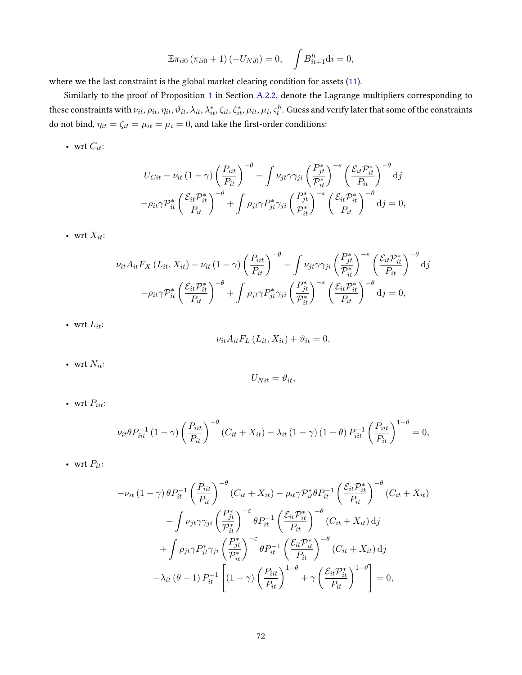$$
\mathbb{E}\pi_{ii0}\left(\pi_{ii0}+1\right)\left(-U_{Ni0}\right)=0, \quad \int B_{it+1}^{h} \mathrm{d}i=0,
$$

where we the last constraint is the global market clearing condition for assets [\(11\)](#page-12-0).

Similarly to the proof of Proposition [1](#page-15-0) in Section [A.2.2,](#page-51-0) denote the Lagrange multipliers corresponding to these constraints with  $\nu_{it},\rho_{it},\eta_{it},\vartheta_{it},\lambda_{it},\lambda_{it}^*,\zeta_{it},\zeta_{it}^*,\mu_{it},\mu_i,\varsigma_t^h.$  Guess and verify later that some of the constraints do not bind,  $\eta_{it} = \zeta_{it} = \mu_{it} = \mu_i = 0$ , and take the first-order conditions:

• wrt  $C_{it}$ :

$$
U_{Cit} - \nu_{it} (1 - \gamma) \left(\frac{P_{iit}}{P_{it}}\right)^{-\theta} - \int \nu_{jt} \gamma \gamma_{ji} \left(\frac{P_{jt}^{*}}{P_{it}^{*}}\right)^{-\epsilon} \left(\frac{\mathcal{E}_{it} P_{it}^{*}}{P_{it}}\right)^{-\theta} dj
$$

$$
-\rho_{it} \gamma P_{it}^{*} \left(\frac{\mathcal{E}_{it} P_{it}^{*}}{P_{it}}\right)^{-\theta} + \int \rho_{jt} \gamma P_{jt}^{*} \gamma_{ji} \left(\frac{P_{jt}^{*}}{P_{it}^{*}}\right)^{-\epsilon} \left(\frac{\mathcal{E}_{it} P_{it}^{*}}{P_{it}}\right)^{-\theta} dj = 0,
$$

• wrt  $X_{it}$ :

$$
\nu_{it} A_{it} F_X \left( L_{it}, X_{it} \right) - \nu_{it} \left( 1 - \gamma \right) \left( \frac{P_{it}}{P_{it}} \right)^{-\theta} - \int \nu_{jt} \gamma \gamma_{ji} \left( \frac{P_{jt}^*}{P_{it}^*} \right)^{-\epsilon} \left( \frac{\mathcal{E}_{it} P_{it}^*}{P_{it}} \right)^{-\theta} dj - \rho_{it} \gamma P_{it}^* \left( \frac{\mathcal{E}_{it} P_{it}^*}{P_{it}} \right)^{-\theta} + \int \rho_{jt} \gamma P_{jt}^* \gamma_{ji} \left( \frac{P_{jt}^*}{P_{it}^*} \right)^{-\epsilon} \left( \frac{\mathcal{E}_{it} P_{it}^*}{P_{it}} \right)^{-\theta} dj = 0,
$$

• wrt  $L_{it}$ :

$$
\nu_{it} A_{it} F_L (L_{it}, X_{it}) + \vartheta_{it} = 0,
$$

• wrt  $N_{it}$ :

$$
U_{Nit} = \vartheta_{it},
$$

• wrt  $P_{iit}$ :

$$
\nu_{it}\theta P_{iit}^{-1} (1-\gamma) \left(\frac{P_{iit}}{P_{it}}\right)^{-\theta} (C_{it} + X_{it}) - \lambda_{it} (1-\gamma) (1-\theta) P_{iit}^{-1} \left(\frac{P_{iit}}{P_{it}}\right)^{1-\theta} = 0,
$$

• wrt  $P_{it}$ :

$$
-\nu_{it} (1 - \gamma) \theta P_{it}^{-1} \left(\frac{P_{it}}{P_{it}}\right)^{-\theta} (C_{it} + X_{it}) - \rho_{it} \gamma P_{it}^* \theta P_{it}^{-1} \left(\frac{\mathcal{E}_{it} P_{it}^*}{P_{it}}\right)^{-\theta} (C_{it} + X_{it})
$$

$$
- \int \nu_{jt} \gamma \gamma_{ji} \left(\frac{P_{jt}^*}{P_{it}^*}\right)^{-\varepsilon} \theta P_{it}^{-1} \left(\frac{\mathcal{E}_{it} P_{it}^*}{P_{it}}\right)^{-\theta} (C_{it} + X_{it}) \, \mathrm{d}j
$$

$$
+ \int \rho_{jt} \gamma P_{jt}^* \gamma_{ji} \left(\frac{P_{jt}^*}{P_{it}^*}\right)^{-\varepsilon} \theta P_{it}^{-1} \left(\frac{\mathcal{E}_{it} P_{it}^*}{P_{it}}\right)^{-\theta} (C_{it} + X_{it}) \, \mathrm{d}j
$$

$$
- \lambda_{it} (\theta - 1) P_{it}^{-1} \left[ (1 - \gamma) \left(\frac{P_{it}}{P_{it}}\right)^{1 - \theta} + \gamma \left(\frac{\mathcal{E}_{it} P_{it}^*}{P_{it}}\right)^{1 - \theta} \right] = 0,
$$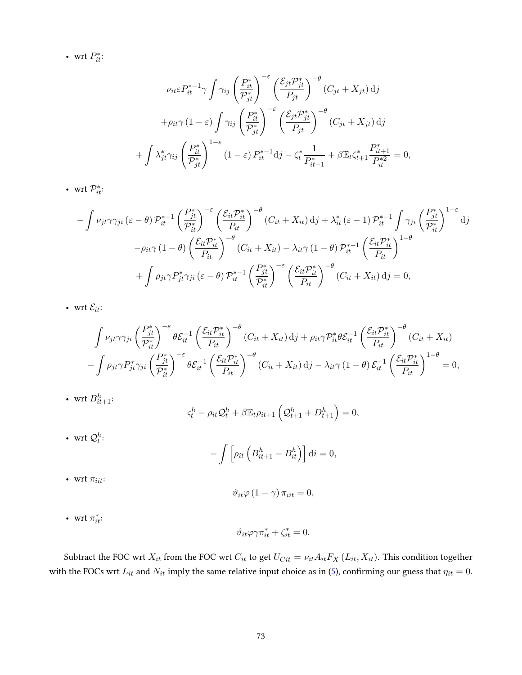• wrt  $P_{it}^*$ :

$$
\nu_{it} \varepsilon P_{it}^{*-1} \gamma \int \gamma_{ij} \left( \frac{P_{it}^*}{P_{jt}^*} \right)^{-\varepsilon} \left( \frac{\mathcal{E}_{jt} P_{jt}^*}{P_{jt}} \right)^{-\theta} (C_{jt} + X_{jt}) \, \mathrm{d}j
$$
\n
$$
+ \rho_{it} \gamma \left( 1 - \varepsilon \right) \int \gamma_{ij} \left( \frac{P_{it}^*}{P_{jt}^*} \right)^{-\varepsilon} \left( \frac{\mathcal{E}_{jt} P_{jt}^*}{P_{jt}} \right)^{-\theta} (C_{jt} + X_{jt}) \, \mathrm{d}j
$$
\n
$$
+ \int \lambda_{jt}^* \gamma_{ij} \left( \frac{P_{it}^*}{P_{jt}^*} \right)^{1-\varepsilon} (1 - \varepsilon) P_{it}^{*-1} \, \mathrm{d}j - \zeta_t^* \frac{1}{P_{it-1}^*} + \beta \mathbb{E}_t \zeta_{t+1}^* \frac{P_{it+1}^*}{P_{it}^{*2}} = 0,
$$

• wrt  $\mathcal{P}_{it}^*$ :

$$
-\int \nu_{jt} \gamma \gamma_{ji} (\varepsilon - \theta) \mathcal{P}_{it}^{*-1} \left(\frac{P_{jt}^{*}}{\mathcal{P}_{it}^{*}}\right)^{-\varepsilon} \left(\frac{\mathcal{E}_{it} \mathcal{P}_{it}^{*}}{P_{it}}\right)^{-\theta} (C_{it} + X_{it}) \, \mathrm{d}j + \lambda_{it}^{*} (\varepsilon - 1) \mathcal{P}_{it}^{*-1} \int \gamma_{ji} \left(\frac{P_{jt}^{*}}{\mathcal{P}_{it}^{*}}\right)^{1-\varepsilon} \mathrm{d}j
$$

$$
-\rho_{it} \gamma (1 - \theta) \left(\frac{\mathcal{E}_{it} \mathcal{P}_{it}^{*}}{P_{it}}\right)^{-\theta} (C_{it} + X_{it}) - \lambda_{it} \gamma (1 - \theta) \mathcal{P}_{it}^{*-1} \left(\frac{\mathcal{E}_{it} \mathcal{P}_{it}^{*}}{P_{it}}\right)^{1-\theta}
$$

$$
+ \int \rho_{jt} \gamma P_{jt}^{*} \gamma_{ji} (\varepsilon - \theta) \mathcal{P}_{it}^{*-1} \left(\frac{P_{jt}^{*}}{\mathcal{P}_{it}^{*}}\right)^{-\theta} \left(C_{it} + X_{it}) \, \mathrm{d}j = 0,
$$

• wrt  $\mathcal{E}_{it}$ :

$$
\int \nu_{jt} \gamma \gamma_{ji} \left(\frac{P_{jt}^*}{\mathcal{P}_{it}^*}\right)^{-\varepsilon} \theta \mathcal{E}_{it}^{-1} \left(\frac{\mathcal{E}_{it} \mathcal{P}_{it}^*}{P_{it}}\right)^{-\theta} (C_{it} + X_{it}) d j + \rho_{it} \gamma \mathcal{P}_{it}^* \theta \mathcal{E}_{it}^{-1} \left(\frac{\mathcal{E}_{it} \mathcal{P}_{it}^*}{P_{it}}\right)^{-\theta} (C_{it} + X_{it})
$$

$$
-\int \rho_{jt} \gamma P_{jt}^* \gamma_{ji} \left(\frac{P_{jt}^*}{\mathcal{P}_{it}^*}\right)^{-\varepsilon} \theta \mathcal{E}_{it}^{-1} \left(\frac{\mathcal{E}_{it} P_{it}^*}{P_{it}}\right)^{-\theta} (C_{it} + X_{it}) d j - \lambda_{it} \gamma (1 - \theta) \mathcal{E}_{it}^{-1} \left(\frac{\mathcal{E}_{it} P_{it}^*}{P_{it}}\right)^{1 - \theta} = 0,
$$

• wrt  $B_{it+1}^h$ :

$$
\varsigma_t^h - \rho_{it} \mathcal{Q}_t^h + \beta \mathbb{E}_t \rho_{it+1} \left( \mathcal{Q}_{t+1}^h + D_{t+1}^h \right) = 0,
$$

• wrt  $\mathcal{Q}_t^h$ :

$$
-\int \left[\rho_{it}\left(B_{it+1}^h - B_{it}^h\right)\right] \mathrm{d}i = 0,
$$

- wrt $\pi_{iit} \colon$ 

$$
\vartheta_{it}\varphi\left(1-\gamma\right)\pi_{iit}=0,
$$

• wrt  $\pi_{it}^*$ :

$$
\vartheta_{it}\varphi\gamma\pi_{it}^* + \zeta_{it}^* = 0.
$$

Subtract the FOC wrt  $X_{it}$  from the FOC wrt  $C_{it}$  to get  $U_{Cit} = \nu_{it} A_{it} F_X (L_{it}, X_{it})$ . This condition together with the FOCs wrt  $L_{it}$  and  $N_{it}$  imply the same relative input choice as in [\(5\)](#page-9-0), confirming our guess that  $\eta_{it} = 0$ .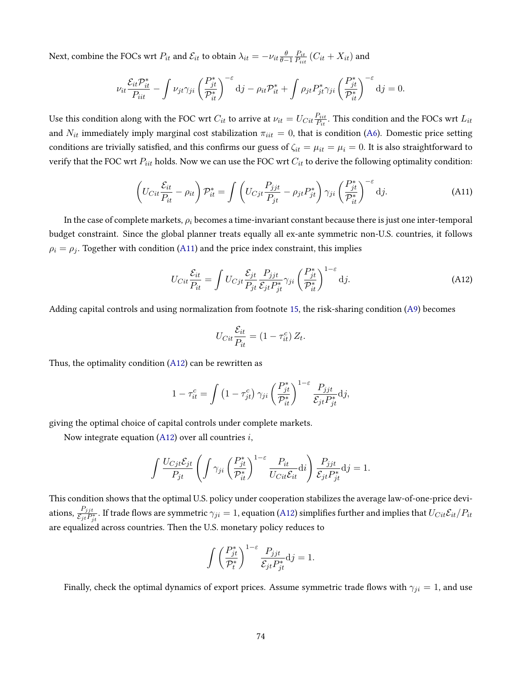Next, combine the FOCs wrt  $P_{it}$  and  $\mathcal{E}_{it}$  to obtain  $\lambda_{it}=-\nu_{it}\frac{\theta}{\theta-1}\frac{P_{it}}{P_{iti}}$  $\frac{P_{it}}{P_{iit}}\left(C_{it}+X_{it}\right)$  and

$$
\nu_{it} \frac{\mathcal{E}_{it} \mathcal{P}_{it}^*}{P_{it}} - \int \nu_{jt} \gamma_{ji} \left(\frac{P_{jt}^*}{\mathcal{P}_{it}^*}\right)^{-\varepsilon} \mathrm{d}j - \rho_{it} \mathcal{P}_{it}^* + \int \rho_{jt} P_{jt}^* \gamma_{ji} \left(\frac{P_{jt}^*}{\mathcal{P}_{it}^*}\right)^{-\varepsilon} \mathrm{d}j = 0.
$$

Use this condition along with the FOC wrt  $C_{it}$  to arrive at  $\nu_{it} = U_{Cit} \frac{P_{iit}}{P_{i,t}}$  $\frac{P_{iit}}{P_{it}}$ . This condition and the FOCs wrt  $L_{it}$ and  $N_{it}$  immediately imply marginal cost stabilization  $\pi_{iit} = 0$ , that is condition [\(A6\)](#page-54-0). Domestic price setting conditions are trivially satisfied, and this confirms our guess of  $\zeta_{it} = \mu_{it} = \mu_i = 0$ . It is also straightforward to verify that the FOC wrt  $P_{iit}$  holds. Now we can use the FOC wrt  $C_{it}$  to derive the following optimality condition:

<span id="page-74-0"></span>
$$
\left(U_{Cit}\frac{\mathcal{E}_{it}}{P_{it}} - \rho_{it}\right)\mathcal{P}_{it}^* = \int \left(U_{Cjt}\frac{P_{jjt}}{P_{jt}} - \rho_{jt}P_{jt}^*\right)\gamma_{ji}\left(\frac{P_{jt}^*}{\mathcal{P}_{it}^*}\right)^{-\varepsilon} \mathrm{d}j. \tag{A11}
$$

In the case of complete markets,  $\rho_i$  becomes a time-invariant constant because there is just one inter-temporal budget constraint. Since the global planner treats equally all ex-ante symmetric non-U.S. countries, it follows  $\rho_i = \rho_j$ . Together with condition [\(A11\)](#page-74-0) and the price index constraint, this implies

<span id="page-74-1"></span>
$$
U_{Cit} \frac{\mathcal{E}_{it}}{P_{it}} = \int U_{Cjt} \frac{\mathcal{E}_{jt}}{P_{jt}} \frac{P_{jjt}}{\mathcal{E}_{jt} P_{jt}^*} \gamma_{ji} \left(\frac{P_{jt}^*}{P_{it}^*}\right)^{1-\varepsilon} dj. \tag{A12}
$$

Adding capital controls and using normalization from footnote [15,](#page-22-0) the risk-sharing condition [\(A9\)](#page-62-0) becomes

$$
U_{Cit} \frac{\mathcal{E}_{it}}{P_{it}} = (1 - \tau_{it}^c) Z_t.
$$

Thus, the optimality condition [\(A12\)](#page-74-1) can be rewritten as

$$
1 - \tau_{it}^c = \int \left(1 - \tau_{jt}^c\right) \gamma_{ji} \left(\frac{P_{jt}^*}{\mathcal{P}_{it}^*}\right)^{1-\epsilon} \frac{P_{jjt}}{\mathcal{E}_{jt} P_{jt}^*} \mathrm{d}j,
$$

giving the optimal choice of capital controls under complete markets.

Now integrate equation  $(A12)$  over all countries i,

$$
\int \frac{U_{Cjt} \mathcal{E}_{jt}}{P_{jt}} \left( \int \gamma_{ji} \left( \frac{P_{jt}^*}{\mathcal{P}_{it}^*} \right)^{1-\varepsilon} \frac{P_{it}}{U_{Cit} \mathcal{E}_{it}} \mathrm{d}i \right) \frac{P_{jjt}}{\mathcal{E}_{jt} P_{jt}^*} \mathrm{d}j = 1.
$$

This condition shows that the optimal U.S. policy under cooperation stabilizes the average law-of-one-price deviations,  $\frac{P_{jjt}}{\mathcal{E}_{jt}P_{jt}^*}.$  If trade flows are symmetric  $\gamma_{ji}=1,$  equation [\(A12\)](#page-74-1) simplifies further and implies that  $U_{Cit}\mathcal{E}_{it}/P_{it}$ are equalized across countries. Then the U.S. monetary policy reduces to

$$
\int \left(\frac{P_{jt}^*}{\mathcal{P}_t^*}\right)^{1-\varepsilon} \frac{P_{jjt}}{\mathcal{E}_{jt} P_{jt}^*} \mathrm{d}j = 1.
$$

Finally, check the optimal dynamics of export prices. Assume symmetric trade flows with  $\gamma_{ji} = 1$ , and use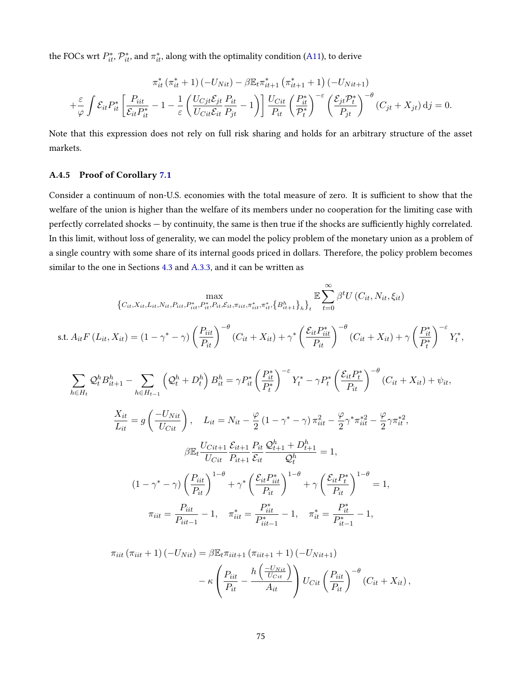the FOCs wrt $P_{it}^*, \mathcal{P}_{it}^*$  and  $\pi_{it}^*$  along with the optimality condition [\(A11\)](#page-74-0), to derive

$$
\pi_{it}^* \left( \pi_{it}^* + 1 \right) \left( -U_{Nit} \right) - \beta \mathbb{E}_t \pi_{it+1}^* \left( \pi_{it+1}^* + 1 \right) \left( -U_{Nit+1} \right)
$$

$$
+ \frac{\varepsilon}{\varphi} \int \mathcal{E}_{it} P_{it}^* \left[ \frac{P_{it}}{\mathcal{E}_{it} P_{it}^*} - 1 - \frac{1}{\varepsilon} \left( \frac{U_{Cjt} \mathcal{E}_{jt}}{U_{Cit} \mathcal{E}_{it}} \frac{P_{it}}{P_{jt}} - 1 \right) \right] \frac{U_{Cit}}{P_{it}} \left( \frac{P_{it}^*}{P_{t}^*} \right)^{-\varepsilon} \left( \frac{\mathcal{E}_{jt} P_{t}^*}{P_{jt}} \right)^{-\theta} \left( C_{jt} + X_{jt} \right) d j = 0.
$$

Note that this expression does not rely on full risk sharing and holds for an arbitrary structure of the asset markets.

## A.4.5 Proof of Corollary [7.1](#page-39-0)

Consider a continuum of non-U.S. economies with the total measure of zero. It is sufficient to show that the welfare of the union is higher than the welfare of its members under no cooperation for the limiting case with perfectly correlated shocks - by continuity, the same is then true if the shocks are sufficiently highly correlated. In this limit, without loss of generality, we can model the policy problem of the monetary union as a problem of a single country with some share of its internal goods priced in dollars. Therefore, the policy problem becomes similar to the one in Sections [4.3](#page-29-0) and [A.3.3,](#page-58-0) and it can be written as

$$
\begin{split}\n\{\n\begin{aligned}\n&\text{max} &\text{max} &\text{max} \\
&\text{C}_{it}, X_{it}, L_{it}, N_{it}, P_{it}, P_{it}, P_{it}, E_{it}, \pi_{it}, \pi_{it}, \pi_{it}^{*}, \{B_{it+1}^{h}\}_{h}\}_{t} \quad \mathbb{E} \sum_{t=0}^{\infty} \beta^{t} U \left(\n\begin{aligned}\nC_{it}, N_{it}, \xi_{it}\n\end{aligned}\n\right) \\
&\text{s.t.} &\nA_{it} F \left(L_{it}, X_{it}\right) = \left(1 - \gamma^{*} - \gamma\right) \left(\frac{P_{it}}{P_{it}}\right)^{-\theta} \left(C_{it} + X_{it}\right) + \gamma^{*} \left(\frac{\mathcal{E}_{it} P_{it}^{*}}{P_{it}}\right)^{-\theta} \left(C_{it} + X_{it}\right) + \gamma \left(\frac{P_{it}^{*}}{P_{t}^{*}}\right)^{-\theta} Y_{t}^{*}, \\
&\sum_{h \in H_{t}} \mathcal{Q}_{t}^{h} B_{it+1}^{h} - \sum_{h \in H_{t-1}} \left(\mathcal{Q}_{t}^{h} + D_{t}^{h}\right) B_{it}^{h} = \gamma P_{it}^{*} \left(\frac{P_{it}^{*}}{P_{it}}\right)^{-\theta} Y_{t}^{*} - \gamma P_{t}^{*} \left(\frac{\mathcal{E}_{it} P_{t}^{*}}{P_{it}}\right)^{-\theta} \left(C_{it} + X_{it}\right) + \psi_{it}, \\
&\frac{X_{it}}{L_{it}} = g \left(\frac{-U_{Nit}}{U_{Cit}}\right), \quad L_{it} = N_{it} - \frac{\varphi}{2} \left(1 - \gamma^{*} - \gamma\right) \pi_{it}^{2} - \frac{\varphi}{2} \gamma^{*} \pi_{it}^{*2} - \frac{\varphi}{2} \gamma \pi_{it}^{*2}, \\
&\beta \mathbb{E}_{t} \frac{U_{Cit+1}}{U_{Cit}} \frac{\mathcal{E}_{it+1}}{P_{it} + 1} \frac{P_{it}}{P_{it}} \frac{\mathcal{Q}_{t+1}^{h} + D_{t+1}^{h}}{\mathcal{Q}_{t}^{h}} = 1, \\
&\left(1 - \gamma^{*} - \gamma\right) \left(\frac{P_{it}}{
$$

$$
\pi_{iit} (\pi_{iit} + 1) (-U_{Nit}) = \beta \mathbb{E}_t \pi_{iit+1} (\pi_{iit+1} + 1) (-U_{Nit+1})
$$

$$
- \kappa \left( \frac{P_{iit}}{P_{it}} - \frac{h \left( \frac{-U_{Nit}}{U_{Cit}} \right)}{A_{it}} \right) U_{Cit} \left( \frac{P_{iit}}{P_{it}} \right)^{-\theta} (C_{it} + X_{it}),
$$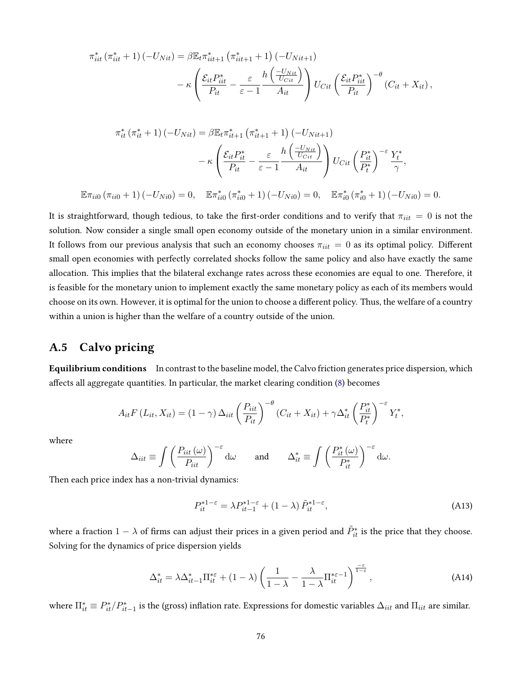$$
\pi_{iit}^* \left( \pi_{iit}^* + 1 \right) \left( -U_{Nit} \right) = \beta \mathbb{E}_t \pi_{iit+1}^* \left( \pi_{iit+1}^* + 1 \right) \left( -U_{Nit+1} \right) \n- \kappa \left( \frac{\mathcal{E}_{it} P_{iit}^*}{P_{it}} - \frac{\varepsilon}{\varepsilon - 1} \frac{h \left( \frac{-U_{Nit}}{U_{Cit}} \right)}{A_{it}} \right) U_{Cit} \left( \frac{\mathcal{E}_{it} P_{iit}^*}{P_{it}} \right)^{-\theta} \left( C_{it} + X_{it} \right),
$$

$$
\pi_{it}^{*}(\pi_{it}^{*}+1)(-U_{Nit}) = \beta \mathbb{E}_{t}\pi_{it+1}^{*}(\pi_{it+1}^{*}+1)(-U_{Nit+1})
$$

$$
-\kappa \left(\frac{\mathcal{E}_{it}P_{it}^{*}}{P_{it}} - \frac{\varepsilon}{\varepsilon-1} \frac{h\left(\frac{-U_{Nit}}{U_{Cit}}\right)}{A_{it}}\right) U_{Cit} \left(\frac{P_{it}^{*}}{P_{t}^{*}}\right)^{-\varepsilon} \frac{Y_{t}^{*}}{\gamma},
$$

$$
\mathbb{E}\pi_{ii0}(\pi_{ii0}+1)(-U_{Ni0}) = 0, \quad \mathbb{E}\pi_{ii0}^{*}(\pi_{ii0}^{*}+1)(-U_{Ni0}) = 0, \quad \mathbb{E}\pi_{i0}^{*}(\pi_{i0}^{*}+1)(-U_{Ni0}) = 0.
$$

It is straightforward, though tedious, to take the first-order conditions and to verify that  $\pi_{iit} = 0$  is not the solution. Now consider a single small open economy outside of the monetary union in a similar environment. It follows from our previous analysis that such an economy chooses  $\pi_{iit} = 0$  as its optimal policy. Different small open economies with perfectly correlated shocks follow the same policy and also have exactly the same allocation. This implies that the bilateral exchange rates across these economies are equal to one. Therefore, it is feasible for the monetary union to implement exactly the same monetary policy as each of its members would choose on its own. However, it is optimal for the union to choose a different policy. Thus, the welfare of a country within a union is higher than the welfare of a country outside of the union.

## A.5 Calvo pricing

Equilibrium conditions In contrast to the baseline model, the Calvo friction generates price dispersion, which affects all aggregate quantities. In particular, the market clearing condition  $(8)$  becomes

$$
A_{it}F(L_{it}, X_{it}) = (1 - \gamma) \Delta_{itt} \left(\frac{P_{itt}}{P_{it}}\right)^{-\theta} (C_{it} + X_{it}) + \gamma \Delta_{it}^* \left(\frac{P_{it}^*}{P_t^*}\right)^{-\epsilon} Y_t^*,
$$

where

$$
\Delta_{iit} \equiv \int \left(\frac{P_{iit}(\omega)}{P_{iit}}\right)^{-\varepsilon} d\omega \quad \text{and} \quad \Delta_{it}^* \equiv \int \left(\frac{P_{it}^*(\omega)}{P_{it}^*}\right)^{-\varepsilon} d\omega.
$$

Then each price index has a non-trivial dynamics:

<span id="page-76-0"></span>
$$
P_{it}^{*1-\varepsilon} = \lambda P_{it-1}^{*1-\varepsilon} + (1-\lambda) \tilde{P}_{it}^{*1-\varepsilon},\tag{A13}
$$

where a fraction  $1-\lambda$  of firms can adjust their prices in a given period and  $\tilde{P}^*_{it}$  is the price that they choose. Solving for the dynamics of price dispersion yields

<span id="page-76-1"></span>
$$
\Delta_{it}^* = \lambda \Delta_{it-1}^* \Pi_{it}^{*\varepsilon} + (1 - \lambda) \left( \frac{1}{1 - \lambda} - \frac{\lambda}{1 - \lambda} \Pi_{it}^{*\varepsilon - 1} \right)^{\frac{-\varepsilon}{1 - \varepsilon}},\tag{A14}
$$

where  $\Pi_{it}^*\equiv P_{it}^*/P_{it-1}^*$  is the (gross) inflation rate. Expressions for domestic variables  $\Delta_{iit}$  and  $\Pi_{iit}$  are similar.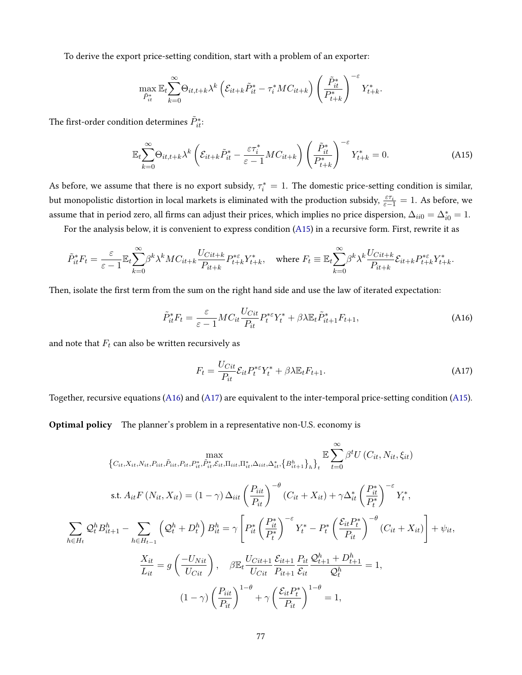To derive the export price-setting condition, start with a problem of an exporter:

$$
\max_{\tilde{P}_{it}^*} \mathbb{E}_t \sum_{k=0}^{\infty} \Theta_{it,t+k} \lambda^k \left( \mathcal{E}_{it+k} \tilde{P}_{it}^* - \tau_i^* MC_{it+k} \right) \left( \frac{\tilde{P}_{it}^*}{P_{t+k}^*} \right)^{-\varepsilon} Y_{t+k}^*.
$$

The first-order condition determines  $\tilde{P}^*_{it}$ :

<span id="page-77-0"></span>
$$
\mathbb{E}_{t} \sum_{k=0}^{\infty} \Theta_{it,t+k} \lambda^{k} \left( \mathcal{E}_{it+k} \tilde{P}_{it}^{*} - \frac{\varepsilon \tau_{i}^{*}}{\varepsilon - 1} MC_{it+k} \right) \left( \frac{\tilde{P}_{it}^{*}}{P_{t+k}^{*}} \right)^{-\varepsilon} Y_{t+k}^{*} = 0.
$$
 (A15)

As before, we assume that there is no export subsidy,  $\tau_i^*=1$ . The domestic price-setting condition is similar, but monopolistic distortion in local markets is eliminated with the production subsidy,  $\frac{\varepsilon\tau_i}{\varepsilon-1}=1$ . As before, we assume that in period zero, all firms can adjust their prices, which implies no price dispersion,  $\Delta_{ii0}=\Delta_{i0}^*=1.$ 

For the analysis below, it is convenient to express condition [\(A15\)](#page-77-0) in a recursive form. First, rewrite it as

$$
\tilde{P}_{it}^* F_t = \frac{\varepsilon}{\varepsilon - 1} \mathbb{E}_t \sum_{k=0}^{\infty} \beta^k \lambda^k M C_{it+k} \frac{U_{Cit+k}}{P_{it+k}} P_{t+k}^{*\varepsilon} Y_{t+k}^*, \quad \text{where } F_t \equiv \mathbb{E}_t \sum_{k=0}^{\infty} \beta^k \lambda^k \frac{U_{Cit+k}}{P_{it+k}} \mathcal{E}_{it+k} P_{t+k}^{*\varepsilon} Y_{t+k}^*.
$$

Then, isolate the first term from the sum on the right hand side and use the law of iterated expectation:

<span id="page-77-1"></span>
$$
\tilde{P}_{it}^* F_t = \frac{\varepsilon}{\varepsilon - 1} M C_{it} \frac{U_{Cit}}{P_{it}} P_t^{* \varepsilon} Y_t^* + \beta \lambda \mathbb{E}_t \tilde{P}_{it+1}^* F_{t+1},\tag{A16}
$$

and note that  $F_t$  can also be written recursively as

<span id="page-77-2"></span>
$$
F_t = \frac{U_{Cit}}{P_{it}} \mathcal{E}_{it} P_t^{*\varepsilon} Y_t^* + \beta \lambda \mathbb{E}_t F_{t+1}.
$$
\n(A17)

Together, recursive equations [\(A16\)](#page-77-1) and [\(A17\)](#page-77-2) are equivalent to the inter-temporal price-setting condition [\(A15\)](#page-77-0).

Optimal policy The planner's problem in a representative non-U.S. economy is

$$
\begin{split}\n\left\{ C_{it}, X_{it}, N_{it}, P_{it}, \tilde{P}_{it}, P_{it}, P_{it}, \tilde{P}_{it}^{*}, \tilde{C}_{it}, \Pi_{iit}, \Pi_{it}^{*}, \Delta_{iit}, \Delta_{it}^{*}, \{B_{it+1}^{h}\}_{h}\right\}_{t} & \mathbb{E} \sum_{t=0}^{\infty} \beta^{t} U\left(C_{it}, N_{it}, \xi_{it}\right) \\
\text{s.t. } A_{it} F\left(N_{it}, X_{it}\right) &= (1 - \gamma) \Delta_{it} \left(\frac{P_{it}}{P_{it}}\right)^{-\theta} \left(C_{it} + X_{it}\right) + \gamma \Delta_{it}^{*} \left(\frac{P_{it}^{*}}{P_{t}^{*}}\right)^{-\epsilon} Y_{t}^{*}, \\
\sum_{h \in H_{t}} \mathcal{Q}_{t}^{h} B_{it+1}^{h} - \sum_{h \in H_{t-1}} \left(\mathcal{Q}_{t}^{h} + D_{t}^{h}\right) B_{it}^{h} = \gamma \left[P_{it}^{*} \left(\frac{P_{it}^{*}}{P_{t}^{*}}\right)^{-\epsilon} Y_{t}^{*} - P_{t}^{*} \left(\frac{\mathcal{E}_{it} P_{t}^{*}}{P_{it}}\right)^{-\theta} \left(C_{it} + X_{it}\right)\right] + \psi_{it}, \\
\frac{X_{it}}{L_{it}} &= g\left(\frac{-U_{Nit}}{U_{Cit}}\right), \quad \beta \mathbb{E}_{t} \frac{U_{Cit+1}}{U_{Cit}} \frac{\mathcal{E}_{it+1}}{P_{it+1}} \frac{P_{it}}{\mathcal{E}_{it}} \frac{\mathcal{Q}_{t+1}^{h} + D_{t+1}^{h}}{\mathcal{Q}_{t}^{h}} = 1, \\
(1 - \gamma) \left(\frac{P_{it}}{P_{it}}\right)^{1-\theta} + \gamma \left(\frac{\mathcal{E}_{it} P_{t}^{*}}{P_{it}}\right)^{1-\theta} = 1,\n\end{split}
$$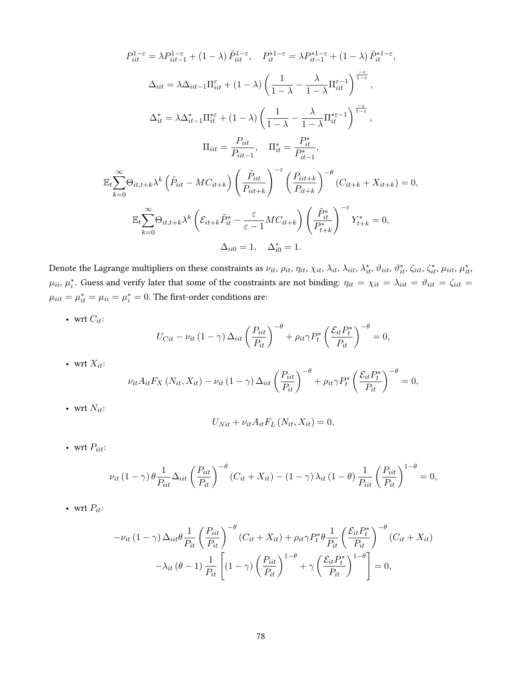$$
P_{iit}^{1-\varepsilon} = \lambda P_{iit-1}^{1-\varepsilon} + (1-\lambda) \tilde{P}_{iit}^{1-\varepsilon}, \quad P_{it}^{*1-\varepsilon} = \lambda P_{it-1}^{*1-\varepsilon} + (1-\lambda) \tilde{P}_{it}^{*1-\varepsilon},
$$
  
\n
$$
\Delta_{iit} = \lambda \Delta_{iit-1} \Pi_{iit}^{\varepsilon} + (1-\lambda) \left( \frac{1}{1-\lambda} - \frac{\lambda}{1-\lambda} \Pi_{iit}^{\varepsilon-1} \right)^{\frac{-\varepsilon}{1-\varepsilon}},
$$
  
\n
$$
\Delta_{it}^{*} = \lambda \Delta_{it-1}^{*} \Pi_{it}^{* \varepsilon} + (1-\lambda) \left( \frac{1}{1-\lambda} - \frac{\lambda}{1-\lambda} \Pi_{it}^{* \varepsilon-1} \right)^{\frac{-\varepsilon}{1-\varepsilon}},
$$
  
\n
$$
\Pi_{iit} = \frac{P_{iit}}{P_{iit-1}}, \quad \Pi_{it}^{*} = \frac{P_{it}^{*}}{P_{it-1}^{*}},
$$
  
\n
$$
\mathbb{E}_{t} \sum_{k=0}^{\infty} \Theta_{it,t+k} \lambda^{k} \left( \tilde{P}_{iit} - MC_{it+k} \right) \left( \frac{\tilde{P}_{iit}}{P_{iit+k}} \right)^{-\varepsilon} \left( \frac{P_{iit+k}}{P_{i,t}} \right)^{-\theta} (C_{it+k} + X_{it+k}) = 0,
$$
  
\n
$$
\mathbb{E}_{t} \sum_{k=0}^{\infty} \Theta_{it,t+k} \lambda^{k} \left( \mathcal{E}_{it+k} \tilde{P}_{it}^{*} - \frac{\varepsilon}{\varepsilon-1} MC_{it+k} \right) \left( \frac{\tilde{P}_{it}^{*}}{P_{it+k}^{*}} \right)^{-\varepsilon} Y_{t+k}^{*} = 0,
$$
  
\n
$$
\Delta_{i i 0} = 1, \quad \Delta_{i 0}^{*} = 1.
$$

Denote the Lagrange multipliers on these constraints as  $\nu_{it}$ ,  $\rho_{it}$ ,  $\eta_{it}$ ,  $\chi_{it}$ ,  $\lambda_{it}$ ,  $\lambda_{it}$ ,  $\lambda_{it}^*$ ,  $\vartheta_{it}$ ,  $\vartheta_{it}^*$ ,  $\zeta_{it}$ ,  $\zeta_{it}^*$ ,  $\mu_{it}$ ,  $\mu_{it}^*$ ,  $\mu_{ii}$ ,  $\mu_i^*$ . Guess and verify later that some of the constraints are not binding:  $\eta_{it} = \chi_{it} = \lambda_{iit} = \vartheta_{iit} = \zeta_{iit} = \zeta_{iit}$  $\mu_{iit} = \mu_{it}^* = \mu_{ii} = \mu_i^* = 0$ . The first-order conditions are:

• wrt $C_{it}$ :

$$
U_{Cit} - \nu_{it} (1 - \gamma) \Delta_{itt} \left(\frac{P_{itt}}{P_{it}}\right)^{-\theta} + \rho_{it} \gamma P_t^* \left(\frac{\mathcal{E}_{it} P_t^*}{P_{it}}\right)^{-\theta} = 0,
$$

• wrt  $X_{it}$ :

$$
\nu_{it} A_{it} F_X \left( N_{it}, X_{it} \right) - \nu_{it} \left( 1 - \gamma \right) \Delta_{it} \left( \frac{P_{itt}}{P_{it}} \right)^{-\theta} + \rho_{it} \gamma P_t^* \left( \frac{\mathcal{E}_{it} P_t^*}{P_{it}} \right)^{-\theta} = 0,
$$

• wrt  $N_{it}$ :

$$
U_{Nit} + \nu_{it} A_{it} F_L (N_{it}, X_{it}) = 0,
$$

• wrt  $P_{iit}$ :

$$
\nu_{it} (1 - \gamma) \theta \frac{1}{P_{it}} \Delta_{itt} \left(\frac{P_{itt}}{P_{it}}\right)^{-\theta} (C_{it} + X_{it}) - (1 - \gamma) \lambda_{it} (1 - \theta) \frac{1}{P_{itt}} \left(\frac{P_{itt}}{P_{it}}\right)^{1 - \theta} = 0,
$$

• wrt  $P_{it}$ :

$$
-\nu_{it} (1 - \gamma) \Delta_{iit} \theta \frac{1}{P_{it}} \left(\frac{P_{it}}{P_{it}}\right)^{-\theta} (C_{it} + X_{it}) + \rho_{it} \gamma P_t^* \theta \frac{1}{P_{it}} \left(\frac{\mathcal{E}_{it} P_t^*}{P_{it}}\right)^{-\theta} (C_{it} + X_{it})
$$

$$
-\lambda_{it} (\theta - 1) \frac{1}{P_{it}} \left[ (1 - \gamma) \left(\frac{P_{itt}}{P_{it}}\right)^{1-\theta} + \gamma \left(\frac{\mathcal{E}_{it} P_t^*}{P_{it}}\right)^{1-\theta} \right] = 0,
$$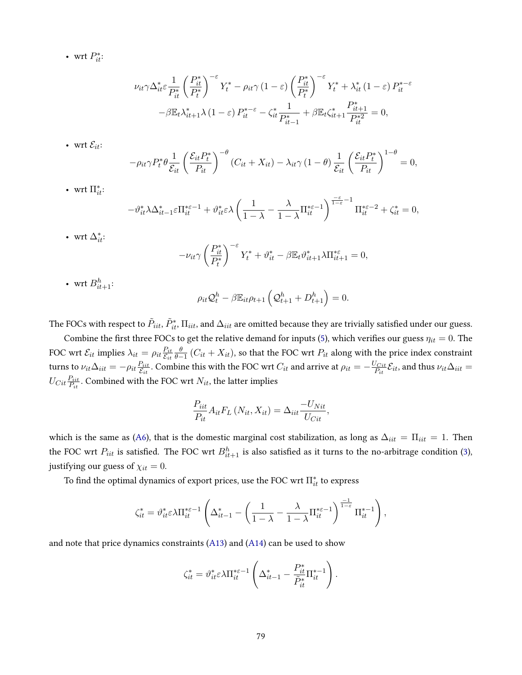• wrt  $P_{it}^*$ :

$$
\nu_{it}\gamma\Delta_{it}^{*}\varepsilon\frac{1}{P_{it}^{*}}\left(\frac{P_{it}^{*}}{P_{t}^{*}}\right)^{-\varepsilon}Y_{t}^{*}-\rho_{it}\gamma\left(1-\varepsilon\right)\left(\frac{P_{it}^{*}}{P_{t}^{*}}\right)^{-\varepsilon}Y_{t}^{*}+\lambda_{it}^{*}\left(1-\varepsilon\right)P_{it}^{*-\varepsilon}
$$

$$
-\beta\mathbb{E}_{t}\lambda_{it+1}^{*}\lambda\left(1-\varepsilon\right)P_{it}^{*-\varepsilon}-\zeta_{it}^{*}\frac{1}{P_{it-1}^{*}}+\beta\mathbb{E}_{t}\zeta_{it+1}^{*}\frac{P_{it+1}^{*}}{P_{it}^{*2}}=0,
$$

• wrt  $\mathcal{E}_{it}$ :

$$
-\rho_{it}\gamma P_t^* \theta \frac{1}{\mathcal{E}_{it}} \left(\frac{\mathcal{E}_{it} P_t^*}{P_{it}}\right)^{-\theta} (C_{it} + X_{it}) - \lambda_{it}\gamma (1-\theta) \frac{1}{\mathcal{E}_{it}} \left(\frac{\mathcal{E}_{it} P_t^*}{P_{it}}\right)^{1-\theta} = 0,
$$

• wrt  $\Pi_{it}^*$ :

$$
-\vartheta_{it}^* \lambda \Delta_{it-1}^* \varepsilon \Pi_{it}^{*\varepsilon-1} + \vartheta_{it}^* \varepsilon \lambda \left(\frac{1}{1-\lambda} - \frac{\lambda}{1-\lambda} \Pi_{it}^{*\varepsilon-1}\right)^{\frac{-\varepsilon}{1-\varepsilon}-1} \Pi_{it}^{*\varepsilon-2} + \zeta_{it}^* = 0,
$$

• wrt  $\Delta_{it}^*$ :

$$
-\nu_{it}\gamma \left(\frac{P_{it}^*}{P_t^*}\right)^{-\varepsilon} Y_t^* + \vartheta_{it}^* - \beta \mathbb{E}_t \vartheta_{it+1}^* \lambda \Pi_{it+1}^{*\varepsilon} = 0,
$$

• wrt  $B_{it+1}^h$ :

$$
\rho_{it} \mathcal{Q}_t^h - \beta \mathbb{E}_{it} \rho_{t+1} \left( \mathcal{Q}_{t+1}^h + D_{t+1}^h \right) = 0.
$$

The FOCs with respect to  $\tilde P_{itt},\tilde P^*_{it},\Pi_{iit},$  and  $\Delta_{iit}$  are omitted because they are trivially satisfied under our guess.

Combine the first three FOCs to get the relative demand for inputs [\(5\)](#page-9-0), which verifies our guess  $\eta_{it} = 0$ . The FOC wrt  $\mathcal{E}_{it}$  implies  $\lambda_{it} = \rho_{it} \frac{P_{it}}{\mathcal{E}_{it}}$  $\frac{P_{it}}{\mathcal{E}_{it}}\frac{\theta}{\theta-1}\left(C_{it}+X_{it}\right)$ , so that the FOC wrt  $P_{it}$  along with the price index constraint turns to  $\nu_{it} \Delta_{iit} = -\rho_{it} \frac{P_{iit}}{\mathcal{E}_{it}}$  $\frac{P_{iit}}{\mathcal{E}_{it}}$ . Combine this with the FOC wrt  $C_{it}$  and arrive at  $\rho_{it}=-\frac{U_{Cit}}{P_{it}}$  $\frac{\partial C_{it}}{P_{it}}\mathcal{E}_{it}$ , and thus  $\nu_{it}\Delta_{itt}=$  $U_{Cit}\frac{P_{iit}}{P_{i} }$  $\frac{P_{iit}}{P_{it}}$ . Combined with the FOC wrt  $N_{it}$ , the latter implies

$$
\frac{P_{iit}}{P_{it}} A_{it} F_L (N_{it}, X_{it}) = \Delta_{iit} \frac{-U_{Nit}}{U_{Cit}},
$$

which is the same as [\(A6\)](#page-54-0), that is the domestic marginal cost stabilization, as long as  $\Delta_{iit} = \Pi_{iit} = 1$ . Then the FOC wrt  $P_{iit}$  is satisfied. The FOC wrt  $B^h_{it+1}$  is also satisfied as it turns to the no-arbitrage condition [\(3\)](#page-9-1), justifying our guess of  $\chi_{it} = 0$ .

To find the optimal dynamics of export prices, use the FOC wrt  $\Pi_{it}^*$  to express

$$
\zeta_{it}^* = \vartheta_{it}^* \varepsilon \lambda \Pi_{it}^{*\varepsilon-1} \left( \Delta_{it-1}^* - \left( \frac{1}{1-\lambda} - \frac{\lambda}{1-\lambda} \Pi_{it}^{*\varepsilon-1} \right)^{\frac{-1}{1-\varepsilon}} \Pi_{it}^{*-1} \right),
$$

and note that price dynamics constraints [\(A13\)](#page-76-0) and [\(A14\)](#page-76-1) can be used to show

$$
\zeta_{it}^* = \vartheta_{it}^* \varepsilon \lambda \Pi_{it}^{*\varepsilon-1} \left( \Delta_{it-1}^* - \frac{P_{it}^*}{\tilde{P}_{it}^*} \Pi_{it}^{*-1} \right).
$$